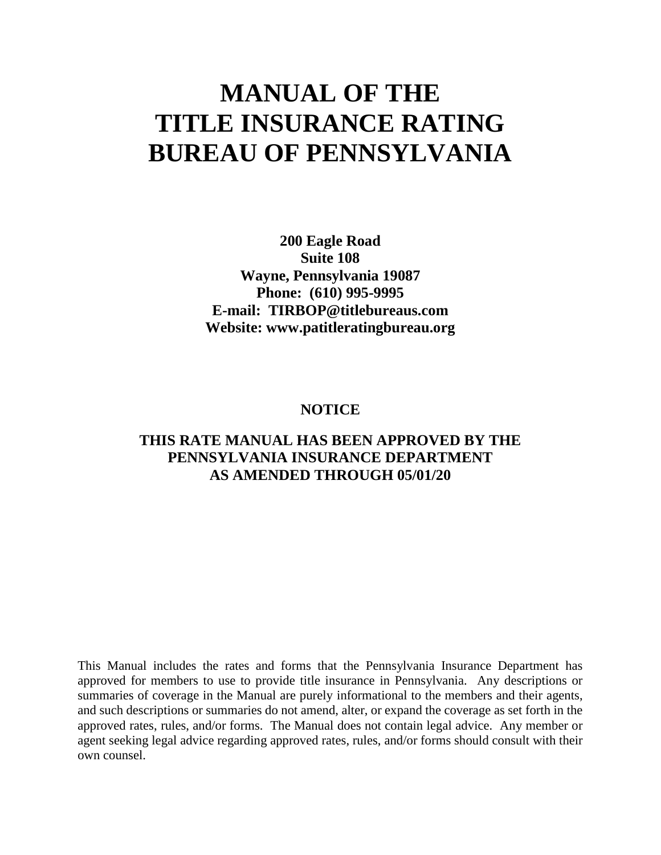# **MANUAL OF THE TITLE INSURANCE RATING BUREAU OF PENNSYLVANIA**

**200 Eagle Road Suite 108 Wayne, Pennsylvania 19087 Phone: (610) 995-9995 E-mail: TIRBOP@titlebureaus.com Website: www.patitleratingbureau.org**

# **NOTICE**

# **THIS RATE MANUAL HAS BEEN APPROVED BY THE PENNSYLVANIA INSURANCE DEPARTMENT AS AMENDED THROUGH 05/01/20**

This Manual includes the rates and forms that the Pennsylvania Insurance Department has approved for members to use to provide title insurance in Pennsylvania. Any descriptions or summaries of coverage in the Manual are purely informational to the members and their agents, and such descriptions or summaries do not amend, alter, or expand the coverage as set forth in the approved rates, rules, and/or forms. The Manual does not contain legal advice. Any member or agent seeking legal advice regarding approved rates, rules, and/or forms should consult with their own counsel.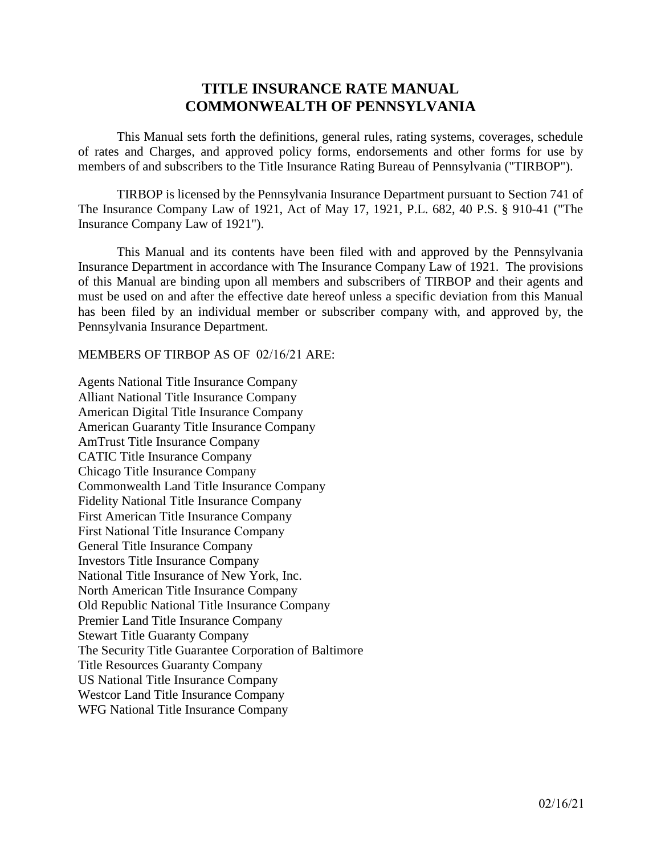# **TITLE INSURANCE RATE MANUAL COMMONWEALTH OF PENNSYLVANIA**

This Manual sets forth the definitions, general rules, rating systems, coverages, schedule of rates and Charges, and approved policy forms, endorsements and other forms for use by members of and subscribers to the Title Insurance Rating Bureau of Pennsylvania ("TIRBOP").

TIRBOP is licensed by the Pennsylvania Insurance Department pursuant to Section 741 of The Insurance Company Law of 1921, Act of May 17, 1921, P.L. 682, 40 P.S. § 910-41 ("The Insurance Company Law of 1921").

This Manual and its contents have been filed with and approved by the Pennsylvania Insurance Department in accordance with The Insurance Company Law of 1921. The provisions of this Manual are binding upon all members and subscribers of TIRBOP and their agents and must be used on and after the effective date hereof unless a specific deviation from this Manual has been filed by an individual member or subscriber company with, and approved by, the Pennsylvania Insurance Department.

MEMBERS OF TIRBOP AS OF 02/16/21 ARE:

Agents National Title Insurance Company Alliant National Title Insurance Company American Digital Title Insurance Company American Guaranty Title Insurance Company AmTrust Title Insurance Company CATIC Title Insurance Company Chicago Title Insurance Company Commonwealth Land Title Insurance Company Fidelity National Title Insurance Company First American Title Insurance Company First National Title Insurance Company General Title Insurance Company Investors Title Insurance Company National Title Insurance of New York, Inc. North American Title Insurance Company Old Republic National Title Insurance Company Premier Land Title Insurance Company Stewart Title Guaranty Company The Security Title Guarantee Corporation of Baltimore Title Resources Guaranty Company US National Title Insurance Company Westcor Land Title Insurance Company WFG National Title Insurance Company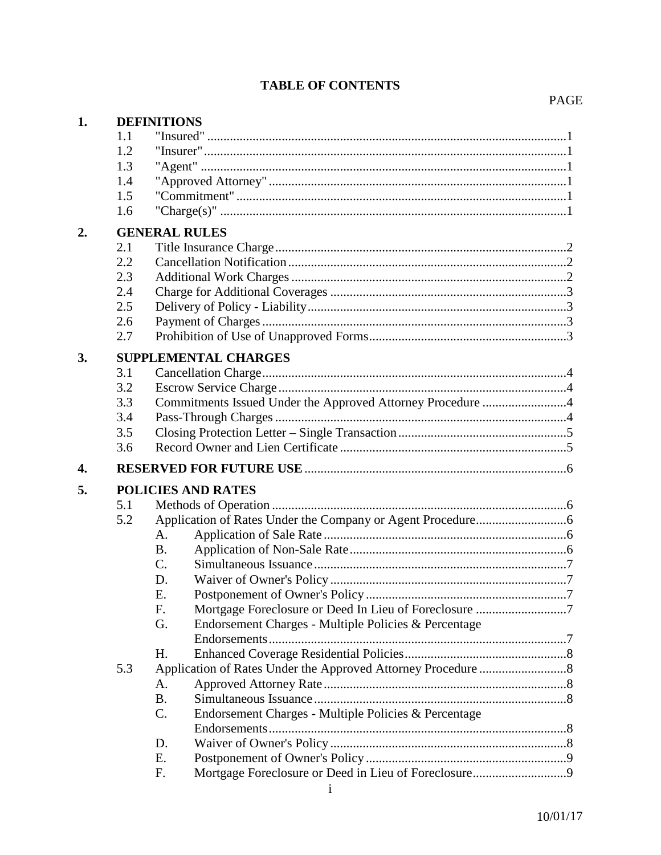# **TABLE OF CONTENTS**

# $\mathop{\mathrm{PAGE}}$

| 1. |     | <b>DEFINITIONS</b>                                            |  |
|----|-----|---------------------------------------------------------------|--|
|    | 1.1 |                                                               |  |
|    | 1.2 |                                                               |  |
|    | 1.3 |                                                               |  |
|    | 1.4 |                                                               |  |
|    | 1.5 |                                                               |  |
|    | 1.6 |                                                               |  |
| 2. |     | <b>GENERAL RULES</b>                                          |  |
|    | 2.1 |                                                               |  |
|    | 2.2 |                                                               |  |
|    | 2.3 |                                                               |  |
|    | 2.4 |                                                               |  |
|    | 2.5 |                                                               |  |
|    | 2.6 |                                                               |  |
|    | 2.7 |                                                               |  |
| 3. |     | <b>SUPPLEMENTAL CHARGES</b>                                   |  |
|    | 3.1 |                                                               |  |
|    | 3.2 |                                                               |  |
|    | 3.3 | Commitments Issued Under the Approved Attorney Procedure 4    |  |
|    | 3.4 |                                                               |  |
|    | 3.5 |                                                               |  |
|    | 3.6 |                                                               |  |
| 4. |     |                                                               |  |
| 5. |     | <b>POLICIES AND RATES</b>                                     |  |
|    | 5.1 |                                                               |  |
|    | 5.2 |                                                               |  |
|    |     | A.                                                            |  |
|    |     | <b>B.</b>                                                     |  |
|    |     | $C$ .                                                         |  |
|    |     | D.                                                            |  |
|    |     | Postponement of Owner's Policy<br>E.                          |  |
|    |     | F.                                                            |  |
|    |     | Endorsement Charges - Multiple Policies & Percentage<br>G.    |  |
|    |     |                                                               |  |
|    |     | H.                                                            |  |
|    | 5.3 |                                                               |  |
|    |     | A.                                                            |  |
|    |     | <b>B.</b>                                                     |  |
|    |     | $C$ .<br>Endorsement Charges - Multiple Policies & Percentage |  |
|    |     |                                                               |  |
|    |     | D.                                                            |  |
|    |     | Ε.                                                            |  |
|    |     | F.                                                            |  |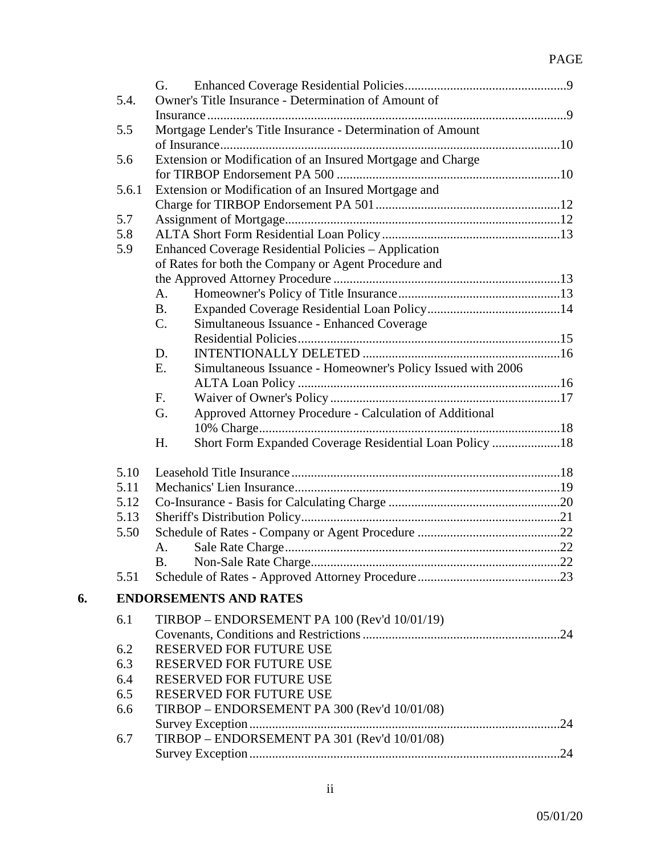# PAGE

|    |       | G.                                                                |  |
|----|-------|-------------------------------------------------------------------|--|
|    | 5.4.  | Owner's Title Insurance - Determination of Amount of              |  |
|    |       |                                                                   |  |
|    | 5.5   | Mortgage Lender's Title Insurance - Determination of Amount       |  |
|    |       |                                                                   |  |
|    | 5.6   | Extension or Modification of an Insured Mortgage and Charge       |  |
|    |       |                                                                   |  |
|    | 5.6.1 | Extension or Modification of an Insured Mortgage and              |  |
|    |       |                                                                   |  |
|    | 5.7   |                                                                   |  |
|    | 5.8   |                                                                   |  |
|    | 5.9   | <b>Enhanced Coverage Residential Policies - Application</b>       |  |
|    |       | of Rates for both the Company or Agent Procedure and              |  |
|    |       |                                                                   |  |
|    |       | A.                                                                |  |
|    |       | <b>B.</b>                                                         |  |
|    |       | C.<br>Simultaneous Issuance - Enhanced Coverage                   |  |
|    |       |                                                                   |  |
|    |       | D.                                                                |  |
|    |       | Ε.<br>Simultaneous Issuance - Homeowner's Policy Issued with 2006 |  |
|    |       |                                                                   |  |
|    |       | F.                                                                |  |
|    |       | Approved Attorney Procedure - Calculation of Additional<br>G.     |  |
|    |       |                                                                   |  |
|    |       | Short Form Expanded Coverage Residential Loan Policy 18<br>H.     |  |
|    | 5.10  |                                                                   |  |
|    | 5.11  |                                                                   |  |
|    | 5.12  |                                                                   |  |
|    | 5.13  |                                                                   |  |
|    | 5.50  |                                                                   |  |
|    |       | А.                                                                |  |
|    |       |                                                                   |  |
|    | 5.51  |                                                                   |  |
| 6. |       | <b>ENDORSEMENTS AND RATES</b>                                     |  |
|    | 6.1   | TIRBOP - ENDORSEMENT PA 100 (Rev'd 10/01/19)                      |  |
|    |       |                                                                   |  |
|    | 6.2   | RESERVED FOR FUTURE USE                                           |  |
|    | 6.3   | <b>RESERVED FOR FUTURE USE</b>                                    |  |
|    | 6.4   | RESERVED FOR FUTURE USE                                           |  |
|    | 6.5   | RESERVED FOR FUTURE USE                                           |  |
|    | 6.6   | TIRBOP - ENDORSEMENT PA 300 (Rev'd 10/01/08)                      |  |
|    |       |                                                                   |  |
|    | 6.7   | TIRBOP - ENDORSEMENT PA 301 (Rev'd 10/01/08)                      |  |
|    |       |                                                                   |  |
|    |       |                                                                   |  |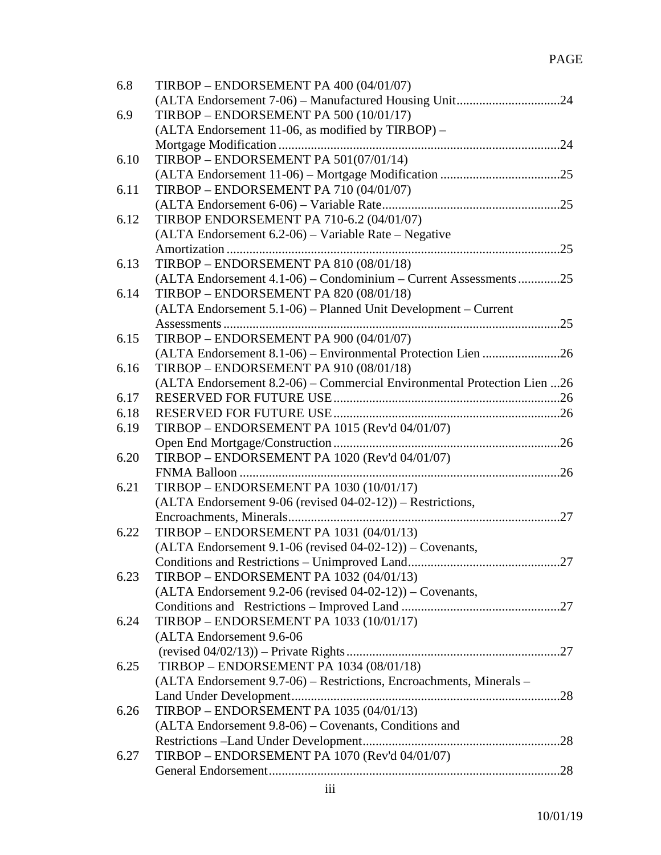| 6.8  | TIRBOP - ENDORSEMENT PA 400 (04/01/07)                                  |
|------|-------------------------------------------------------------------------|
|      |                                                                         |
| 6.9  | TIRBOP - ENDORSEMENT PA 500 (10/01/17)                                  |
|      | (ALTA Endorsement 11-06, as modified by TIRBOP) –                       |
|      |                                                                         |
| 6.10 | TIRBOP - ENDORSEMENT PA 501(07/01/14)                                   |
|      |                                                                         |
| 6.11 | TIRBOP - ENDORSEMENT PA 710 (04/01/07)                                  |
|      |                                                                         |
| 6.12 | TIRBOP ENDORSEMENT PA 710-6.2 (04/01/07)                                |
|      | (ALTA Endorsement 6.2-06) – Variable Rate – Negative                    |
|      |                                                                         |
| 6.13 | TIRBOP - ENDORSEMENT PA 810 (08/01/18)                                  |
|      | (ALTA Endorsement 4.1-06) - Condominium - Current Assessments25         |
| 6.14 | TIRBOP - ENDORSEMENT PA 820 (08/01/18)                                  |
|      | (ALTA Endorsement 5.1-06) – Planned Unit Development – Current          |
|      |                                                                         |
| 6.15 | TIRBOP - ENDORSEMENT PA 900 (04/01/07)                                  |
|      | (ALTA Endorsement 8.1-06) – Environmental Protection Lien 26            |
| 6.16 | TIRBOP - ENDORSEMENT PA 910 (08/01/18)                                  |
|      | (ALTA Endorsement 8.2-06) – Commercial Environmental Protection Lien 26 |
| 6.17 |                                                                         |
| 6.18 |                                                                         |
| 6.19 | TIRBOP - ENDORSEMENT PA 1015 (Rev'd 04/01/07)                           |
|      |                                                                         |
| 6.20 | TIRBOP - ENDORSEMENT PA 1020 (Rev'd 04/01/07)                           |
|      |                                                                         |
| 6.21 | <b>TIRBOP - ENDORSEMENT PA 1030 (10/01/17)</b>                          |
|      | $(ALTA$ Endorsement 9-06 (revised 04-02-12)) – Restrictions,            |
|      |                                                                         |
| 6.22 | <b>TIRBOP - ENDORSEMENT PA 1031 (04/01/13)</b>                          |
|      | $(ALTA$ Endorsement 9.1-06 (revised 04-02-12)) – Covenants,             |
|      |                                                                         |
| 6.23 | TIRBOP – ENDORSEMENT PA $1032 (04/01/13)$                               |
|      | $(ALTA$ Endorsement 9.2-06 (revised 04-02-12)) – Covenants,             |
|      |                                                                         |
| 6.24 | <b>TIRBOP - ENDORSEMENT PA 1033 (10/01/17)</b>                          |
|      | (ALTA Endorsement 9.6-06                                                |
|      |                                                                         |
| 6.25 | <b>TIRBOP - ENDORSEMENT PA 1034 (08/01/18)</b>                          |
|      | (ALTA Endorsement 9.7-06) – Restrictions, Encroachments, Minerals –     |
|      |                                                                         |
| 6.26 | TIRBOP - ENDORSEMENT PA 1035 (04/01/13)                                 |
|      | (ALTA Endorsement 9.8-06) – Covenants, Conditions and                   |
|      |                                                                         |
| 6.27 | TIRBOP – ENDORSEMENT PA 1070 (Rev'd 04/01/07)                           |
|      |                                                                         |
|      |                                                                         |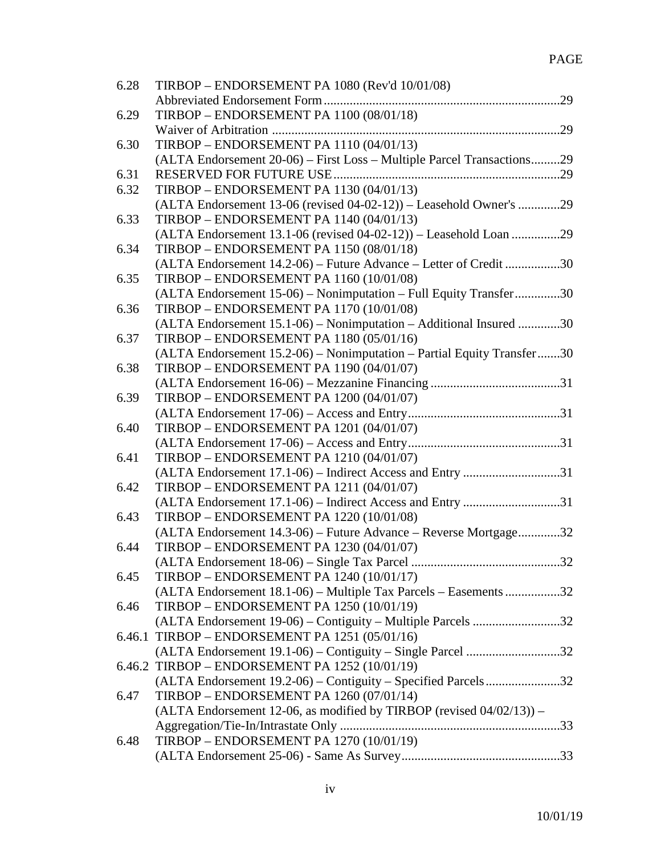| 6.28 | TIRBOP – ENDORSEMENT PA 1080 (Rev'd 10/01/08)                           |
|------|-------------------------------------------------------------------------|
|      |                                                                         |
| 6.29 | <b>TIRBOP - ENDORSEMENT PA 1100 (08/01/18)</b>                          |
|      |                                                                         |
| 6.30 | TIRBOP - ENDORSEMENT PA 1110 (04/01/13)                                 |
|      | (ALTA Endorsement 20-06) – First Loss – Multiple Parcel Transactions29  |
| 6.31 | RESERVED FOR FUTURE USE                                                 |
| 6.32 | <b>TIRBOP - ENDORSEMENT PA 1130 (04/01/13)</b>                          |
|      | (ALTA Endorsement 13-06 (revised 04-02-12)) – Leasehold Owner's 29      |
| 6.33 | TIRBOP - ENDORSEMENT PA 1140 (04/01/13)                                 |
|      | (ALTA Endorsement 13.1-06 (revised 04-02-12)) - Leasehold Loan 29       |
| 6.34 | <b>TIRBOP - ENDORSEMENT PA 1150 (08/01/18)</b>                          |
|      | (ALTA Endorsement 14.2-06) – Future Advance – Letter of Credit 30       |
| 6.35 | <b>TIRBOP - ENDORSEMENT PA 1160 (10/01/08)</b>                          |
|      | (ALTA Endorsement 15-06) – Nonimputation – Full Equity Transfer30       |
| 6.36 | <b>TIRBOP - ENDORSEMENT PA 1170 (10/01/08)</b>                          |
|      | (ALTA Endorsement 15.1-06) – Nonimputation – Additional Insured 30      |
| 6.37 | <b>TIRBOP - ENDORSEMENT PA 1180 (05/01/16)</b>                          |
|      | (ALTA Endorsement 15.2-06) – Nonimputation – Partial Equity Transfer30  |
| 6.38 | TIRBOP - ENDORSEMENT PA 1190 (04/01/07)                                 |
|      |                                                                         |
| 6.39 | TIRBOP - ENDORSEMENT PA 1200 (04/01/07)                                 |
|      |                                                                         |
| 6.40 | <b>TIRBOP - ENDORSEMENT PA 1201 (04/01/07)</b>                          |
|      |                                                                         |
| 6.41 | <b>TIRBOP - ENDORSEMENT PA 1210 (04/01/07)</b>                          |
|      | (ALTA Endorsement 17.1-06) – Indirect Access and Entry 31               |
| 6.42 | <b>TIRBOP - ENDORSEMENT PA 1211 (04/01/07)</b>                          |
|      | (ALTA Endorsement 17.1-06) – Indirect Access and Entry 31               |
| 6.43 | <b>TIRBOP - ENDORSEMENT PA 1220 (10/01/08)</b>                          |
|      | (ALTA Endorsement 14.3-06) – Future Advance – Reverse Mortgage32        |
| 6.44 | <b>TIRBOP - ENDORSEMENT PA 1230 (04/01/07)</b>                          |
|      | 32<br>(ALTA Endorsement 18-06) – Single Tax Parcel                      |
| 6.45 | TIRBOP - ENDORSEMENT PA 1240 (10/01/17)                                 |
|      | (ALTA Endorsement 18.1-06) – Multiple Tax Parcels – Easements 32        |
| 6.46 | TIRBOP - ENDORSEMENT PA 1250 (10/01/19)                                 |
|      | (ALTA Endorsement 19-06) – Contiguity – Multiple Parcels 32             |
|      | 6.46.1 TIRBOP - ENDORSEMENT PA 1251 (05/01/16)                          |
|      | (ALTA Endorsement 19.1-06) – Contiguity – Single Parcel 32              |
|      | 6.46.2 TIRBOP - ENDORSEMENT PA 1252 (10/01/19)                          |
|      | (ALTA Endorsement 19.2-06) – Contiguity – Specified Parcels32           |
| 6.47 | <b>TIRBOP - ENDORSEMENT PA 1260 (07/01/14)</b>                          |
|      | (ALTA Endorsement 12-06, as modified by TIRBOP (revised $04/02/13$ )) – |
|      |                                                                         |
| 6.48 | TIRBOP - ENDORSEMENT PA 1270 (10/01/19)                                 |
|      |                                                                         |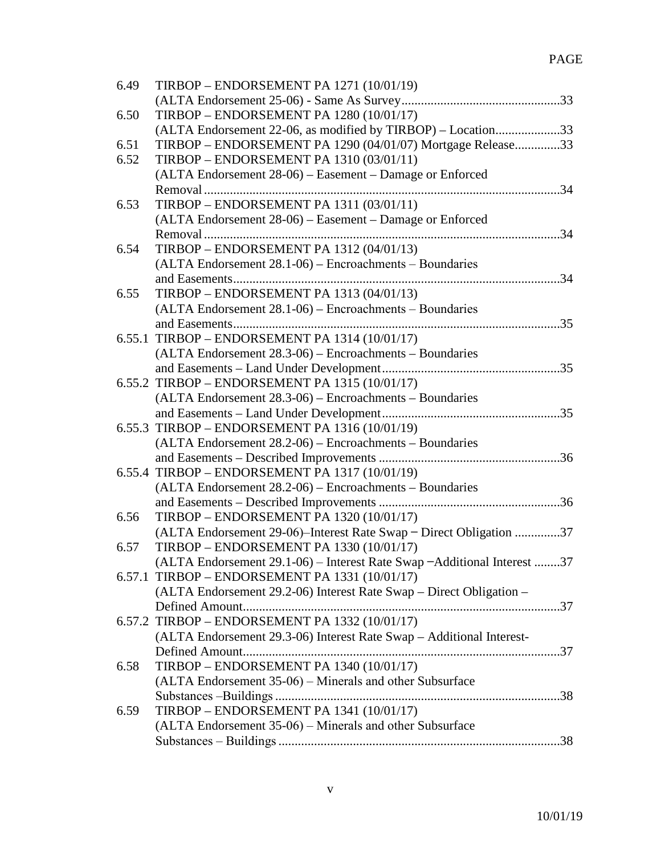| 6.49 | TIRBOP - ENDORSEMENT PA 1271 (10/01/19)                                  |
|------|--------------------------------------------------------------------------|
|      |                                                                          |
| 6.50 | <b>TIRBOP - ENDORSEMENT PA 1280 (10/01/17)</b>                           |
|      | (ALTA Endorsement 22-06, as modified by TIRBOP) - Location33             |
| 6.51 | TIRBOP – ENDORSEMENT PA 1290 (04/01/07) Mortgage Release33               |
| 6.52 | <b>TIRBOP - ENDORSEMENT PA 1310 (03/01/11)</b>                           |
|      | (ALTA Endorsement 28-06) – Easement – Damage or Enforced                 |
|      |                                                                          |
| 6.53 | <b>TIRBOP - ENDORSEMENT PA 1311 (03/01/11)</b>                           |
|      | (ALTA Endorsement 28-06) – Easement – Damage or Enforced                 |
|      |                                                                          |
| 6.54 | TIRBOP - ENDORSEMENT PA 1312 (04/01/13)                                  |
|      | (ALTA Endorsement 28.1-06) - Encroachments - Boundaries                  |
|      |                                                                          |
| 6.55 | TIRBOP - ENDORSEMENT PA 1313 (04/01/13)                                  |
|      | (ALTA Endorsement 28.1-06) - Encroachments - Boundaries                  |
|      |                                                                          |
|      | 6.55.1 TIRBOP - ENDORSEMENT PA 1314 (10/01/17)                           |
|      | (ALTA Endorsement 28.3-06) – Encroachments – Boundaries                  |
|      |                                                                          |
|      | 6.55.2 TIRBOP - ENDORSEMENT PA 1315 (10/01/17)                           |
|      | (ALTA Endorsement 28.3-06) - Encroachments - Boundaries                  |
|      |                                                                          |
|      | 6.55.3 TIRBOP - ENDORSEMENT PA 1316 (10/01/19)                           |
|      | (ALTA Endorsement 28.2-06) - Encroachments - Boundaries                  |
|      |                                                                          |
|      | 6.55.4 TIRBOP - ENDORSEMENT PA 1317 (10/01/19)                           |
|      | (ALTA Endorsement 28.2-06) – Encroachments – Boundaries                  |
|      |                                                                          |
| 6.56 | TIRBOP - ENDORSEMENT PA 1320 (10/01/17)                                  |
|      | (ALTA Endorsement 29-06)-Interest Rate Swap - Direct Obligation 37       |
| 6.57 | <b>TIRBOP - ENDORSEMENT PA 1330 (10/01/17)</b>                           |
|      | (ALTA Endorsement 29.1-06) – Interest Rate Swap – Additional Interest 37 |
|      | 6.57.1 TIRBOP - ENDORSEMENT PA 1331 (10/01/17)                           |
|      | (ALTA Endorsement 29.2-06) Interest Rate Swap – Direct Obligation –      |
|      |                                                                          |
|      | 6.57.2 TIRBOP - ENDORSEMENT PA 1332 (10/01/17)                           |
|      | (ALTA Endorsement 29.3-06) Interest Rate Swap - Additional Interest-     |
|      |                                                                          |
| 6.58 | TIRBOP - ENDORSEMENT PA 1340 (10/01/17)                                  |
|      | (ALTA Endorsement 35-06) – Minerals and other Subsurface                 |
|      |                                                                          |
| 6.59 | TIRBOP - ENDORSEMENT PA 1341 (10/01/17)                                  |
|      | (ALTA Endorsement 35-06) – Minerals and other Subsurface                 |
|      |                                                                          |
|      |                                                                          |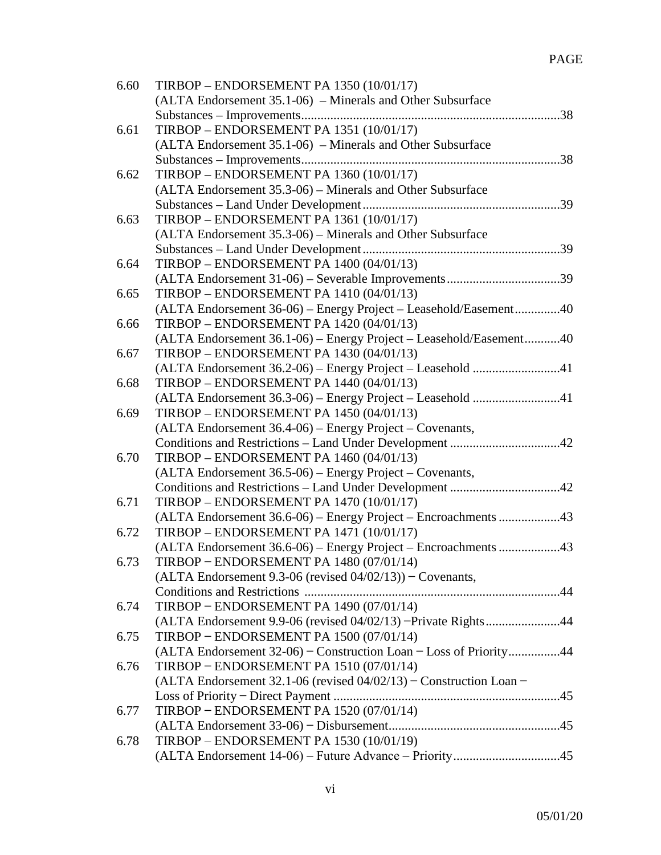| 6.60 | <b>TIRBOP – ENDORSEMENT PA 1350 (10/01/17)</b>                        |
|------|-----------------------------------------------------------------------|
|      | (ALTA Endorsement 35.1-06) – Minerals and Other Subsurface            |
|      |                                                                       |
| 6.61 | TIRBOP - ENDORSEMENT PA 1351 (10/01/17)                               |
|      | (ALTA Endorsement 35.1-06) – Minerals and Other Subsurface            |
|      |                                                                       |
| 6.62 | TIRBOP - ENDORSEMENT PA 1360 (10/01/17)                               |
|      | (ALTA Endorsement 35.3-06) – Minerals and Other Subsurface            |
|      |                                                                       |
| 6.63 | TIRBOP - ENDORSEMENT PA 1361 (10/01/17)                               |
|      | (ALTA Endorsement 35.3-06) – Minerals and Other Subsurface            |
|      |                                                                       |
| 6.64 | <b>TIRBOP - ENDORSEMENT PA 1400 (04/01/13)</b>                        |
|      |                                                                       |
| 6.65 | TIRBOP - ENDORSEMENT PA 1410 (04/01/13)                               |
|      |                                                                       |
|      | (ALTA Endorsement 36-06) - Energy Project - Leasehold/Easement40      |
| 6.66 | TIRBOP - ENDORSEMENT PA 1420 (04/01/13)                               |
|      | (ALTA Endorsement 36.1-06) - Energy Project - Leasehold/Easement40    |
| 6.67 | <b>TIRBOP - ENDORSEMENT PA 1430 (04/01/13)</b>                        |
|      | (ALTA Endorsement 36.2-06) - Energy Project - Leasehold 41            |
| 6.68 | TIRBOP - ENDORSEMENT PA 1440 (04/01/13)                               |
|      | (ALTA Endorsement 36.3-06) - Energy Project - Leasehold 41            |
| 6.69 | <b>TIRBOP - ENDORSEMENT PA 1450 (04/01/13)</b>                        |
|      | (ALTA Endorsement 36.4-06) - Energy Project - Covenants,              |
|      |                                                                       |
| 6.70 | <b>TIRBOP – ENDORSEMENT PA 1460 (04/01/13)</b>                        |
|      | (ALTA Endorsement 36.5-06) – Energy Project – Covenants,              |
|      |                                                                       |
| 6.71 | <b>TIRBOP - ENDORSEMENT PA 1470 (10/01/17)</b>                        |
|      |                                                                       |
| 6.72 | <b>TIRBOP - ENDORSEMENT PA 1471 (10/01/17)</b>                        |
|      |                                                                       |
| 6.73 | TIRBOP – ENDORSEMENT PA $1480(07/01/14)$                              |
|      | $(ALTA$ Endorsement 9.3-06 (revised $04/02/13$ ) – Covenants,         |
|      |                                                                       |
| 6.74 | TIRBOP - ENDORSEMENT PA 1490 (07/01/14)                               |
|      | (ALTA Endorsement 9.9-06 (revised 04/02/13) -Private Rights44         |
| 6.75 | TIRBOP - ENDORSEMENT PA 1500 (07/01/14)                               |
|      | (ALTA Endorsement 32-06) – Construction Loan – Loss of Priority44     |
| 6.76 | TIRBOP - ENDORSEMENT PA 1510 (07/01/14)                               |
|      | (ALTA Endorsement 32.1-06 (revised $04/02/13$ ) – Construction Loan – |
|      |                                                                       |
| 6.77 | TIRBOP - ENDORSEMENT PA 1520 (07/01/14)                               |
|      |                                                                       |
| 6.78 | <b>TIRBOP – ENDORSEMENT PA 1530 (10/01/19)</b>                        |
|      |                                                                       |
|      |                                                                       |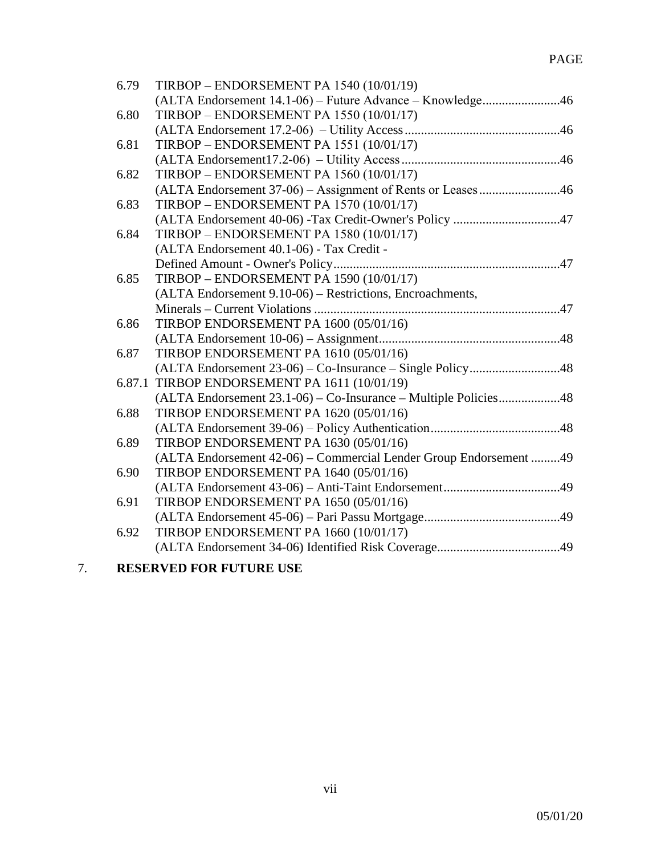| 6.79   | <b>TIRBOP - ENDORSEMENT PA 1540 (10/01/19)</b>                    |
|--------|-------------------------------------------------------------------|
|        | (ALTA Endorsement 14.1-06) - Future Advance - Knowledge46         |
| 6.80   | <b>TIRBOP - ENDORSEMENT PA 1550 (10/01/17)</b>                    |
|        |                                                                   |
| 6.81   | TIRBOP - ENDORSEMENT PA 1551 (10/01/17)                           |
|        |                                                                   |
| 6.82   | <b>TIRBOP - ENDORSEMENT PA 1560 (10/01/17)</b>                    |
|        |                                                                   |
| 6.83   | TIRBOP - ENDORSEMENT PA 1570 (10/01/17)                           |
|        |                                                                   |
| 6.84   | TIRBOP - ENDORSEMENT PA 1580 (10/01/17)                           |
|        | (ALTA Endorsement 40.1-06) - Tax Credit -                         |
|        |                                                                   |
| 6.85   | <b>TIRBOP - ENDORSEMENT PA 1590 (10/01/17)</b>                    |
|        | (ALTA Endorsement 9.10-06) - Restrictions, Encroachments,         |
|        |                                                                   |
| 6.86   | TIRBOP ENDORSEMENT PA 1600 (05/01/16)                             |
|        |                                                                   |
| 6.87   | TIRBOP ENDORSEMENT PA 1610 (05/01/16)                             |
|        |                                                                   |
| 6.87.1 | TIRBOP ENDORSEMENT PA 1611 (10/01/19)                             |
|        | (ALTA Endorsement 23.1-06) – Co-Insurance – Multiple Policies48   |
| 6.88   | TIRBOP ENDORSEMENT PA 1620 (05/01/16)                             |
|        |                                                                   |
| 6.89   | TIRBOP ENDORSEMENT PA 1630 (05/01/16)                             |
|        | (ALTA Endorsement 42-06) - Commercial Lender Group Endorsement 49 |
| 6.90   | TIRBOP ENDORSEMENT PA 1640 (05/01/16)                             |
|        |                                                                   |
| 6.91   | TIRBOP ENDORSEMENT PA 1650 (05/01/16)                             |
|        |                                                                   |
| 6.92   | TIRBOP ENDORSEMENT PA 1660 (10/01/17)                             |
|        |                                                                   |
|        |                                                                   |

7. **RESERVED FOR FUTURE USE**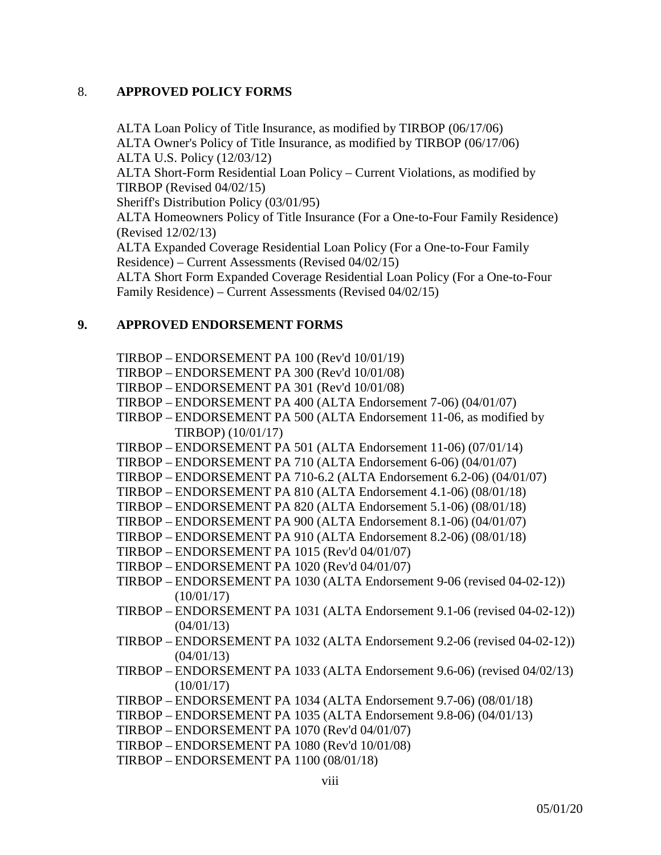# 8. **APPROVED POLICY FORMS**

ALTA Loan Policy of Title Insurance, as modified by TIRBOP (06/17/06) ALTA Owner's Policy of Title Insurance, as modified by TIRBOP (06/17/06) ALTA U.S. Policy (12/03/12) ALTA Short-Form Residential Loan Policy – Current Violations, as modified by TIRBOP (Revised 04/02/15) Sheriff's Distribution Policy (03/01/95) ALTA Homeowners Policy of Title Insurance (For a One-to-Four Family Residence) (Revised 12/02/13) ALTA Expanded Coverage Residential Loan Policy (For a One-to-Four Family Residence) – Current Assessments (Revised 04/02/15) ALTA Short Form Expanded Coverage Residential Loan Policy (For a One-to-Four Family Residence) – Current Assessments (Revised 04/02/15)

## **9. APPROVED ENDORSEMENT FORMS**

TIRBOP – ENDORSEMENT PA 100 (Rev'd 10/01/19)

- TIRBOP ENDORSEMENT PA 300 (Rev'd 10/01/08)
- TIRBOP ENDORSEMENT PA 301 (Rev'd 10/01/08)
- TIRBOP ENDORSEMENT PA 400 (ALTA Endorsement 7-06) (04/01/07)
- TIRBOP ENDORSEMENT PA 500 (ALTA Endorsement 11-06, as modified by TIRBOP) (10/01/17)
- TIRBOP ENDORSEMENT PA 501 (ALTA Endorsement 11-06) (07/01/14)
- TIRBOP ENDORSEMENT PA 710 (ALTA Endorsement 6-06) (04/01/07)
- TIRBOP ENDORSEMENT PA 710-6.2 (ALTA Endorsement 6.2-06) (04/01/07)
- TIRBOP ENDORSEMENT PA 810 (ALTA Endorsement 4.1-06) (08/01/18)
- TIRBOP ENDORSEMENT PA 820 (ALTA Endorsement 5.1-06) (08/01/18)
- TIRBOP ENDORSEMENT PA 900 (ALTA Endorsement 8.1-06) (04/01/07)
- TIRBOP ENDORSEMENT PA 910 (ALTA Endorsement 8.2-06) (08/01/18)
- TIRBOP ENDORSEMENT PA 1015 (Rev'd 04/01/07)
- TIRBOP ENDORSEMENT PA 1020 (Rev'd 04/01/07)
- TIRBOP ENDORSEMENT PA 1030 (ALTA Endorsement 9-06 (revised 04-02-12))  $(10/01/17)$
- TIRBOP ENDORSEMENT PA 1031 (ALTA Endorsement 9.1-06 (revised 04-02-12)) (04/01/13)
- TIRBOP ENDORSEMENT PA 1032 (ALTA Endorsement 9.2-06 (revised 04-02-12))  $(04/01/13)$
- TIRBOP ENDORSEMENT PA 1033 (ALTA Endorsement 9.6-06) (revised 04/02/13)  $(10/01/17)$
- TIRBOP ENDORSEMENT PA 1034 (ALTA Endorsement 9.7-06) (08/01/18)
- TIRBOP ENDORSEMENT PA 1035 (ALTA Endorsement 9.8-06) (04/01/13)
- TIRBOP ENDORSEMENT PA 1070 (Rev'd 04/01/07)
- TIRBOP ENDORSEMENT PA 1080 (Rev'd 10/01/08)
- TIRBOP ENDORSEMENT PA 1100 (08/01/18)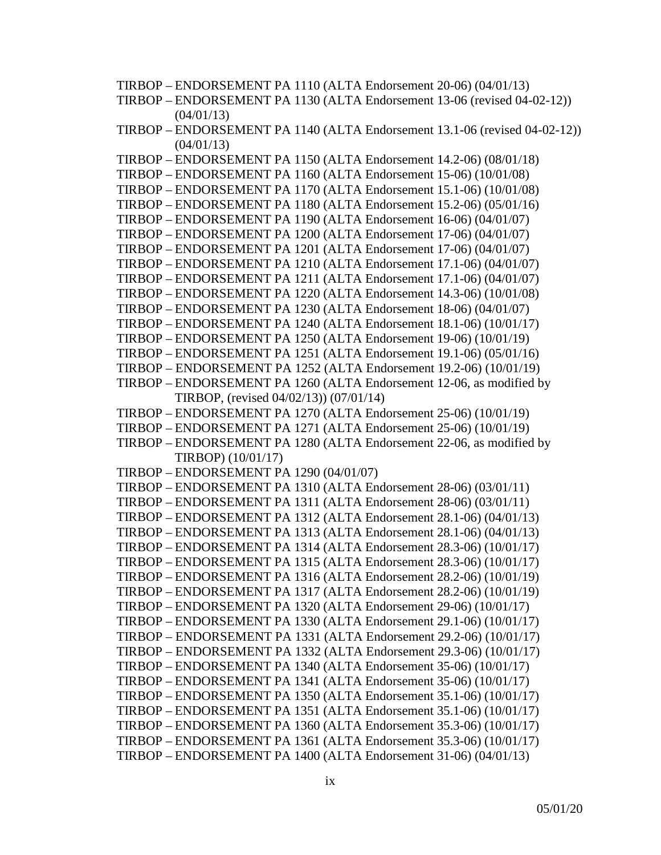TIRBOP – ENDORSEMENT PA 1110 (ALTA Endorsement 20-06) (04/01/13) TIRBOP – ENDORSEMENT PA 1130 (ALTA Endorsement 13-06 (revised 04-02-12))  $(04/01/13)$ TIRBOP – ENDORSEMENT PA 1140 (ALTA Endorsement 13.1-06 (revised 04-02-12))  $(04/01/13)$ TIRBOP – ENDORSEMENT PA 1150 (ALTA Endorsement 14.2-06) (08/01/18) TIRBOP – ENDORSEMENT PA 1160 (ALTA Endorsement 15-06) (10/01/08) TIRBOP – ENDORSEMENT PA 1170 (ALTA Endorsement 15.1-06) (10/01/08) TIRBOP – ENDORSEMENT PA 1180 (ALTA Endorsement 15.2-06) (05/01/16) TIRBOP – ENDORSEMENT PA 1190 (ALTA Endorsement 16-06) (04/01/07) TIRBOP – ENDORSEMENT PA 1200 (ALTA Endorsement 17-06) (04/01/07) TIRBOP – ENDORSEMENT PA 1201 (ALTA Endorsement 17-06) (04/01/07) TIRBOP – ENDORSEMENT PA 1210 (ALTA Endorsement 17.1-06) (04/01/07) TIRBOP – ENDORSEMENT PA 1211 (ALTA Endorsement 17.1-06) (04/01/07) TIRBOP – ENDORSEMENT PA 1220 (ALTA Endorsement 14.3-06) (10/01/08) TIRBOP – ENDORSEMENT PA 1230 (ALTA Endorsement 18-06) (04/01/07) TIRBOP – ENDORSEMENT PA 1240 (ALTA Endorsement 18.1-06) (10/01/17) TIRBOP – ENDORSEMENT PA 1250 (ALTA Endorsement 19-06) (10/01/19) TIRBOP – ENDORSEMENT PA 1251 (ALTA Endorsement 19.1-06) (05/01/16) TIRBOP – ENDORSEMENT PA 1252 (ALTA Endorsement 19.2-06) (10/01/19) TIRBOP – ENDORSEMENT PA 1260 (ALTA Endorsement 12-06, as modified by TIRBOP, (revised 04/02/13)) (07/01/14) TIRBOP – ENDORSEMENT PA 1270 (ALTA Endorsement 25-06) (10/01/19) TIRBOP – ENDORSEMENT PA 1271 (ALTA Endorsement 25-06) (10/01/19) TIRBOP – ENDORSEMENT PA 1280 (ALTA Endorsement 22-06, as modified by TIRBOP) (10/01/17) TIRBOP – ENDORSEMENT PA 1290 (04/01/07) TIRBOP – ENDORSEMENT PA 1310 (ALTA Endorsement 28-06) (03/01/11) TIRBOP – ENDORSEMENT PA 1311 (ALTA Endorsement 28-06) (03/01/11) TIRBOP – ENDORSEMENT PA 1312 (ALTA Endorsement 28.1-06) (04/01/13) TIRBOP – ENDORSEMENT PA 1313 (ALTA Endorsement 28.1-06) (04/01/13) TIRBOP – ENDORSEMENT PA 1314 (ALTA Endorsement 28.3-06) (10/01/17) TIRBOP – ENDORSEMENT PA 1315 (ALTA Endorsement 28.3-06) (10/01/17) TIRBOP – ENDORSEMENT PA 1316 (ALTA Endorsement 28.2-06) (10/01/19) TIRBOP – ENDORSEMENT PA 1317 (ALTA Endorsement 28.2-06) (10/01/19) TIRBOP – ENDORSEMENT PA 1320 (ALTA Endorsement 29-06) (10/01/17) TIRBOP – ENDORSEMENT PA 1330 (ALTA Endorsement 29.1-06) (10/01/17) TIRBOP – ENDORSEMENT PA 1331 (ALTA Endorsement 29.2-06) (10/01/17) TIRBOP – ENDORSEMENT PA 1332 (ALTA Endorsement 29.3-06) (10/01/17) TIRBOP – ENDORSEMENT PA 1340 (ALTA Endorsement 35-06) (10/01/17) TIRBOP – ENDORSEMENT PA 1341 (ALTA Endorsement 35-06) (10/01/17) TIRBOP – ENDORSEMENT PA 1350 (ALTA Endorsement 35.1-06) (10/01/17) TIRBOP – ENDORSEMENT PA 1351 (ALTA Endorsement 35.1-06) (10/01/17) TIRBOP – ENDORSEMENT PA 1360 (ALTA Endorsement 35.3-06) (10/01/17) TIRBOP – ENDORSEMENT PA 1361 (ALTA Endorsement 35.3-06) (10/01/17) TIRBOP – ENDORSEMENT PA 1400 (ALTA Endorsement 31-06) (04/01/13)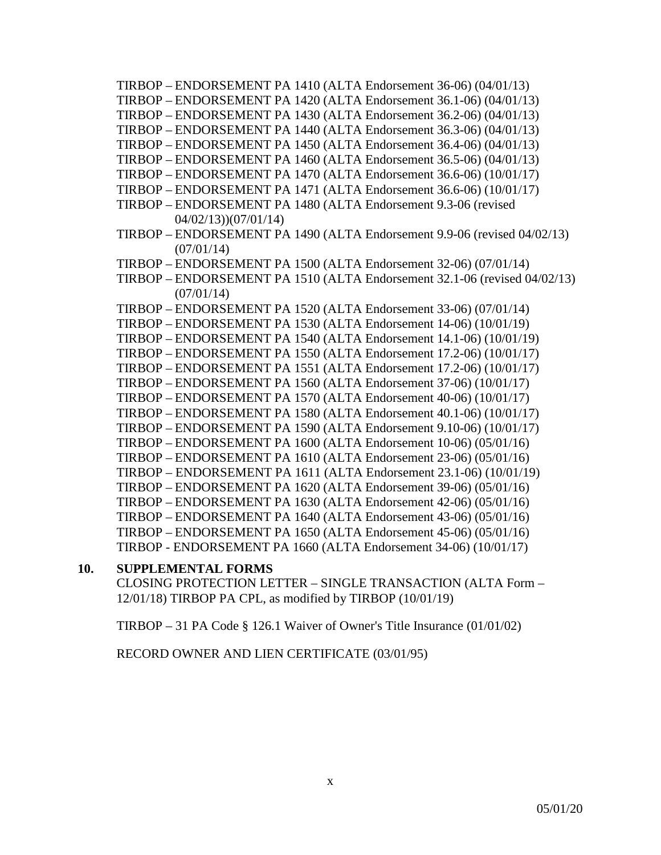TIRBOP – ENDORSEMENT PA 1410 (ALTA Endorsement 36-06) (04/01/13) TIRBOP – ENDORSEMENT PA 1420 (ALTA Endorsement 36.1-06) (04/01/13) TIRBOP – ENDORSEMENT PA 1430 (ALTA Endorsement 36.2-06) (04/01/13) TIRBOP – ENDORSEMENT PA 1440 (ALTA Endorsement 36.3-06) (04/01/13) TIRBOP – ENDORSEMENT PA 1450 (ALTA Endorsement 36.4-06) (04/01/13) TIRBOP – ENDORSEMENT PA 1460 (ALTA Endorsement 36.5-06) (04/01/13) TIRBOP – ENDORSEMENT PA 1470 (ALTA Endorsement 36.6-06) (10/01/17) TIRBOP – ENDORSEMENT PA 1471 (ALTA Endorsement 36.6-06) (10/01/17) TIRBOP – ENDORSEMENT PA 1480 (ALTA Endorsement 9.3-06 (revised 04/02/13))(07/01/14) TIRBOP – ENDORSEMENT PA 1490 (ALTA Endorsement 9.9-06 (revised 04/02/13)  $(07/01/14)$ TIRBOP – ENDORSEMENT PA 1500 (ALTA Endorsement 32-06) (07/01/14) TIRBOP – ENDORSEMENT PA 1510 (ALTA Endorsement 32.1-06 (revised 04/02/13)  $(07/01/14)$ TIRBOP – ENDORSEMENT PA 1520 (ALTA Endorsement 33-06) (07/01/14) TIRBOP – ENDORSEMENT PA 1530 (ALTA Endorsement 14-06) (10/01/19) TIRBOP – ENDORSEMENT PA 1540 (ALTA Endorsement 14.1-06) (10/01/19) TIRBOP – ENDORSEMENT PA 1550 (ALTA Endorsement 17.2-06) (10/01/17) TIRBOP – ENDORSEMENT PA 1551 (ALTA Endorsement 17.2-06) (10/01/17) TIRBOP – ENDORSEMENT PA 1560 (ALTA Endorsement 37-06) (10/01/17) TIRBOP – ENDORSEMENT PA 1570 (ALTA Endorsement 40-06) (10/01/17) TIRBOP – ENDORSEMENT PA 1580 (ALTA Endorsement 40.1-06) (10/01/17) TIRBOP – ENDORSEMENT PA 1590 (ALTA Endorsement 9.10-06) (10/01/17) TIRBOP – ENDORSEMENT PA 1600 (ALTA Endorsement 10-06) (05/01/16) TIRBOP – ENDORSEMENT PA 1610 (ALTA Endorsement 23-06) (05/01/16) TIRBOP – ENDORSEMENT PA 1611 (ALTA Endorsement 23.1-06) (10/01/19) TIRBOP – ENDORSEMENT PA 1620 (ALTA Endorsement 39-06) (05/01/16) TIRBOP – ENDORSEMENT PA 1630 (ALTA Endorsement 42-06) (05/01/16) TIRBOP – ENDORSEMENT PA 1640 (ALTA Endorsement 43-06) (05/01/16) TIRBOP – ENDORSEMENT PA 1650 (ALTA Endorsement 45-06) (05/01/16) TIRBOP - ENDORSEMENT PA 1660 (ALTA Endorsement 34-06) (10/01/17)

#### **10. SUPPLEMENTAL FORMS**

CLOSING PROTECTION LETTER – SINGLE TRANSACTION (ALTA Form – 12/01/18) TIRBOP PA CPL, as modified by TIRBOP (10/01/19)

TIRBOP – 31 PA Code § 126.1 Waiver of Owner's Title Insurance (01/01/02)

RECORD OWNER AND LIEN CERTIFICATE (03/01/95)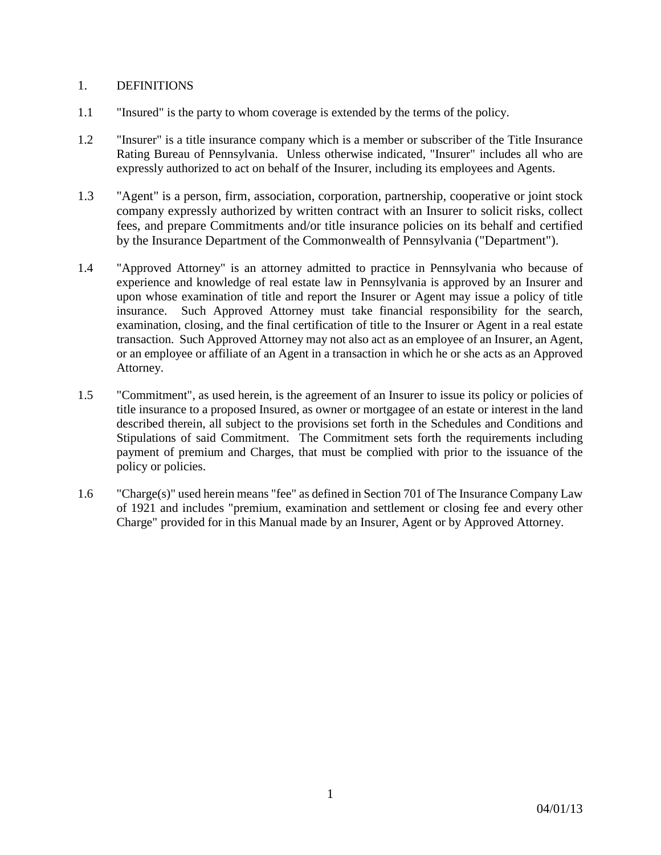## 1. DEFINITIONS

- 1.1 "Insured" is the party to whom coverage is extended by the terms of the policy.
- 1.2 "Insurer" is a title insurance company which is a member or subscriber of the Title Insurance Rating Bureau of Pennsylvania. Unless otherwise indicated, "Insurer" includes all who are expressly authorized to act on behalf of the Insurer, including its employees and Agents.
- 1.3 "Agent" is a person, firm, association, corporation, partnership, cooperative or joint stock company expressly authorized by written contract with an Insurer to solicit risks, collect fees, and prepare Commitments and/or title insurance policies on its behalf and certified by the Insurance Department of the Commonwealth of Pennsylvania ("Department").
- 1.4 "Approved Attorney" is an attorney admitted to practice in Pennsylvania who because of experience and knowledge of real estate law in Pennsylvania is approved by an Insurer and upon whose examination of title and report the Insurer or Agent may issue a policy of title insurance. Such Approved Attorney must take financial responsibility for the search, examination, closing, and the final certification of title to the Insurer or Agent in a real estate transaction. Such Approved Attorney may not also act as an employee of an Insurer, an Agent, or an employee or affiliate of an Agent in a transaction in which he or she acts as an Approved Attorney.
- 1.5 "Commitment", as used herein, is the agreement of an Insurer to issue its policy or policies of title insurance to a proposed Insured, as owner or mortgagee of an estate or interest in the land described therein, all subject to the provisions set forth in the Schedules and Conditions and Stipulations of said Commitment. The Commitment sets forth the requirements including payment of premium and Charges, that must be complied with prior to the issuance of the policy or policies.
- 1.6 "Charge(s)" used herein means "fee" as defined in Section 701 of The Insurance Company Law of 1921 and includes "premium, examination and settlement or closing fee and every other Charge" provided for in this Manual made by an Insurer, Agent or by Approved Attorney.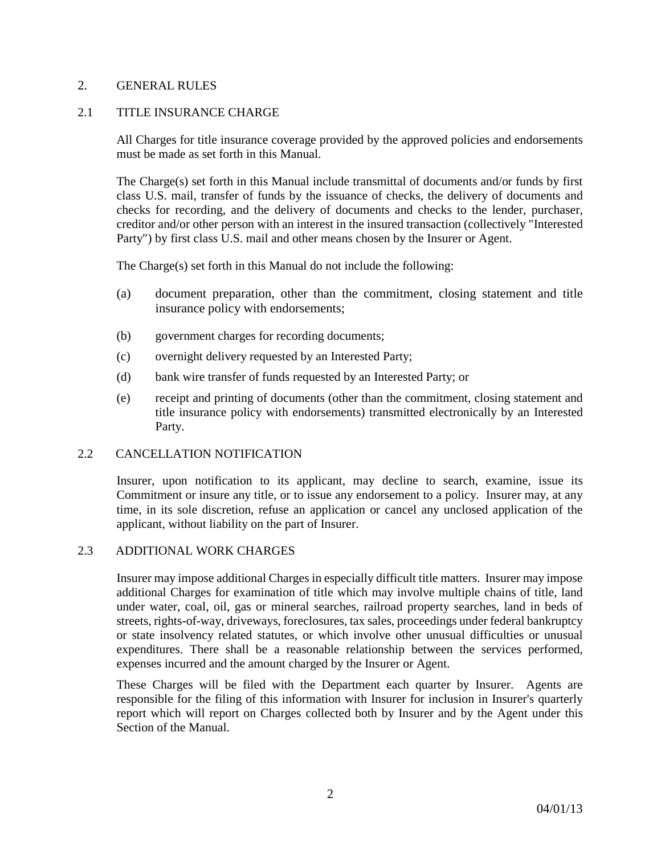## 2. GENERAL RULES

## 2.1 TITLE INSURANCE CHARGE

All Charges for title insurance coverage provided by the approved policies and endorsements must be made as set forth in this Manual.

The Charge(s) set forth in this Manual include transmittal of documents and/or funds by first class U.S. mail, transfer of funds by the issuance of checks, the delivery of documents and checks for recording, and the delivery of documents and checks to the lender, purchaser, creditor and/or other person with an interest in the insured transaction (collectively "Interested Party") by first class U.S. mail and other means chosen by the Insurer or Agent.

The Charge(s) set forth in this Manual do not include the following:

- (a) document preparation, other than the commitment, closing statement and title insurance policy with endorsements;
- (b) government charges for recording documents;
- (c) overnight delivery requested by an Interested Party;
- (d) bank wire transfer of funds requested by an Interested Party; or
- (e) receipt and printing of documents (other than the commitment, closing statement and title insurance policy with endorsements) transmitted electronically by an Interested Party.

#### 2.2 CANCELLATION NOTIFICATION

Insurer, upon notification to its applicant, may decline to search, examine, issue its Commitment or insure any title, or to issue any endorsement to a policy. Insurer may, at any time, in its sole discretion, refuse an application or cancel any unclosed application of the applicant, without liability on the part of Insurer.

#### 2.3 ADDITIONAL WORK CHARGES

Insurer may impose additional Charges in especially difficult title matters. Insurer may impose additional Charges for examination of title which may involve multiple chains of title, land under water, coal, oil, gas or mineral searches, railroad property searches, land in beds of streets, rights-of-way, driveways, foreclosures, tax sales, proceedings under federal bankruptcy or state insolvency related statutes, or which involve other unusual difficulties or unusual expenditures. There shall be a reasonable relationship between the services performed, expenses incurred and the amount charged by the Insurer or Agent.

These Charges will be filed with the Department each quarter by Insurer. Agents are responsible for the filing of this information with Insurer for inclusion in Insurer's quarterly report which will report on Charges collected both by Insurer and by the Agent under this Section of the Manual.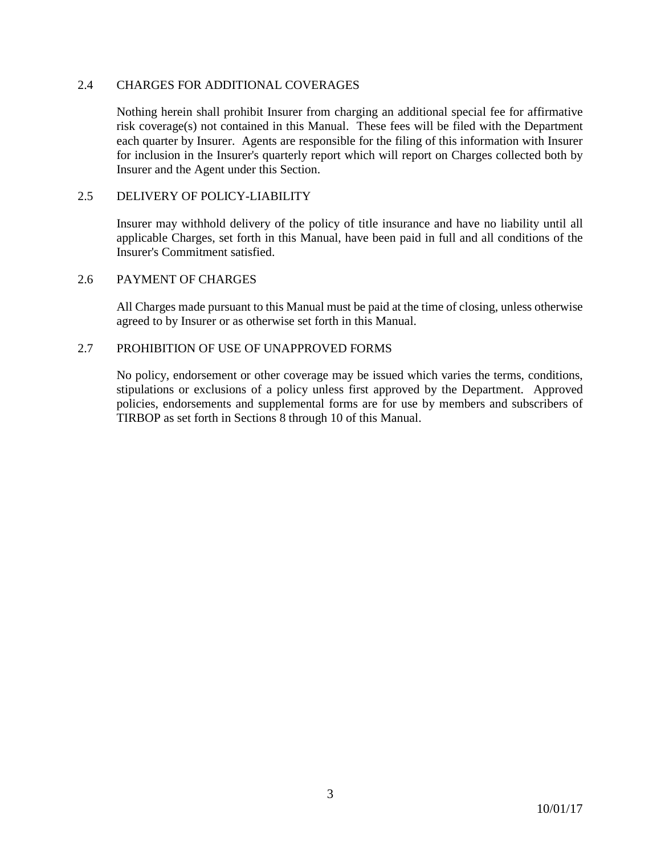## 2.4 CHARGES FOR ADDITIONAL COVERAGES

Nothing herein shall prohibit Insurer from charging an additional special fee for affirmative risk coverage(s) not contained in this Manual. These fees will be filed with the Department each quarter by Insurer. Agents are responsible for the filing of this information with Insurer for inclusion in the Insurer's quarterly report which will report on Charges collected both by Insurer and the Agent under this Section.

## 2.5 DELIVERY OF POLICY-LIABILITY

Insurer may withhold delivery of the policy of title insurance and have no liability until all applicable Charges, set forth in this Manual, have been paid in full and all conditions of the Insurer's Commitment satisfied.

#### 2.6 PAYMENT OF CHARGES

All Charges made pursuant to this Manual must be paid at the time of closing, unless otherwise agreed to by Insurer or as otherwise set forth in this Manual.

## 2.7 PROHIBITION OF USE OF UNAPPROVED FORMS

No policy, endorsement or other coverage may be issued which varies the terms, conditions, stipulations or exclusions of a policy unless first approved by the Department. Approved policies, endorsements and supplemental forms are for use by members and subscribers of TIRBOP as set forth in Sections 8 through 10 of this Manual.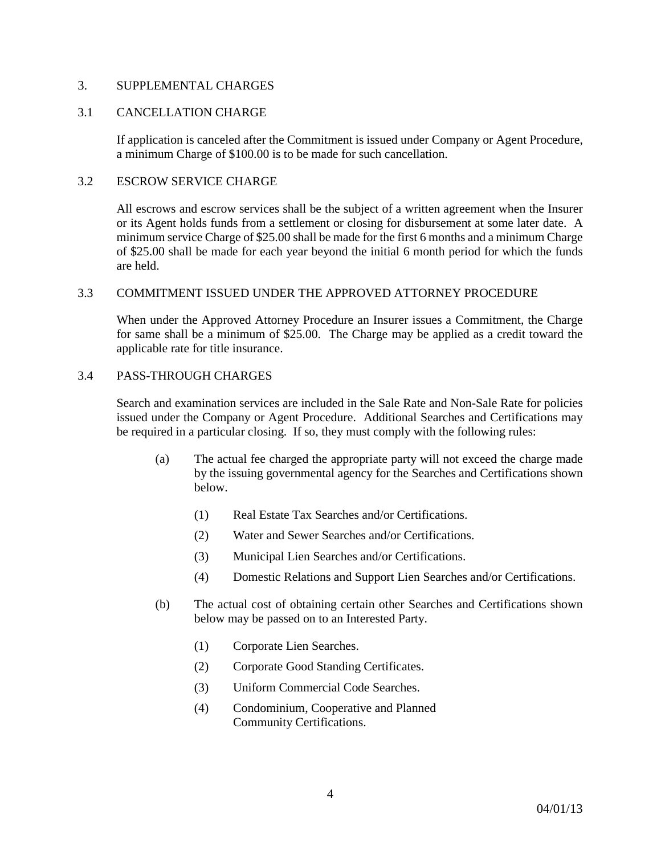## 3. SUPPLEMENTAL CHARGES

## 3.1 CANCELLATION CHARGE

If application is canceled after the Commitment is issued under Company or Agent Procedure, a minimum Charge of \$100.00 is to be made for such cancellation.

#### 3.2 ESCROW SERVICE CHARGE

All escrows and escrow services shall be the subject of a written agreement when the Insurer or its Agent holds funds from a settlement or closing for disbursement at some later date. A minimum service Charge of \$25.00 shall be made for the first 6 months and a minimum Charge of \$25.00 shall be made for each year beyond the initial 6 month period for which the funds are held.

## 3.3 COMMITMENT ISSUED UNDER THE APPROVED ATTORNEY PROCEDURE

When under the Approved Attorney Procedure an Insurer issues a Commitment, the Charge for same shall be a minimum of \$25.00. The Charge may be applied as a credit toward the applicable rate for title insurance.

## 3.4 PASS-THROUGH CHARGES

Search and examination services are included in the Sale Rate and Non-Sale Rate for policies issued under the Company or Agent Procedure. Additional Searches and Certifications may be required in a particular closing. If so, they must comply with the following rules:

- (a) The actual fee charged the appropriate party will not exceed the charge made by the issuing governmental agency for the Searches and Certifications shown below.
	- (1) Real Estate Tax Searches and/or Certifications.
	- (2) Water and Sewer Searches and/or Certifications.
	- (3) Municipal Lien Searches and/or Certifications.
	- (4) Domestic Relations and Support Lien Searches and/or Certifications.
- (b) The actual cost of obtaining certain other Searches and Certifications shown below may be passed on to an Interested Party.
	- (1) Corporate Lien Searches.
	- (2) Corporate Good Standing Certificates.
	- (3) Uniform Commercial Code Searches.
	- (4) Condominium, Cooperative and Planned Community Certifications.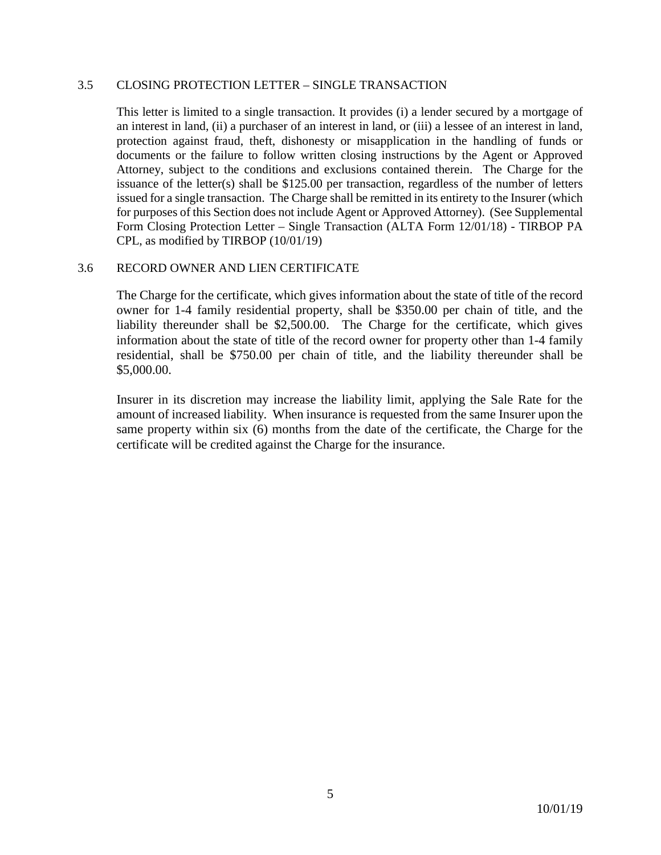## 3.5 CLOSING PROTECTION LETTER – SINGLE TRANSACTION

This letter is limited to a single transaction. It provides (i) a lender secured by a mortgage of an interest in land, (ii) a purchaser of an interest in land, or (iii) a lessee of an interest in land, protection against fraud, theft, dishonesty or misapplication in the handling of funds or documents or the failure to follow written closing instructions by the Agent or Approved Attorney, subject to the conditions and exclusions contained therein. The Charge for the issuance of the letter(s) shall be \$125.00 per transaction, regardless of the number of letters issued for a single transaction. The Charge shall be remitted in its entirety to the Insurer (which for purposes of this Section does not include Agent or Approved Attorney). (See Supplemental Form Closing Protection Letter – Single Transaction (ALTA Form 12/01/18) - TIRBOP PA CPL, as modified by TIRBOP (10/01/19)

#### 3.6 RECORD OWNER AND LIEN CERTIFICATE

The Charge for the certificate, which gives information about the state of title of the record owner for 1-4 family residential property, shall be \$350.00 per chain of title, and the liability thereunder shall be \$2,500.00. The Charge for the certificate, which gives information about the state of title of the record owner for property other than 1-4 family residential, shall be \$750.00 per chain of title, and the liability thereunder shall be \$5,000.00.

Insurer in its discretion may increase the liability limit, applying the Sale Rate for the amount of increased liability. When insurance is requested from the same Insurer upon the same property within six (6) months from the date of the certificate, the Charge for the certificate will be credited against the Charge for the insurance.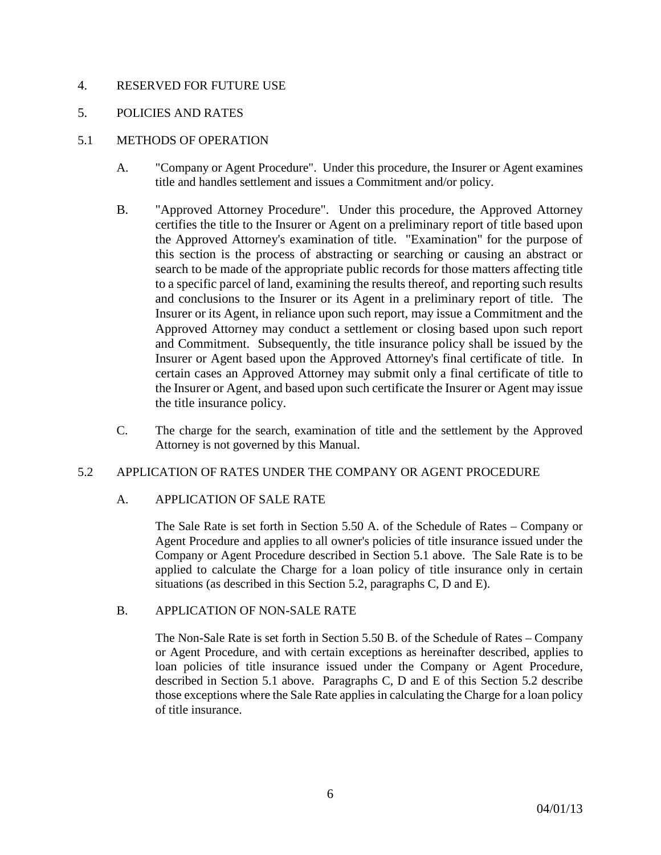## 4. RESERVED FOR FUTURE USE

## 5. POLICIES AND RATES

## 5.1 METHODS OF OPERATION

- A. "Company or Agent Procedure". Under this procedure, the Insurer or Agent examines title and handles settlement and issues a Commitment and/or policy.
- B. "Approved Attorney Procedure". Under this procedure, the Approved Attorney certifies the title to the Insurer or Agent on a preliminary report of title based upon the Approved Attorney's examination of title. "Examination" for the purpose of this section is the process of abstracting or searching or causing an abstract or search to be made of the appropriate public records for those matters affecting title to a specific parcel of land, examining the results thereof, and reporting such results and conclusions to the Insurer or its Agent in a preliminary report of title. The Insurer or its Agent, in reliance upon such report, may issue a Commitment and the Approved Attorney may conduct a settlement or closing based upon such report and Commitment. Subsequently, the title insurance policy shall be issued by the Insurer or Agent based upon the Approved Attorney's final certificate of title. In certain cases an Approved Attorney may submit only a final certificate of title to the Insurer or Agent, and based upon such certificate the Insurer or Agent may issue the title insurance policy.
- C. The charge for the search, examination of title and the settlement by the Approved Attorney is not governed by this Manual.

#### 5.2 APPLICATION OF RATES UNDER THE COMPANY OR AGENT PROCEDURE

#### A. APPLICATION OF SALE RATE

The Sale Rate is set forth in Section 5.50 A. of the Schedule of Rates – Company or Agent Procedure and applies to all owner's policies of title insurance issued under the Company or Agent Procedure described in Section 5.1 above. The Sale Rate is to be applied to calculate the Charge for a loan policy of title insurance only in certain situations (as described in this Section 5.2, paragraphs C, D and E).

#### B. APPLICATION OF NON-SALE RATE

The Non-Sale Rate is set forth in Section 5.50 B. of the Schedule of Rates – Company or Agent Procedure, and with certain exceptions as hereinafter described, applies to loan policies of title insurance issued under the Company or Agent Procedure, described in Section 5.1 above. Paragraphs C, D and E of this Section 5.2 describe those exceptions where the Sale Rate applies in calculating the Charge for a loan policy of title insurance.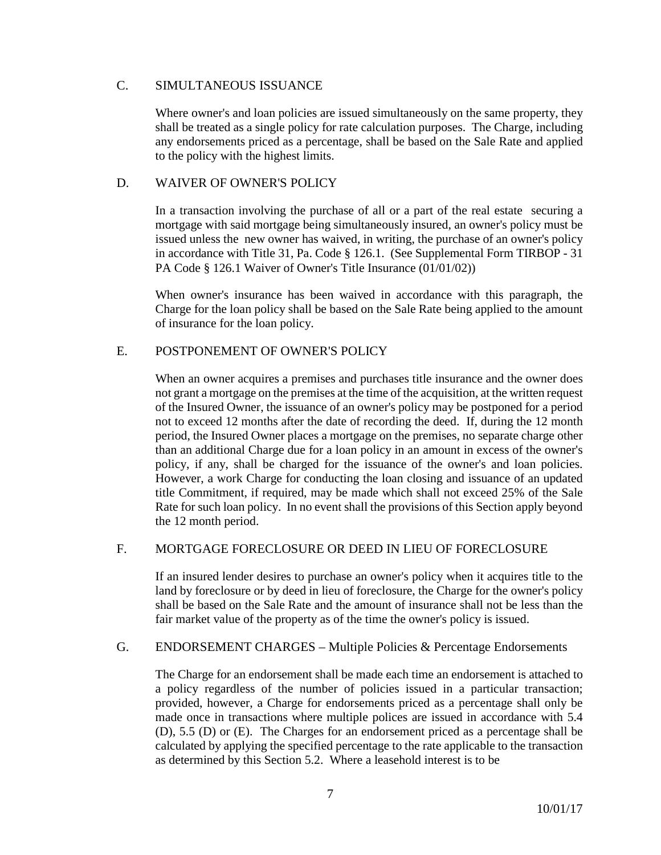## C. SIMULTANEOUS ISSUANCE

Where owner's and loan policies are issued simultaneously on the same property, they shall be treated as a single policy for rate calculation purposes. The Charge, including any endorsements priced as a percentage, shall be based on the Sale Rate and applied to the policy with the highest limits.

## D. WAIVER OF OWNER'S POLICY

In a transaction involving the purchase of all or a part of the real estate securing a mortgage with said mortgage being simultaneously insured, an owner's policy must be issued unless the new owner has waived, in writing, the purchase of an owner's policy in accordance with Title 31, Pa. Code § 126.1. (See Supplemental Form TIRBOP - 31 PA Code § 126.1 Waiver of Owner's Title Insurance (01/01/02))

When owner's insurance has been waived in accordance with this paragraph, the Charge for the loan policy shall be based on the Sale Rate being applied to the amount of insurance for the loan policy.

# E. POSTPONEMENT OF OWNER'S POLICY

When an owner acquires a premises and purchases title insurance and the owner does not grant a mortgage on the premises at the time of the acquisition, at the written request of the Insured Owner, the issuance of an owner's policy may be postponed for a period not to exceed 12 months after the date of recording the deed. If, during the 12 month period, the Insured Owner places a mortgage on the premises, no separate charge other than an additional Charge due for a loan policy in an amount in excess of the owner's policy, if any, shall be charged for the issuance of the owner's and loan policies. However, a work Charge for conducting the loan closing and issuance of an updated title Commitment, if required, may be made which shall not exceed 25% of the Sale Rate for such loan policy. In no event shall the provisions of this Section apply beyond the 12 month period.

## F. MORTGAGE FORECLOSURE OR DEED IN LIEU OF FORECLOSURE

If an insured lender desires to purchase an owner's policy when it acquires title to the land by foreclosure or by deed in lieu of foreclosure, the Charge for the owner's policy shall be based on the Sale Rate and the amount of insurance shall not be less than the fair market value of the property as of the time the owner's policy is issued.

## G. ENDORSEMENT CHARGES – Multiple Policies & Percentage Endorsements

The Charge for an endorsement shall be made each time an endorsement is attached to a policy regardless of the number of policies issued in a particular transaction; provided, however, a Charge for endorsements priced as a percentage shall only be made once in transactions where multiple polices are issued in accordance with 5.4 (D), 5.5 (D) or (E). The Charges for an endorsement priced as a percentage shall be calculated by applying the specified percentage to the rate applicable to the transaction as determined by this Section 5.2. Where a leasehold interest is to be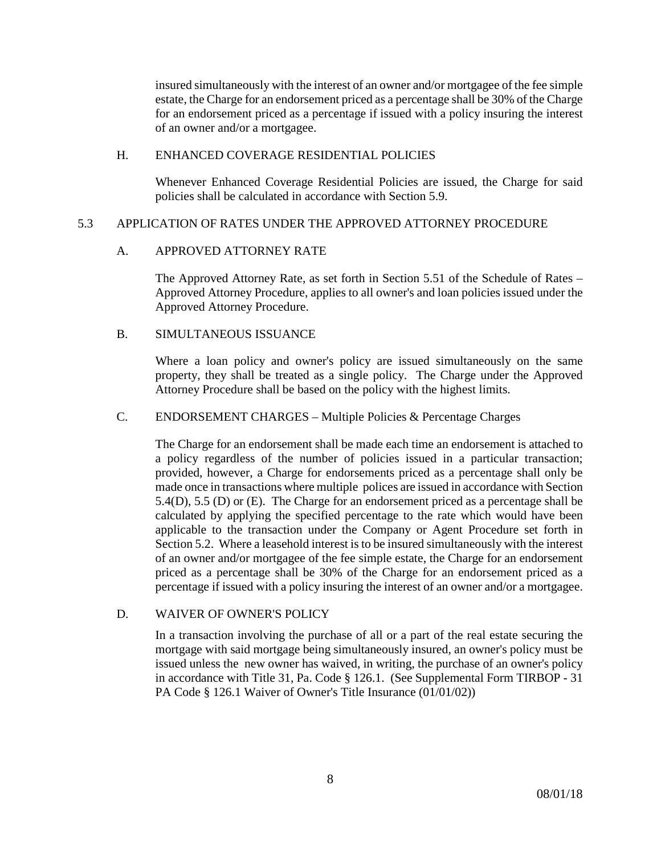insured simultaneously with the interest of an owner and/or mortgagee of the fee simple estate, the Charge for an endorsement priced as a percentage shall be 30% of the Charge for an endorsement priced as a percentage if issued with a policy insuring the interest of an owner and/or a mortgagee.

#### H. ENHANCED COVERAGE RESIDENTIAL POLICIES

Whenever Enhanced Coverage Residential Policies are issued, the Charge for said policies shall be calculated in accordance with Section 5.9.

## 5.3 APPLICATION OF RATES UNDER THE APPROVED ATTORNEY PROCEDURE

## A. APPROVED ATTORNEY RATE

The Approved Attorney Rate, as set forth in Section 5.51 of the Schedule of Rates – Approved Attorney Procedure, applies to all owner's and loan policies issued under the Approved Attorney Procedure.

## B. SIMULTANEOUS ISSUANCE

Where a loan policy and owner's policy are issued simultaneously on the same property, they shall be treated as a single policy. The Charge under the Approved Attorney Procedure shall be based on the policy with the highest limits.

## C. ENDORSEMENT CHARGES – Multiple Policies & Percentage Charges

The Charge for an endorsement shall be made each time an endorsement is attached to a policy regardless of the number of policies issued in a particular transaction; provided, however, a Charge for endorsements priced as a percentage shall only be made once in transactions where multiple polices are issued in accordance with Section 5.4(D), 5.5 (D) or (E). The Charge for an endorsement priced as a percentage shall be calculated by applying the specified percentage to the rate which would have been applicable to the transaction under the Company or Agent Procedure set forth in Section 5.2. Where a leasehold interest is to be insured simultaneously with the interest of an owner and/or mortgagee of the fee simple estate, the Charge for an endorsement priced as a percentage shall be 30% of the Charge for an endorsement priced as a percentage if issued with a policy insuring the interest of an owner and/or a mortgagee.

## D. WAIVER OF OWNER'S POLICY

In a transaction involving the purchase of all or a part of the real estate securing the mortgage with said mortgage being simultaneously insured, an owner's policy must be issued unless the new owner has waived, in writing, the purchase of an owner's policy in accordance with Title 31, Pa. Code § 126.1. (See Supplemental Form TIRBOP - 31 PA Code § 126.1 Waiver of Owner's Title Insurance (01/01/02))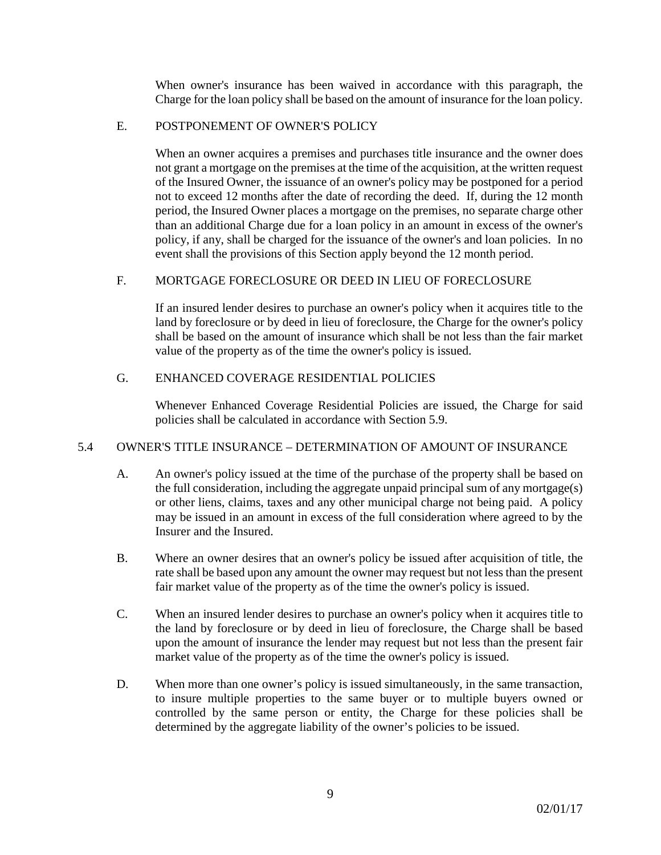When owner's insurance has been waived in accordance with this paragraph, the Charge for the loan policy shall be based on the amount of insurance for the loan policy.

#### E. POSTPONEMENT OF OWNER'S POLICY

When an owner acquires a premises and purchases title insurance and the owner does not grant a mortgage on the premises at the time of the acquisition, at the written request of the Insured Owner, the issuance of an owner's policy may be postponed for a period not to exceed 12 months after the date of recording the deed. If, during the 12 month period, the Insured Owner places a mortgage on the premises, no separate charge other than an additional Charge due for a loan policy in an amount in excess of the owner's policy, if any, shall be charged for the issuance of the owner's and loan policies. In no event shall the provisions of this Section apply beyond the 12 month period.

## F. MORTGAGE FORECLOSURE OR DEED IN LIEU OF FORECLOSURE

If an insured lender desires to purchase an owner's policy when it acquires title to the land by foreclosure or by deed in lieu of foreclosure, the Charge for the owner's policy shall be based on the amount of insurance which shall be not less than the fair market value of the property as of the time the owner's policy is issued.

## G. ENHANCED COVERAGE RESIDENTIAL POLICIES

Whenever Enhanced Coverage Residential Policies are issued, the Charge for said policies shall be calculated in accordance with Section 5.9.

## 5.4 OWNER'S TITLE INSURANCE – DETERMINATION OF AMOUNT OF INSURANCE

- A. An owner's policy issued at the time of the purchase of the property shall be based on the full consideration, including the aggregate unpaid principal sum of any mortgage(s) or other liens, claims, taxes and any other municipal charge not being paid. A policy may be issued in an amount in excess of the full consideration where agreed to by the Insurer and the Insured.
- B. Where an owner desires that an owner's policy be issued after acquisition of title, the rate shall be based upon any amount the owner may request but not less than the present fair market value of the property as of the time the owner's policy is issued.
- C. When an insured lender desires to purchase an owner's policy when it acquires title to the land by foreclosure or by deed in lieu of foreclosure, the Charge shall be based upon the amount of insurance the lender may request but not less than the present fair market value of the property as of the time the owner's policy is issued.
- D. When more than one owner's policy is issued simultaneously, in the same transaction, to insure multiple properties to the same buyer or to multiple buyers owned or controlled by the same person or entity, the Charge for these policies shall be determined by the aggregate liability of the owner's policies to be issued.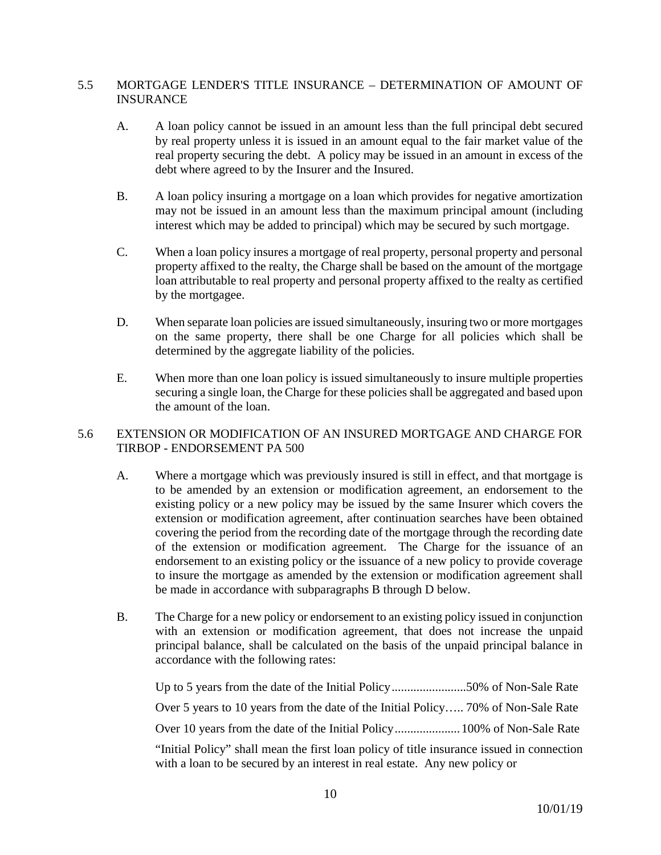## 5.5 MORTGAGE LENDER'S TITLE INSURANCE – DETERMINATION OF AMOUNT OF INSURANCE

- A. A loan policy cannot be issued in an amount less than the full principal debt secured by real property unless it is issued in an amount equal to the fair market value of the real property securing the debt. A policy may be issued in an amount in excess of the debt where agreed to by the Insurer and the Insured.
- B. A loan policy insuring a mortgage on a loan which provides for negative amortization may not be issued in an amount less than the maximum principal amount (including interest which may be added to principal) which may be secured by such mortgage.
- C. When a loan policy insures a mortgage of real property, personal property and personal property affixed to the realty, the Charge shall be based on the amount of the mortgage loan attributable to real property and personal property affixed to the realty as certified by the mortgagee.
- D. When separate loan policies are issued simultaneously, insuring two or more mortgages on the same property, there shall be one Charge for all policies which shall be determined by the aggregate liability of the policies.
- E. When more than one loan policy is issued simultaneously to insure multiple properties securing a single loan, the Charge for these policies shall be aggregated and based upon the amount of the loan.

## 5.6 EXTENSION OR MODIFICATION OF AN INSURED MORTGAGE AND CHARGE FOR TIRBOP - ENDORSEMENT PA 500

- A. Where a mortgage which was previously insured is still in effect, and that mortgage is to be amended by an extension or modification agreement, an endorsement to the existing policy or a new policy may be issued by the same Insurer which covers the extension or modification agreement, after continuation searches have been obtained covering the period from the recording date of the mortgage through the recording date of the extension or modification agreement. The Charge for the issuance of an endorsement to an existing policy or the issuance of a new policy to provide coverage to insure the mortgage as amended by the extension or modification agreement shall be made in accordance with subparagraphs B through D below.
- B. The Charge for a new policy or endorsement to an existing policy issued in conjunction with an extension or modification agreement, that does not increase the unpaid principal balance, shall be calculated on the basis of the unpaid principal balance in accordance with the following rates:

Up to 5 years from the date of the Initial Policy........................50% of Non-Sale Rate Over 5 years to 10 years from the date of the Initial Policy….. 70% of Non-Sale Rate Over 10 years from the date of the Initial Policy.....................100% of Non-Sale Rate "Initial Policy" shall mean the first loan policy of title insurance issued in connection with a loan to be secured by an interest in real estate. Any new policy or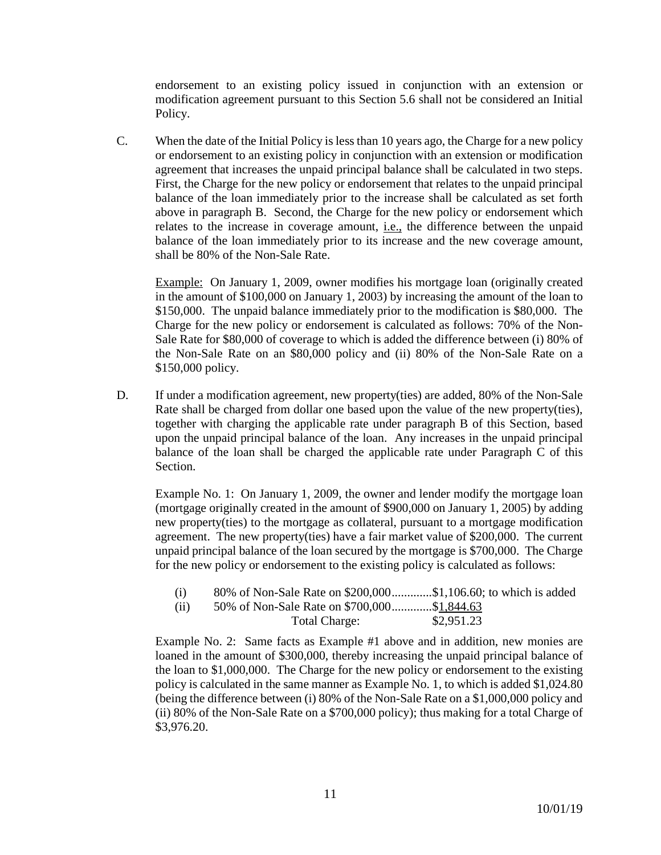endorsement to an existing policy issued in conjunction with an extension or modification agreement pursuant to this Section 5.6 shall not be considered an Initial Policy.

C. When the date of the Initial Policy is less than 10 years ago, the Charge for a new policy or endorsement to an existing policy in conjunction with an extension or modification agreement that increases the unpaid principal balance shall be calculated in two steps. First, the Charge for the new policy or endorsement that relates to the unpaid principal balance of the loan immediately prior to the increase shall be calculated as set forth above in paragraph B. Second, the Charge for the new policy or endorsement which relates to the increase in coverage amount, i.e., the difference between the unpaid balance of the loan immediately prior to its increase and the new coverage amount, shall be 80% of the Non-Sale Rate.

Example: On January 1, 2009, owner modifies his mortgage loan (originally created in the amount of \$100,000 on January 1, 2003) by increasing the amount of the loan to \$150,000. The unpaid balance immediately prior to the modification is \$80,000. The Charge for the new policy or endorsement is calculated as follows: 70% of the Non-Sale Rate for \$80,000 of coverage to which is added the difference between (i) 80% of the Non-Sale Rate on an \$80,000 policy and (ii) 80% of the Non-Sale Rate on a \$150,000 policy.

D. If under a modification agreement, new property(ties) are added, 80% of the Non-Sale Rate shall be charged from dollar one based upon the value of the new property(ties), together with charging the applicable rate under paragraph B of this Section, based upon the unpaid principal balance of the loan. Any increases in the unpaid principal balance of the loan shall be charged the applicable rate under Paragraph C of this Section.

Example No. 1: On January 1, 2009, the owner and lender modify the mortgage loan (mortgage originally created in the amount of \$900,000 on January 1, 2005) by adding new property(ties) to the mortgage as collateral, pursuant to a mortgage modification agreement. The new property(ties) have a fair market value of \$200,000. The current unpaid principal balance of the loan secured by the mortgage is \$700,000. The Charge for the new policy or endorsement to the existing policy is calculated as follows:

| (i)  |                                             |            |
|------|---------------------------------------------|------------|
| (ii) | 50% of Non-Sale Rate on \$700,000\$1,844.63 |            |
|      | Total Charge:                               | \$2,951.23 |

Example No. 2: Same facts as Example #1 above and in addition, new monies are loaned in the amount of \$300,000, thereby increasing the unpaid principal balance of the loan to \$1,000,000. The Charge for the new policy or endorsement to the existing policy is calculated in the same manner as Example No. 1, to which is added \$1,024.80 (being the difference between (i) 80% of the Non-Sale Rate on a \$1,000,000 policy and (ii) 80% of the Non-Sale Rate on a \$700,000 policy); thus making for a total Charge of \$3,976.20.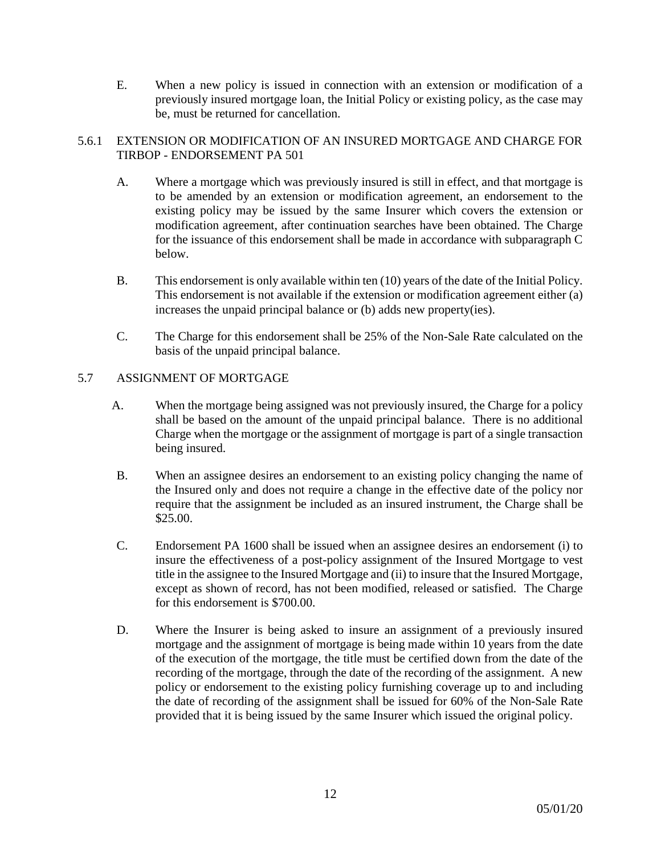E. When a new policy is issued in connection with an extension or modification of a previously insured mortgage loan, the Initial Policy or existing policy, as the case may be, must be returned for cancellation.

## 5.6.1 EXTENSION OR MODIFICATION OF AN INSURED MORTGAGE AND CHARGE FOR TIRBOP - ENDORSEMENT PA 501

- A. Where a mortgage which was previously insured is still in effect, and that mortgage is to be amended by an extension or modification agreement, an endorsement to the existing policy may be issued by the same Insurer which covers the extension or modification agreement, after continuation searches have been obtained. The Charge for the issuance of this endorsement shall be made in accordance with subparagraph C below.
- B. This endorsement is only available within ten (10) years of the date of the Initial Policy. This endorsement is not available if the extension or modification agreement either (a) increases the unpaid principal balance or (b) adds new property(ies).
- C. The Charge for this endorsement shall be 25% of the Non-Sale Rate calculated on the basis of the unpaid principal balance.

## 5.7 ASSIGNMENT OF MORTGAGE

- A. When the mortgage being assigned was not previously insured, the Charge for a policy shall be based on the amount of the unpaid principal balance. There is no additional Charge when the mortgage or the assignment of mortgage is part of a single transaction being insured.
- B. When an assignee desires an endorsement to an existing policy changing the name of the Insured only and does not require a change in the effective date of the policy nor require that the assignment be included as an insured instrument, the Charge shall be \$25.00.
- C. Endorsement PA 1600 shall be issued when an assignee desires an endorsement (i) to insure the effectiveness of a post-policy assignment of the Insured Mortgage to vest title in the assignee to the Insured Mortgage and (ii) to insure that the Insured Mortgage, except as shown of record, has not been modified, released or satisfied. The Charge for this endorsement is \$700.00.
- D. Where the Insurer is being asked to insure an assignment of a previously insured mortgage and the assignment of mortgage is being made within 10 years from the date of the execution of the mortgage, the title must be certified down from the date of the recording of the mortgage, through the date of the recording of the assignment. A new policy or endorsement to the existing policy furnishing coverage up to and including the date of recording of the assignment shall be issued for 60% of the Non-Sale Rate provided that it is being issued by the same Insurer which issued the original policy.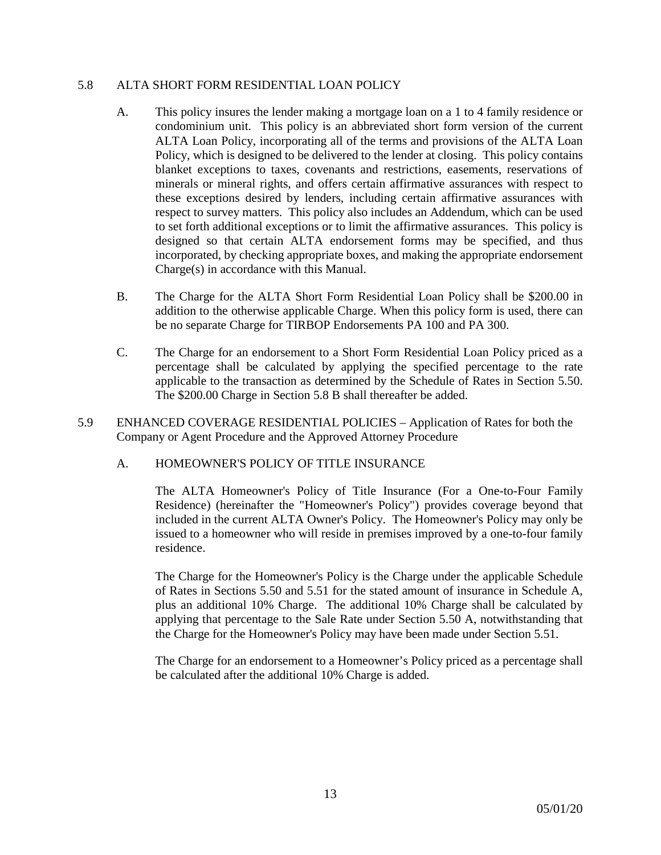#### 5.8 ALTA SHORT FORM RESIDENTIAL LOAN POLICY

- A. This policy insures the lender making a mortgage loan on a 1 to 4 family residence or condominium unit. This policy is an abbreviated short form version of the current ALTA Loan Policy, incorporating all of the terms and provisions of the ALTA Loan Policy, which is designed to be delivered to the lender at closing. This policy contains blanket exceptions to taxes, covenants and restrictions, easements, reservations of minerals or mineral rights, and offers certain affirmative assurances with respect to these exceptions desired by lenders, including certain affirmative assurances with respect to survey matters. This policy also includes an Addendum, which can be used to set forth additional exceptions or to limit the affirmative assurances. This policy is designed so that certain ALTA endorsement forms may be specified, and thus incorporated, by checking appropriate boxes, and making the appropriate endorsement Charge(s) in accordance with this Manual.
- B. The Charge for the ALTA Short Form Residential Loan Policy shall be \$200.00 in addition to the otherwise applicable Charge. When this policy form is used, there can be no separate Charge for TIRBOP Endorsements PA 100 and PA 300.
- C. The Charge for an endorsement to a Short Form Residential Loan Policy priced as a percentage shall be calculated by applying the specified percentage to the rate applicable to the transaction as determined by the Schedule of Rates in Section 5.50. The \$200.00 Charge in Section 5.8 B shall thereafter be added.
- 5.9 ENHANCED COVERAGE RESIDENTIAL POLICIES Application of Rates for both the Company or Agent Procedure and the Approved Attorney Procedure

## A. HOMEOWNER'S POLICY OF TITLE INSURANCE

The ALTA Homeowner's Policy of Title Insurance (For a One-to-Four Family Residence) (hereinafter the "Homeowner's Policy") provides coverage beyond that included in the current ALTA Owner's Policy. The Homeowner's Policy may only be issued to a homeowner who will reside in premises improved by a one-to-four family residence.

The Charge for the Homeowner's Policy is the Charge under the applicable Schedule of Rates in Sections 5.50 and 5.51 for the stated amount of insurance in Schedule A, plus an additional 10% Charge. The additional 10% Charge shall be calculated by applying that percentage to the Sale Rate under Section 5.50 A, notwithstanding that the Charge for the Homeowner's Policy may have been made under Section 5.51.

The Charge for an endorsement to a Homeowner's Policy priced as a percentage shall be calculated after the additional 10% Charge is added.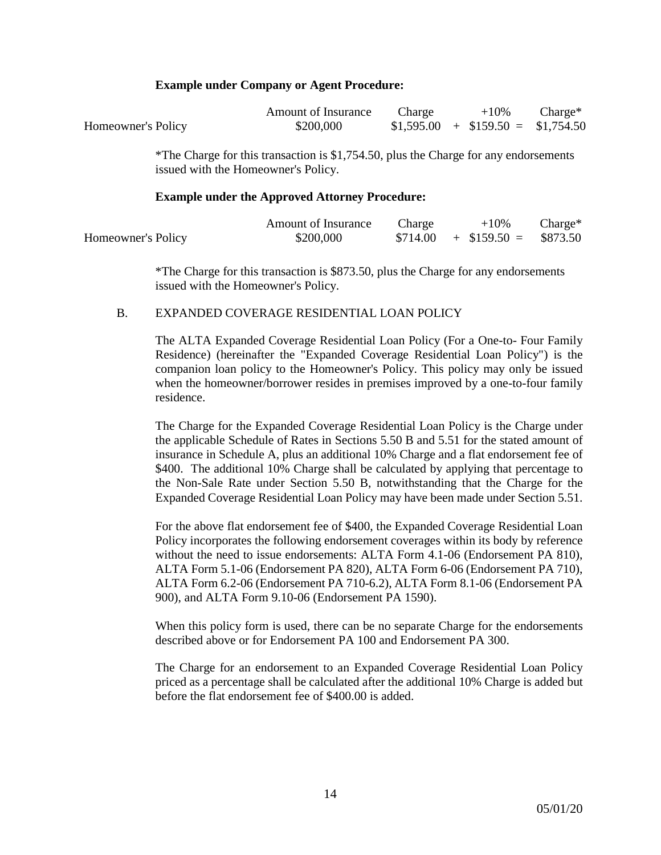#### **Example under Company or Agent Procedure:**

|                    | <b>Amount of Insurance</b>                                                           | Charge | $+10\%$                           | $\text{Change}^*$ |
|--------------------|--------------------------------------------------------------------------------------|--------|-----------------------------------|-------------------|
| Homeowner's Policy | \$200,000                                                                            |        | $$1,595.00 + $159.50 = $1,754.50$ |                   |
|                    | *The Charge for this transaction is \$1,754.50, plus the Charge for any endorsements |        |                                   |                   |
|                    | issued with the Homeowner's Policy.                                                  |        |                                   |                   |

#### **Example under the Approved Attorney Procedure:**

|                    | Amount of Insurance | Charge | $+10\%$                       | $Change*$ |
|--------------------|---------------------|--------|-------------------------------|-----------|
| Homeowner's Policy | \$200,000           |        | $$714.00 + $159.50 = $873.50$ |           |

\*The Charge for this transaction is \$873.50, plus the Charge for any endorsements issued with the Homeowner's Policy.

#### B. EXPANDED COVERAGE RESIDENTIAL LOAN POLICY

The ALTA Expanded Coverage Residential Loan Policy (For a One-to- Four Family Residence) (hereinafter the "Expanded Coverage Residential Loan Policy") is the companion loan policy to the Homeowner's Policy. This policy may only be issued when the homeowner/borrower resides in premises improved by a one-to-four family residence.

The Charge for the Expanded Coverage Residential Loan Policy is the Charge under the applicable Schedule of Rates in Sections 5.50 B and 5.51 for the stated amount of insurance in Schedule A, plus an additional 10% Charge and a flat endorsement fee of \$400. The additional 10% Charge shall be calculated by applying that percentage to the Non-Sale Rate under Section 5.50 B, notwithstanding that the Charge for the Expanded Coverage Residential Loan Policy may have been made under Section 5.51.

For the above flat endorsement fee of \$400, the Expanded Coverage Residential Loan Policy incorporates the following endorsement coverages within its body by reference without the need to issue endorsements: ALTA Form 4.1-06 (Endorsement PA 810), ALTA Form 5.1-06 (Endorsement PA 820), ALTA Form 6-06 (Endorsement PA 710), ALTA Form 6.2-06 (Endorsement PA 710-6.2), ALTA Form 8.1-06 (Endorsement PA 900), and ALTA Form 9.10-06 (Endorsement PA 1590).

When this policy form is used, there can be no separate Charge for the endorsements described above or for Endorsement PA 100 and Endorsement PA 300.

The Charge for an endorsement to an Expanded Coverage Residential Loan Policy priced as a percentage shall be calculated after the additional 10% Charge is added but before the flat endorsement fee of \$400.00 is added.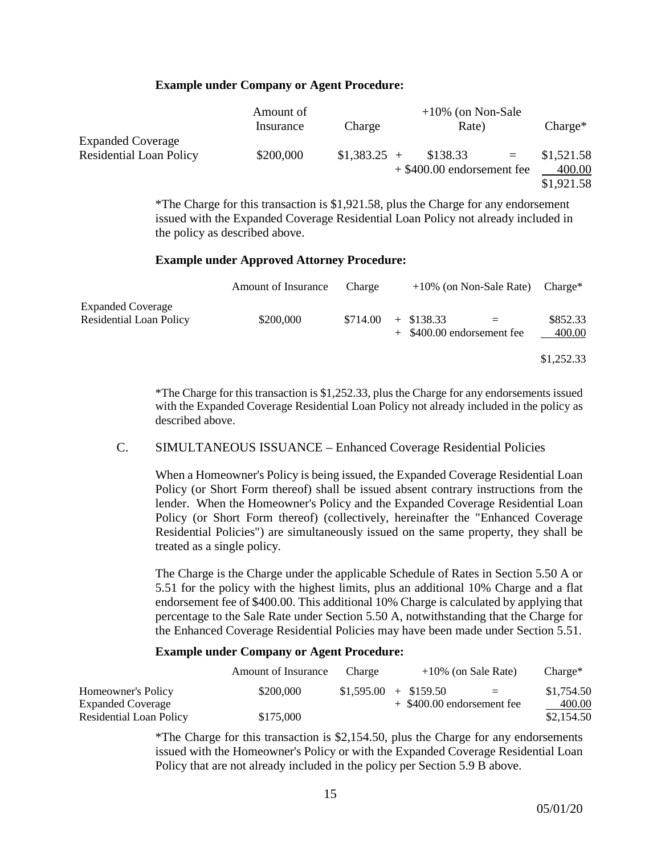#### **Example under Company or Agent Procedure:**

|                                | Amount of |               | $+10\%$ (on Non-Sale)        |              |            |
|--------------------------------|-----------|---------------|------------------------------|--------------|------------|
|                                | Insurance | Charge        | Rate)                        |              | $Change*$  |
| <b>Expanded Coverage</b>       |           |               |                              |              |            |
| <b>Residential Loan Policy</b> | \$200,000 | $$1,383.25$ + | \$138.33                     | $\alpha = 1$ | \$1,521.58 |
|                                |           |               | $+$ \$400.00 endorsement fee |              | 400.00     |
|                                |           |               |                              |              | \$1,921.58 |

\*The Charge for this transaction is \$1,921.58, plus the Charge for any endorsement issued with the Expanded Coverage Residential Loan Policy not already included in the policy as described above.

#### **Example under Approved Attorney Procedure:**

|                                                            | Amount of Insurance | Charge   | $+10\%$ (on Non-Sale Rate)                   | $Change^*$         |
|------------------------------------------------------------|---------------------|----------|----------------------------------------------|--------------------|
| <b>Expanded Coverage</b><br><b>Residential Loan Policy</b> | \$200,000           | \$714.00 | $+$ \$138.33<br>$+$ \$400.00 endorsement fee | \$852.33<br>400.00 |
|                                                            |                     |          |                                              | \$1,252.33         |

\*The Charge for this transaction is \$1,252.33, plus the Charge for any endorsements issued with the Expanded Coverage Residential Loan Policy not already included in the policy as described above.

## C. SIMULTANEOUS ISSUANCE – Enhanced Coverage Residential Policies

When a Homeowner's Policy is being issued, the Expanded Coverage Residential Loan Policy (or Short Form thereof) shall be issued absent contrary instructions from the lender. When the Homeowner's Policy and the Expanded Coverage Residential Loan Policy (or Short Form thereof) (collectively, hereinafter the "Enhanced Coverage Residential Policies") are simultaneously issued on the same property, they shall be treated as a single policy.

The Charge is the Charge under the applicable Schedule of Rates in Section 5.50 A or 5.51 for the policy with the highest limits, plus an additional 10% Charge and a flat endorsement fee of \$400.00. This additional 10% Charge is calculated by applying that percentage to the Sale Rate under Section 5.50 A, notwithstanding that the Charge for the Enhanced Coverage Residential Policies may have been made under Section 5.51.

#### **Example under Company or Agent Procedure:**

|                          | Amount of Insurance | Charge |                              | $+10\%$ (on Sale Rate) | $Change*$  |
|--------------------------|---------------------|--------|------------------------------|------------------------|------------|
| Homeowner's Policy       | \$200,000           |        | $$1,595.00 + $159.50$        | $=$                    | \$1,754.50 |
| <b>Expanded Coverage</b> |                     |        | $+$ \$400.00 endorsement fee |                        | 400.00     |
| Residential Loan Policy  | \$175,000           |        |                              |                        | \$2,154.50 |

\*The Charge for this transaction is \$2,154.50, plus the Charge for any endorsements issued with the Homeowner's Policy or with the Expanded Coverage Residential Loan Policy that are not already included in the policy per Section 5.9 B above.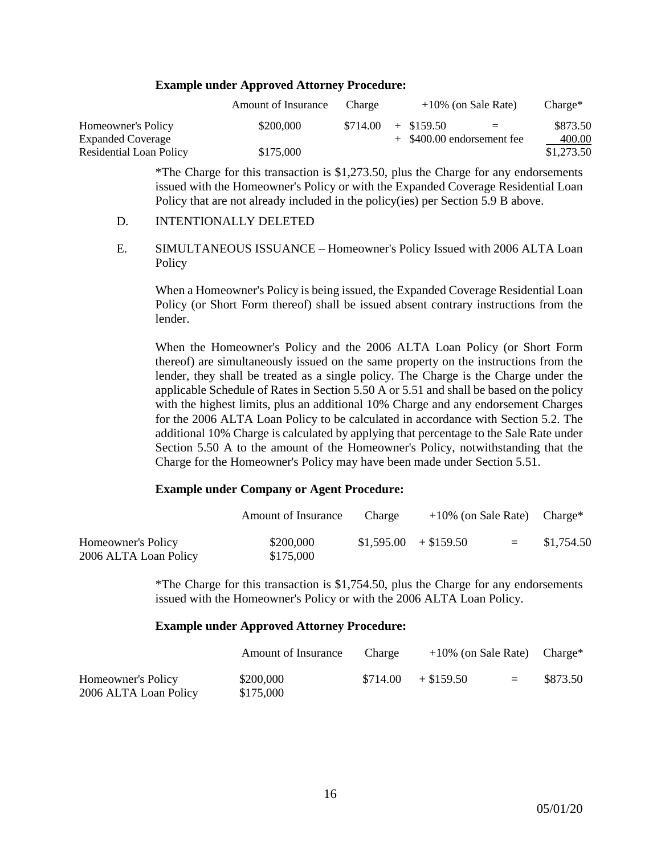#### **Example under Approved Attorney Procedure:**

|                          | Amount of Insurance | Charge              |  | $+10\%$ (on Sale Rate)       | $Change*$  |
|--------------------------|---------------------|---------------------|--|------------------------------|------------|
| Homeowner's Policy       | \$200,000           | $$714.00 + $159.50$ |  | $=$                          | \$873.50   |
| <b>Expanded Coverage</b> |                     |                     |  | $+$ \$400.00 endorsement fee | 400.00     |
| Residential Loan Policy  | \$175,000           |                     |  |                              | \$1,273.50 |

\*The Charge for this transaction is \$1,273.50, plus the Charge for any endorsements issued with the Homeowner's Policy or with the Expanded Coverage Residential Loan Policy that are not already included in the policy(ies) per Section 5.9 B above.

#### D. INTENTIONALLY DELETED

E. SIMULTANEOUS ISSUANCE – Homeowner's Policy Issued with 2006 ALTA Loan Policy

When a Homeowner's Policy is being issued, the Expanded Coverage Residential Loan Policy (or Short Form thereof) shall be issued absent contrary instructions from the lender.

When the Homeowner's Policy and the 2006 ALTA Loan Policy (or Short Form thereof) are simultaneously issued on the same property on the instructions from the lender, they shall be treated as a single policy. The Charge is the Charge under the applicable Schedule of Rates in Section 5.50 A or 5.51 and shall be based on the policy with the highest limits, plus an additional 10% Charge and any endorsement Charges for the 2006 ALTA Loan Policy to be calculated in accordance with Section 5.2. The additional 10% Charge is calculated by applying that percentage to the Sale Rate under Section 5.50 A to the amount of the Homeowner's Policy, notwithstanding that the Charge for the Homeowner's Policy may have been made under Section 5.51.

#### **Example under Company or Agent Procedure:**

|                                             | Amount of Insurance    | Charge | $+10\%$ (on Sale Rate) Charge* |     |            |
|---------------------------------------------|------------------------|--------|--------------------------------|-----|------------|
| Homeowner's Policy<br>2006 ALTA Loan Policy | \$200,000<br>\$175,000 |        | $$1,595.00 + $159.50$          | $=$ | \$1,754.50 |

\*The Charge for this transaction is \$1,754.50, plus the Charge for any endorsements issued with the Homeowner's Policy or with the 2006 ALTA Loan Policy.

#### **Example under Approved Attorney Procedure:**

|                                             | Amount of Insurance    | Charge   | $+10\%$ (on Sale Rate) Charge* |          |
|---------------------------------------------|------------------------|----------|--------------------------------|----------|
| Homeowner's Policy<br>2006 ALTA Loan Policy | \$200,000<br>\$175,000 | \$714.00 | $+$ \$159.50<br>$=$            | \$873.50 |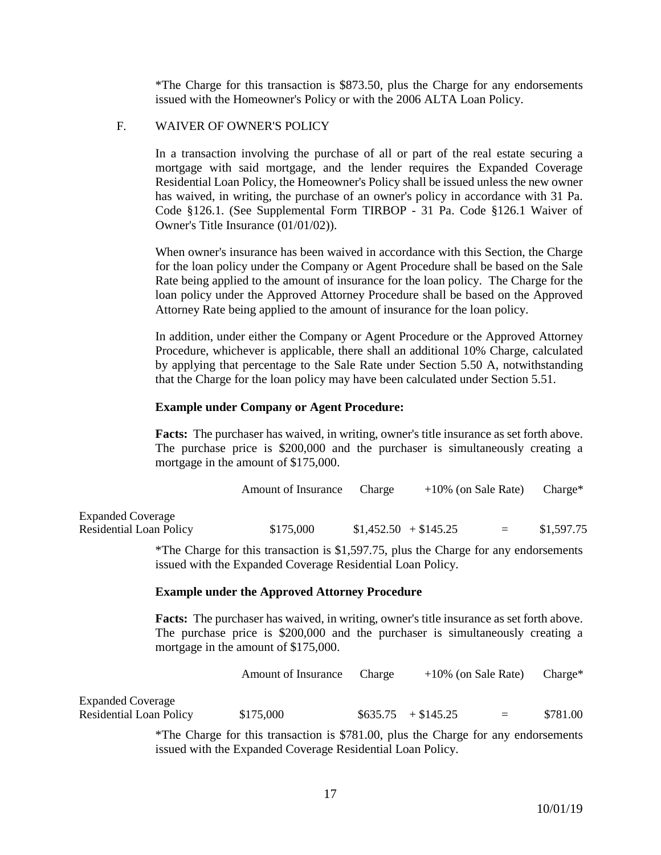\*The Charge for this transaction is \$873.50, plus the Charge for any endorsements issued with the Homeowner's Policy or with the 2006 ALTA Loan Policy.

#### F. WAIVER OF OWNER'S POLICY

In a transaction involving the purchase of all or part of the real estate securing a mortgage with said mortgage, and the lender requires the Expanded Coverage Residential Loan Policy, the Homeowner's Policy shall be issued unless the new owner has waived, in writing, the purchase of an owner's policy in accordance with 31 Pa. Code §126.1. (See Supplemental Form TIRBOP - 31 Pa. Code §126.1 Waiver of Owner's Title Insurance (01/01/02)).

When owner's insurance has been waived in accordance with this Section, the Charge for the loan policy under the Company or Agent Procedure shall be based on the Sale Rate being applied to the amount of insurance for the loan policy. The Charge for the loan policy under the Approved Attorney Procedure shall be based on the Approved Attorney Rate being applied to the amount of insurance for the loan policy.

In addition, under either the Company or Agent Procedure or the Approved Attorney Procedure, whichever is applicable, there shall an additional 10% Charge, calculated by applying that percentage to the Sale Rate under Section 5.50 A, notwithstanding that the Charge for the loan policy may have been calculated under Section 5.51.

#### **Example under Company or Agent Procedure:**

**Facts:** The purchaser has waived, in writing, owner's title insurance as set forth above. The purchase price is \$200,000 and the purchaser is simultaneously creating a mortgage in the amount of \$175,000.

|                          | Amount of Insurance | Charge | $+10\%$ (on Sale Rate) |          | Charge*    |
|--------------------------|---------------------|--------|------------------------|----------|------------|
| <b>Expanded Coverage</b> |                     |        |                        |          |            |
| Residential Loan Policy  | \$175,000           |        | $$1,452.50 + $145.25$  | $\equiv$ | \$1,597.75 |

\*The Charge for this transaction is \$1,597.75, plus the Charge for any endorsements issued with the Expanded Coverage Residential Loan Policy.

#### **Example under the Approved Attorney Procedure**

**Facts:** The purchaser has waived, in writing, owner's title insurance as set forth above. The purchase price is \$200,000 and the purchaser is simultaneously creating a mortgage in the amount of \$175,000.

|                                                            | Amount of Insurance | Charge | $+10\%$ (on Sale Rate) |     | $Change^*$ |
|------------------------------------------------------------|---------------------|--------|------------------------|-----|------------|
| <b>Expanded Coverage</b><br><b>Residential Loan Policy</b> | \$175,000           |        | $$635.75 + $145.25$    | $=$ | \$781.00   |

\*The Charge for this transaction is \$781.00, plus the Charge for any endorsements issued with the Expanded Coverage Residential Loan Policy.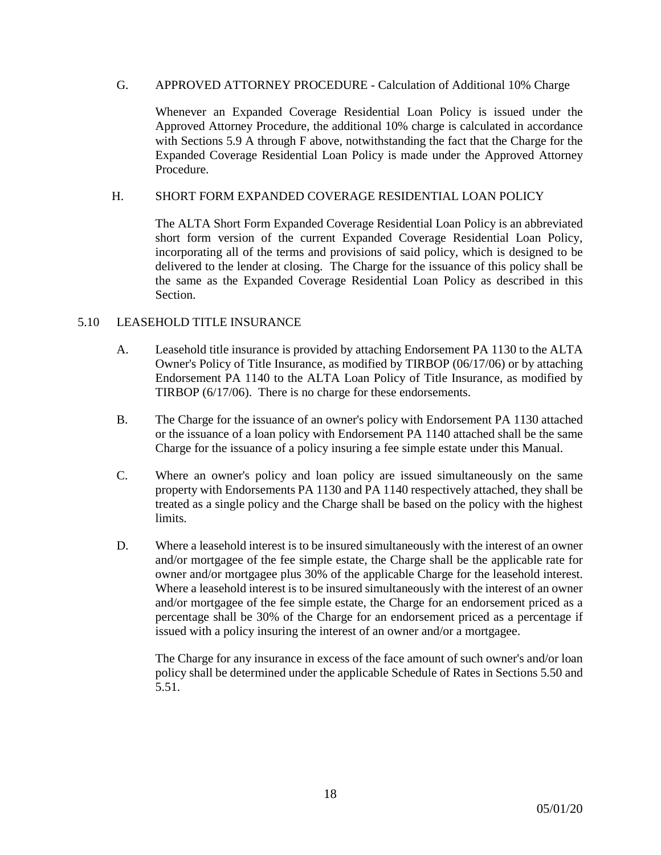#### G. APPROVED ATTORNEY PROCEDURE - Calculation of Additional 10% Charge

Whenever an Expanded Coverage Residential Loan Policy is issued under the Approved Attorney Procedure, the additional 10% charge is calculated in accordance with Sections 5.9 A through F above, notwithstanding the fact that the Charge for the Expanded Coverage Residential Loan Policy is made under the Approved Attorney Procedure.

## H. SHORT FORM EXPANDED COVERAGE RESIDENTIAL LOAN POLICY

The ALTA Short Form Expanded Coverage Residential Loan Policy is an abbreviated short form version of the current Expanded Coverage Residential Loan Policy, incorporating all of the terms and provisions of said policy, which is designed to be delivered to the lender at closing. The Charge for the issuance of this policy shall be the same as the Expanded Coverage Residential Loan Policy as described in this Section.

## 5.10 LEASEHOLD TITLE INSURANCE

- A. Leasehold title insurance is provided by attaching Endorsement PA 1130 to the ALTA Owner's Policy of Title Insurance, as modified by TIRBOP (06/17/06) or by attaching Endorsement PA 1140 to the ALTA Loan Policy of Title Insurance, as modified by TIRBOP (6/17/06). There is no charge for these endorsements.
- B. The Charge for the issuance of an owner's policy with Endorsement PA 1130 attached or the issuance of a loan policy with Endorsement PA 1140 attached shall be the same Charge for the issuance of a policy insuring a fee simple estate under this Manual.
- C. Where an owner's policy and loan policy are issued simultaneously on the same property with Endorsements PA 1130 and PA 1140 respectively attached, they shall be treated as a single policy and the Charge shall be based on the policy with the highest limits.
- D. Where a leasehold interest is to be insured simultaneously with the interest of an owner and/or mortgagee of the fee simple estate, the Charge shall be the applicable rate for owner and/or mortgagee plus 30% of the applicable Charge for the leasehold interest. Where a leasehold interest is to be insured simultaneously with the interest of an owner and/or mortgagee of the fee simple estate, the Charge for an endorsement priced as a percentage shall be 30% of the Charge for an endorsement priced as a percentage if issued with a policy insuring the interest of an owner and/or a mortgagee.

The Charge for any insurance in excess of the face amount of such owner's and/or loan policy shall be determined under the applicable Schedule of Rates in Sections 5.50 and 5.51.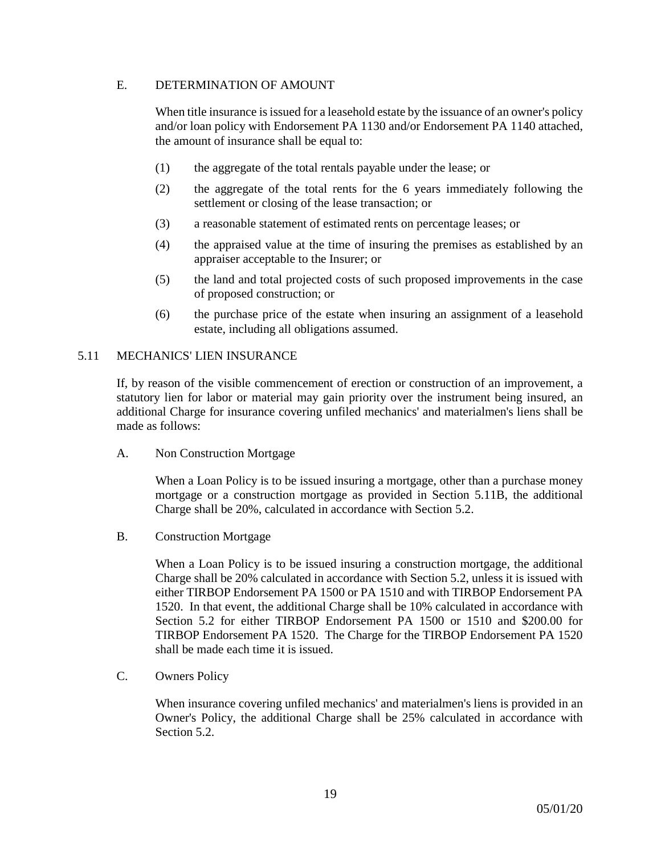## E. DETERMINATION OF AMOUNT

When title insurance is issued for a leasehold estate by the issuance of an owner's policy and/or loan policy with Endorsement PA 1130 and/or Endorsement PA 1140 attached, the amount of insurance shall be equal to:

- (1) the aggregate of the total rentals payable under the lease; or
- (2) the aggregate of the total rents for the 6 years immediately following the settlement or closing of the lease transaction; or
- (3) a reasonable statement of estimated rents on percentage leases; or
- (4) the appraised value at the time of insuring the premises as established by an appraiser acceptable to the Insurer; or
- (5) the land and total projected costs of such proposed improvements in the case of proposed construction; or
- (6) the purchase price of the estate when insuring an assignment of a leasehold estate, including all obligations assumed.

#### 5.11 MECHANICS' LIEN INSURANCE

If, by reason of the visible commencement of erection or construction of an improvement, a statutory lien for labor or material may gain priority over the instrument being insured, an additional Charge for insurance covering unfiled mechanics' and materialmen's liens shall be made as follows:

A. Non Construction Mortgage

When a Loan Policy is to be issued insuring a mortgage, other than a purchase money mortgage or a construction mortgage as provided in Section 5.11B, the additional Charge shall be 20%, calculated in accordance with Section 5.2.

B. Construction Mortgage

When a Loan Policy is to be issued insuring a construction mortgage, the additional Charge shall be 20% calculated in accordance with Section 5.2, unless it is issued with either TIRBOP Endorsement PA 1500 or PA 1510 and with TIRBOP Endorsement PA 1520. In that event, the additional Charge shall be 10% calculated in accordance with Section 5.2 for either TIRBOP Endorsement PA 1500 or 1510 and \$200.00 for TIRBOP Endorsement PA 1520. The Charge for the TIRBOP Endorsement PA 1520 shall be made each time it is issued.

C. Owners Policy

When insurance covering unfiled mechanics' and materialmen's liens is provided in an Owner's Policy, the additional Charge shall be 25% calculated in accordance with Section 5.2.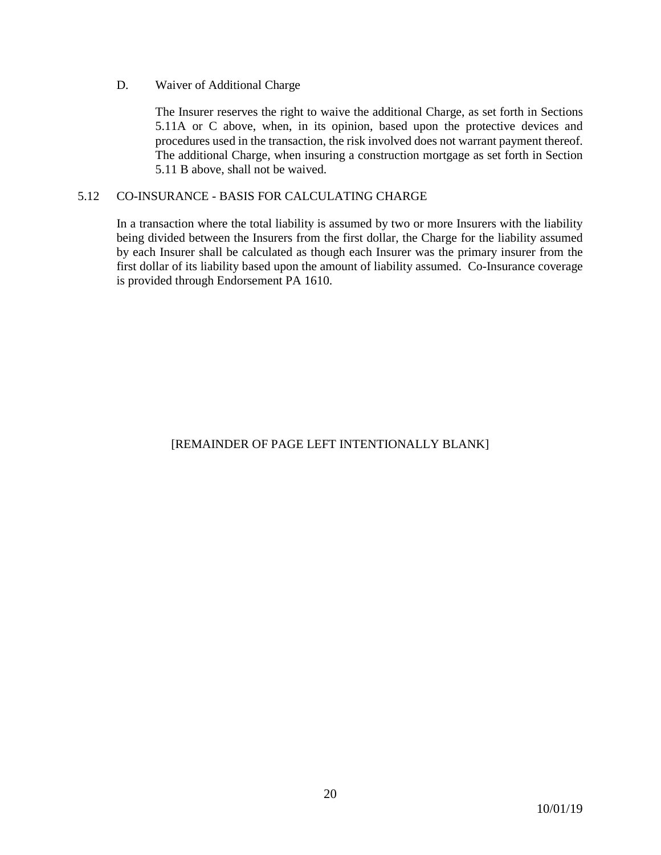### D. Waiver of Additional Charge

The Insurer reserves the right to waive the additional Charge, as set forth in Sections 5.11A or C above, when, in its opinion, based upon the protective devices and procedures used in the transaction, the risk involved does not warrant payment thereof. The additional Charge, when insuring a construction mortgage as set forth in Section 5.11 B above, shall not be waived.

## 5.12 CO-INSURANCE - BASIS FOR CALCULATING CHARGE

In a transaction where the total liability is assumed by two or more Insurers with the liability being divided between the Insurers from the first dollar, the Charge for the liability assumed by each Insurer shall be calculated as though each Insurer was the primary insurer from the first dollar of its liability based upon the amount of liability assumed. Co-Insurance coverage is provided through Endorsement PA 1610.

# [REMAINDER OF PAGE LEFT INTENTIONALLY BLANK]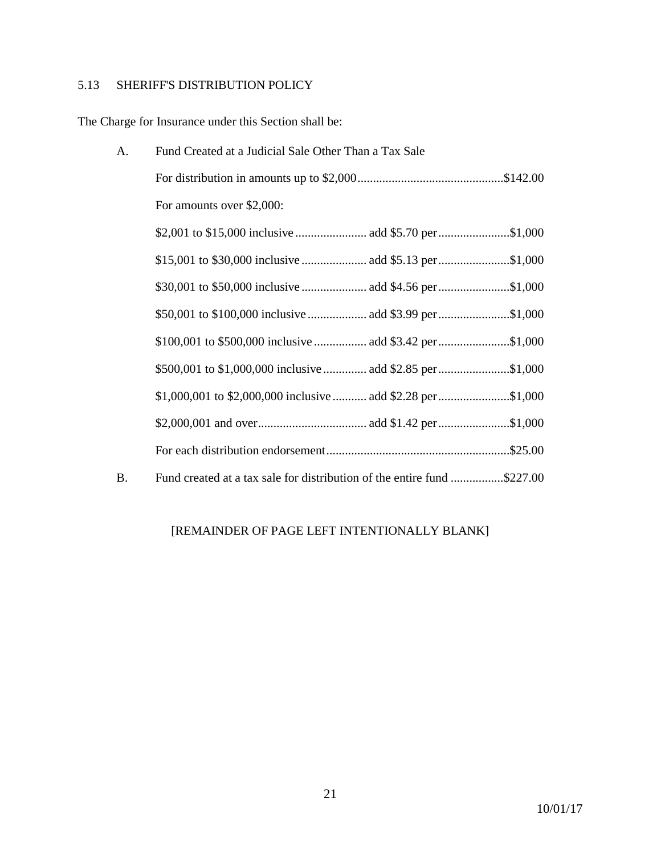# 5.13 SHERIFF'S DISTRIBUTION POLICY

The Charge for Insurance under this Section shall be:

| A.        | Fund Created at a Judicial Sale Other Than a Tax Sale                   |  |  |  |  |
|-----------|-------------------------------------------------------------------------|--|--|--|--|
|           |                                                                         |  |  |  |  |
|           | For amounts over \$2,000:                                               |  |  |  |  |
|           |                                                                         |  |  |  |  |
|           |                                                                         |  |  |  |  |
|           |                                                                         |  |  |  |  |
|           |                                                                         |  |  |  |  |
|           | \$100,001 to \$500,000 inclusive  add \$3.42 per \$1,000                |  |  |  |  |
|           | \$500,001 to \$1,000,000 inclusive  add \$2.85 per \$1,000              |  |  |  |  |
|           | \$1,000,001 to \$2,000,000 inclusive  add \$2.28 per \$1,000            |  |  |  |  |
|           |                                                                         |  |  |  |  |
|           |                                                                         |  |  |  |  |
| <b>B.</b> | Fund created at a tax sale for distribution of the entire fund \$227.00 |  |  |  |  |

# [REMAINDER OF PAGE LEFT INTENTIONALLY BLANK]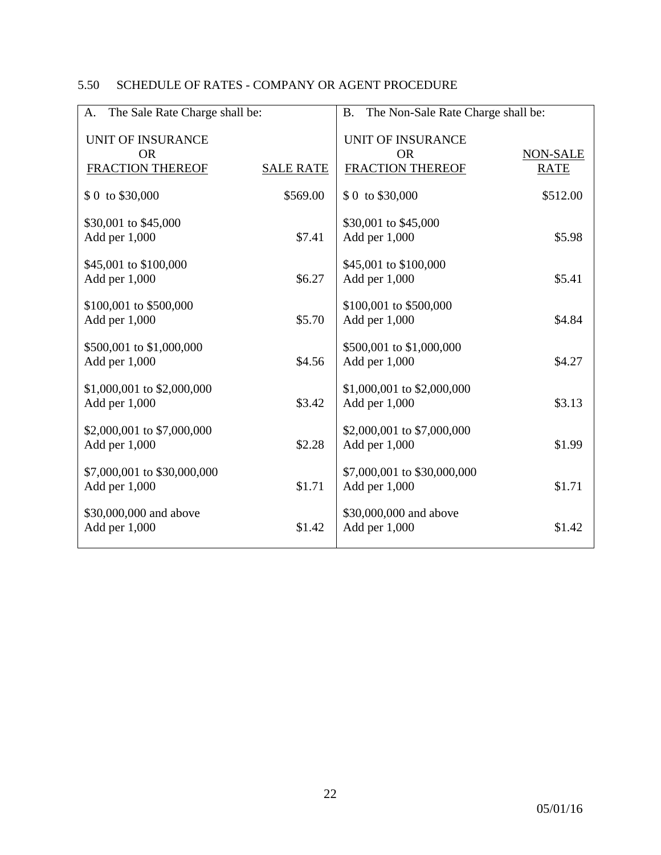# 5.50 SCHEDULE OF RATES - COMPANY OR AGENT PROCEDURE

| The Sale Rate Charge shall be:<br>A.         |                  | The Non-Sale Rate Charge shall be:<br><b>B.</b> |                         |  |  |  |
|----------------------------------------------|------------------|-------------------------------------------------|-------------------------|--|--|--|
| <b>UNIT OF INSURANCE</b>                     |                  | <b>UNIT OF INSURANCE</b>                        |                         |  |  |  |
| <b>OR</b><br><b>FRACTION THEREOF</b>         | <b>SALE RATE</b> | <b>OR</b><br><b>FRACTION THEREOF</b>            | NON-SALE<br><b>RATE</b> |  |  |  |
| \$ 0 to \$30,000                             | \$569.00         | \$ 0 to \$30,000                                | \$512.00                |  |  |  |
| \$30,001 to \$45,000<br>Add per 1,000        | \$7.41           | \$30,001 to \$45,000<br>Add per 1,000           | \$5.98                  |  |  |  |
| \$45,001 to \$100,000<br>Add per 1,000       | \$6.27           | \$45,001 to \$100,000<br>Add per 1,000          | \$5.41                  |  |  |  |
| \$100,001 to \$500,000<br>Add per 1,000      | \$5.70           | \$100,001 to \$500,000<br>Add per 1,000         | \$4.84                  |  |  |  |
| \$500,001 to \$1,000,000<br>Add per 1,000    | \$4.56           | \$500,001 to \$1,000,000<br>Add per 1,000       | \$4.27                  |  |  |  |
| \$1,000,001 to \$2,000,000<br>Add per 1,000  | \$3.42           | \$1,000,001 to \$2,000,000<br>Add per 1,000     | \$3.13                  |  |  |  |
| \$2,000,001 to \$7,000,000<br>Add per 1,000  | \$2.28           | \$2,000,001 to \$7,000,000<br>Add per 1,000     | \$1.99                  |  |  |  |
| \$7,000,001 to \$30,000,000<br>Add per 1,000 | \$1.71           | \$7,000,001 to \$30,000,000<br>Add per 1,000    | \$1.71                  |  |  |  |
| \$30,000,000 and above<br>Add per 1,000      | \$1.42           | \$30,000,000 and above<br>Add per 1,000         | \$1.42                  |  |  |  |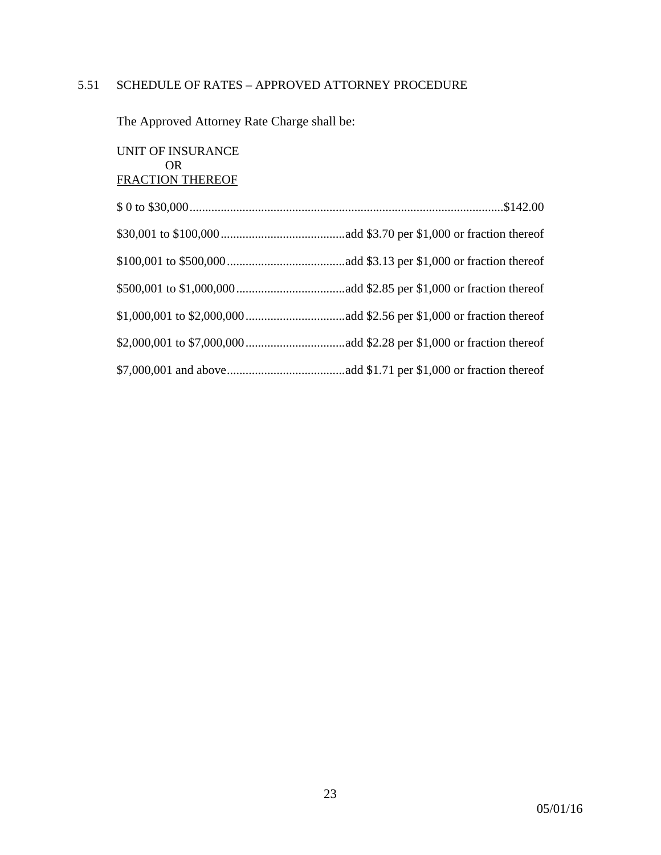#### 5.51 SCHEDULE OF RATES – APPROVED ATTORNEY PROCEDURE

The Approved Attorney Rate Charge shall be:

UNIT OF INSURANCE OR FRACTION THEREOF \$ 0 to \$30,000.....................................................................................................\$142.00 \$30,001 to \$100,000........................................add \$3.70 per \$1,000 or fraction thereof \$100,001 to \$500,000......................................add \$3.13 per \$1,000 or fraction thereof \$500,001 to \$1,000,000...................................add \$2.85 per \$1,000 or fraction thereof \$1,000,001 to \$2,000,000................................add \$2.56 per \$1,000 or fraction thereof \$2,000,001 to \$7,000,000................................add \$2.28 per \$1,000 or fraction thereof \$7,000,001 and above......................................add \$1.71 per \$1,000 or fraction thereof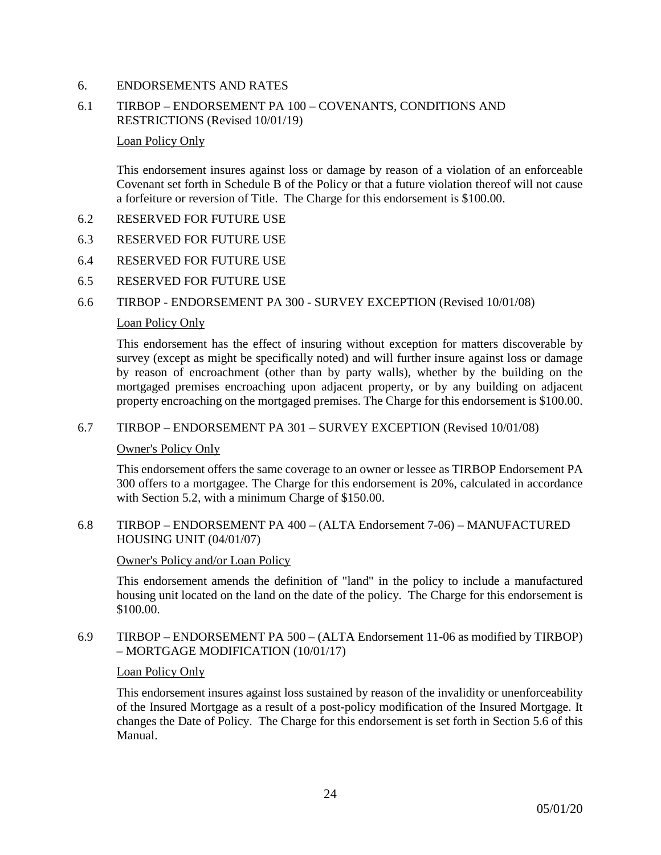## 6. ENDORSEMENTS AND RATES

## 6.1 TIRBOP – ENDORSEMENT PA 100 – COVENANTS, CONDITIONS AND RESTRICTIONS (Revised 10/01/19)

#### Loan Policy Only

This endorsement insures against loss or damage by reason of a violation of an enforceable Covenant set forth in Schedule B of the Policy or that a future violation thereof will not cause a forfeiture or reversion of Title. The Charge for this endorsement is \$100.00.

- 6.2 RESERVED FOR FUTURE USE
- 6.3 RESERVED FOR FUTURE USE
- 6.4 RESERVED FOR FUTURE USE
- 6.5 RESERVED FOR FUTURE USE

#### 6.6 TIRBOP - ENDORSEMENT PA 300 - SURVEY EXCEPTION (Revised 10/01/08)

#### Loan Policy Only

This endorsement has the effect of insuring without exception for matters discoverable by survey (except as might be specifically noted) and will further insure against loss or damage by reason of encroachment (other than by party walls), whether by the building on the mortgaged premises encroaching upon adjacent property, or by any building on adjacent property encroaching on the mortgaged premises. The Charge for this endorsement is \$100.00.

#### 6.7 TIRBOP – ENDORSEMENT PA 301 – SURVEY EXCEPTION (Revised 10/01/08)

#### Owner's Policy Only

This endorsement offers the same coverage to an owner or lessee as TIRBOP Endorsement PA 300 offers to a mortgagee. The Charge for this endorsement is 20%, calculated in accordance with Section 5.2, with a minimum Charge of \$150.00.

6.8 TIRBOP – ENDORSEMENT PA 400 – (ALTA Endorsement 7-06) – MANUFACTURED HOUSING UNIT (04/01/07)

#### Owner's Policy and/or Loan Policy

This endorsement amends the definition of "land" in the policy to include a manufactured housing unit located on the land on the date of the policy. The Charge for this endorsement is \$100.00.

## 6.9 TIRBOP – ENDORSEMENT PA 500 – (ALTA Endorsement 11-06 as modified by TIRBOP) – MORTGAGE MODIFICATION (10/01/17)

#### Loan Policy Only

This endorsement insures against loss sustained by reason of the invalidity or unenforceability of the Insured Mortgage as a result of a post-policy modification of the Insured Mortgage. It changes the Date of Policy. The Charge for this endorsement is set forth in Section 5.6 of this Manual.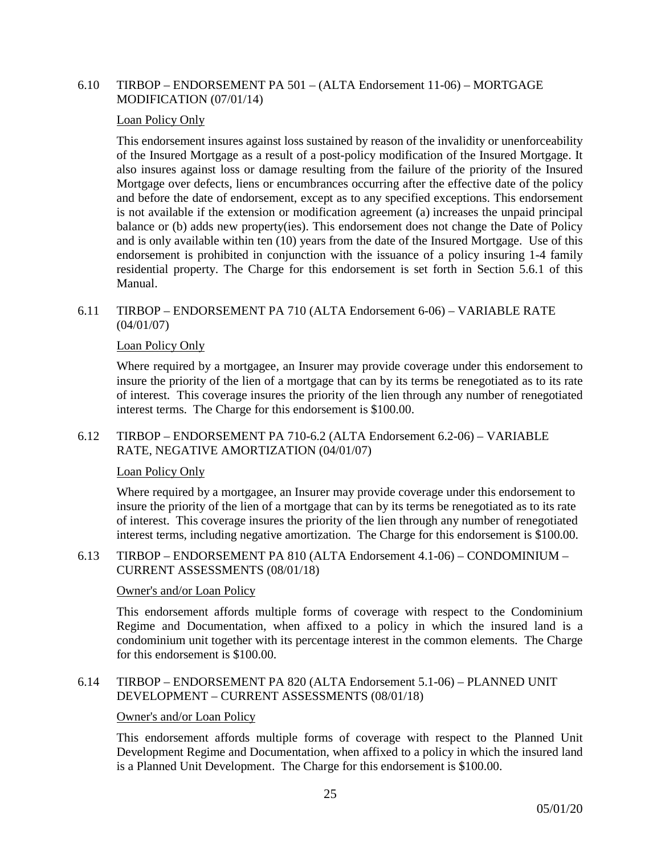### 6.10 TIRBOP – ENDORSEMENT PA 501 – (ALTA Endorsement 11-06) – MORTGAGE MODIFICATION (07/01/14)

#### Loan Policy Only

This endorsement insures against loss sustained by reason of the invalidity or unenforceability of the Insured Mortgage as a result of a post-policy modification of the Insured Mortgage. It also insures against loss or damage resulting from the failure of the priority of the Insured Mortgage over defects, liens or encumbrances occurring after the effective date of the policy and before the date of endorsement, except as to any specified exceptions. This endorsement is not available if the extension or modification agreement (a) increases the unpaid principal balance or (b) adds new property(ies). This endorsement does not change the Date of Policy and is only available within ten (10) years from the date of the Insured Mortgage. Use of this endorsement is prohibited in conjunction with the issuance of a policy insuring 1-4 family residential property. The Charge for this endorsement is set forth in Section 5.6.1 of this Manual.

#### 6.11 TIRBOP – ENDORSEMENT PA 710 (ALTA Endorsement 6-06) – VARIABLE RATE (04/01/07)

## Loan Policy Only

Where required by a mortgagee, an Insurer may provide coverage under this endorsement to insure the priority of the lien of a mortgage that can by its terms be renegotiated as to its rate of interest. This coverage insures the priority of the lien through any number of renegotiated interest terms. The Charge for this endorsement is \$100.00.

## 6.12 TIRBOP – ENDORSEMENT PA 710-6.2 (ALTA Endorsement 6.2-06) – VARIABLE RATE, NEGATIVE AMORTIZATION (04/01/07)

#### Loan Policy Only

Where required by a mortgagee, an Insurer may provide coverage under this endorsement to insure the priority of the lien of a mortgage that can by its terms be renegotiated as to its rate of interest. This coverage insures the priority of the lien through any number of renegotiated interest terms, including negative amortization. The Charge for this endorsement is \$100.00.

6.13 TIRBOP – ENDORSEMENT PA 810 (ALTA Endorsement 4.1-06) – CONDOMINIUM – CURRENT ASSESSMENTS (08/01/18)

#### Owner's and/or Loan Policy

This endorsement affords multiple forms of coverage with respect to the Condominium Regime and Documentation, when affixed to a policy in which the insured land is a condominium unit together with its percentage interest in the common elements. The Charge for this endorsement is \$100.00.

#### 6.14 TIRBOP – ENDORSEMENT PA 820 (ALTA Endorsement 5.1-06) – PLANNED UNIT DEVELOPMENT – CURRENT ASSESSMENTS (08/01/18)

#### Owner's and/or Loan Policy

This endorsement affords multiple forms of coverage with respect to the Planned Unit Development Regime and Documentation, when affixed to a policy in which the insured land is a Planned Unit Development. The Charge for this endorsement is \$100.00.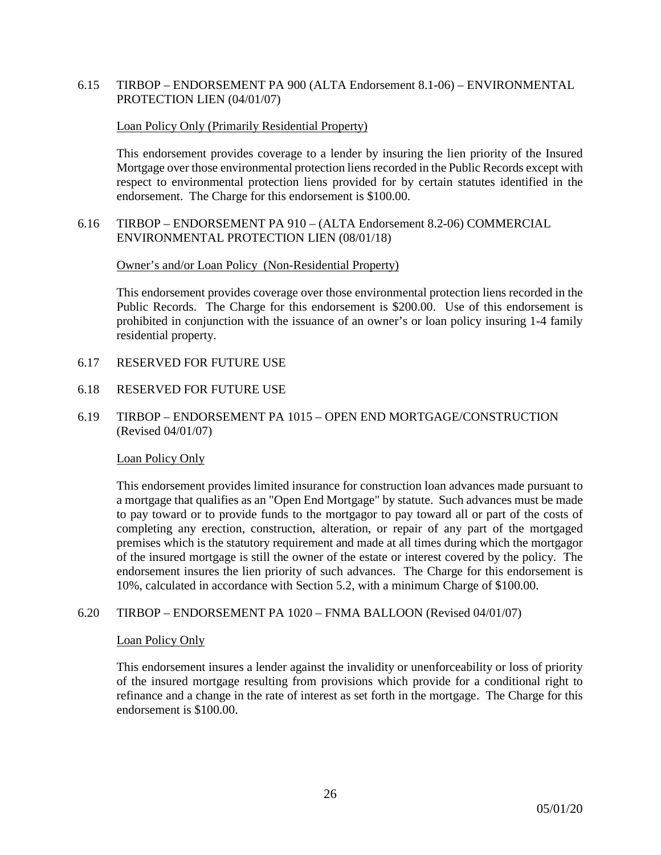## 6.15 TIRBOP – ENDORSEMENT PA 900 (ALTA Endorsement 8.1-06) – ENVIRONMENTAL PROTECTION LIEN (04/01/07)

#### Loan Policy Only (Primarily Residential Property)

This endorsement provides coverage to a lender by insuring the lien priority of the Insured Mortgage over those environmental protection liens recorded in the Public Records except with respect to environmental protection liens provided for by certain statutes identified in the endorsement. The Charge for this endorsement is \$100.00.

## 6.16 TIRBOP – ENDORSEMENT PA 910 – (ALTA Endorsement 8.2-06) COMMERCIAL ENVIRONMENTAL PROTECTION LIEN (08/01/18)

#### Owner's and/or Loan Policy (Non-Residential Property)

This endorsement provides coverage over those environmental protection liens recorded in the Public Records. The Charge for this endorsement is \$200.00. Use of this endorsement is prohibited in conjunction with the issuance of an owner's or loan policy insuring 1-4 family residential property.

#### 6.17 RESERVED FOR FUTURE USE

#### 6.18 RESERVED FOR FUTURE USE

6.19 TIRBOP – ENDORSEMENT PA 1015 – OPEN END MORTGAGE/CONSTRUCTION (Revised 04/01/07)

#### Loan Policy Only

This endorsement provides limited insurance for construction loan advances made pursuant to a mortgage that qualifies as an "Open End Mortgage" by statute. Such advances must be made to pay toward or to provide funds to the mortgagor to pay toward all or part of the costs of completing any erection, construction, alteration, or repair of any part of the mortgaged premises which is the statutory requirement and made at all times during which the mortgagor of the insured mortgage is still the owner of the estate or interest covered by the policy. The endorsement insures the lien priority of such advances. The Charge for this endorsement is 10%, calculated in accordance with Section 5.2, with a minimum Charge of \$100.00.

#### 6.20 TIRBOP – ENDORSEMENT PA 1020 – FNMA BALLOON (Revised 04/01/07)

#### Loan Policy Only

This endorsement insures a lender against the invalidity or unenforceability or loss of priority of the insured mortgage resulting from provisions which provide for a conditional right to refinance and a change in the rate of interest as set forth in the mortgage. The Charge for this endorsement is \$100.00.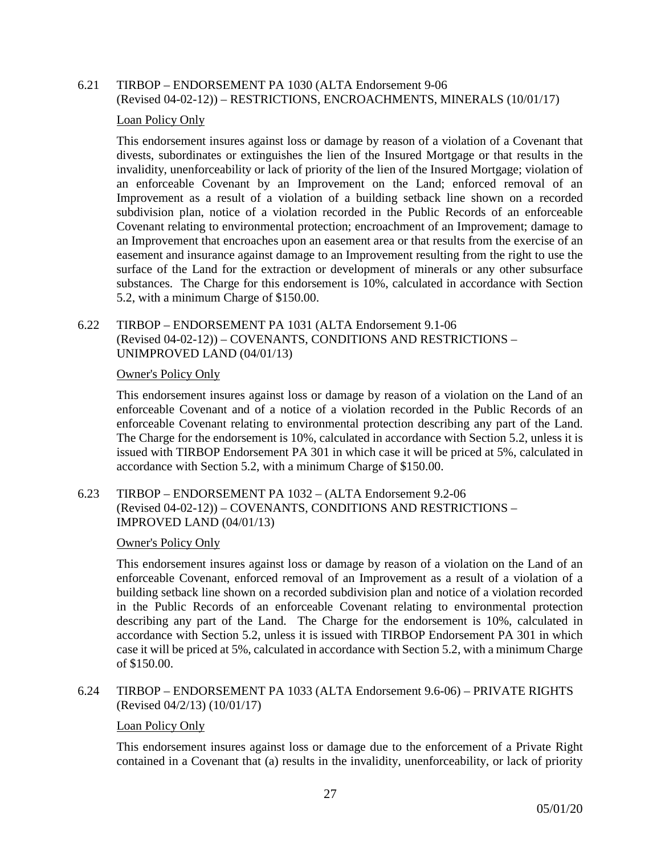## 6.21 TIRBOP – ENDORSEMENT PA 1030 (ALTA Endorsement 9-06 (Revised 04-02-12)) – RESTRICTIONS, ENCROACHMENTS, MINERALS (10/01/17)

## Loan Policy Only

This endorsement insures against loss or damage by reason of a violation of a Covenant that divests, subordinates or extinguishes the lien of the Insured Mortgage or that results in the invalidity, unenforceability or lack of priority of the lien of the Insured Mortgage; violation of an enforceable Covenant by an Improvement on the Land; enforced removal of an Improvement as a result of a violation of a building setback line shown on a recorded subdivision plan, notice of a violation recorded in the Public Records of an enforceable Covenant relating to environmental protection; encroachment of an Improvement; damage to an Improvement that encroaches upon an easement area or that results from the exercise of an easement and insurance against damage to an Improvement resulting from the right to use the surface of the Land for the extraction or development of minerals or any other subsurface substances. The Charge for this endorsement is 10%, calculated in accordance with Section 5.2, with a minimum Charge of \$150.00.

## 6.22 TIRBOP – ENDORSEMENT PA 1031 (ALTA Endorsement 9.1-06 (Revised 04-02-12)) – COVENANTS, CONDITIONS AND RESTRICTIONS – UNIMPROVED LAND (04/01/13)

## Owner's Policy Only

This endorsement insures against loss or damage by reason of a violation on the Land of an enforceable Covenant and of a notice of a violation recorded in the Public Records of an enforceable Covenant relating to environmental protection describing any part of the Land. The Charge for the endorsement is 10%, calculated in accordance with Section 5.2, unless it is issued with TIRBOP Endorsement PA 301 in which case it will be priced at 5%, calculated in accordance with Section 5.2, with a minimum Charge of \$150.00.

## 6.23 TIRBOP – ENDORSEMENT PA 1032 – (ALTA Endorsement 9.2-06 (Revised 04-02-12)) – COVENANTS, CONDITIONS AND RESTRICTIONS – IMPROVED LAND (04/01/13)

## Owner's Policy Only

This endorsement insures against loss or damage by reason of a violation on the Land of an enforceable Covenant, enforced removal of an Improvement as a result of a violation of a building setback line shown on a recorded subdivision plan and notice of a violation recorded in the Public Records of an enforceable Covenant relating to environmental protection describing any part of the Land. The Charge for the endorsement is 10%, calculated in accordance with Section 5.2, unless it is issued with TIRBOP Endorsement PA 301 in which case it will be priced at 5%, calculated in accordance with Section 5.2, with a minimum Charge of \$150.00.

6.24 TIRBOP – ENDORSEMENT PA 1033 (ALTA Endorsement 9.6-06) – PRIVATE RIGHTS (Revised 04/2/13) (10/01/17)

#### Loan Policy Only

This endorsement insures against loss or damage due to the enforcement of a Private Right contained in a Covenant that (a) results in the invalidity, unenforceability, or lack of priority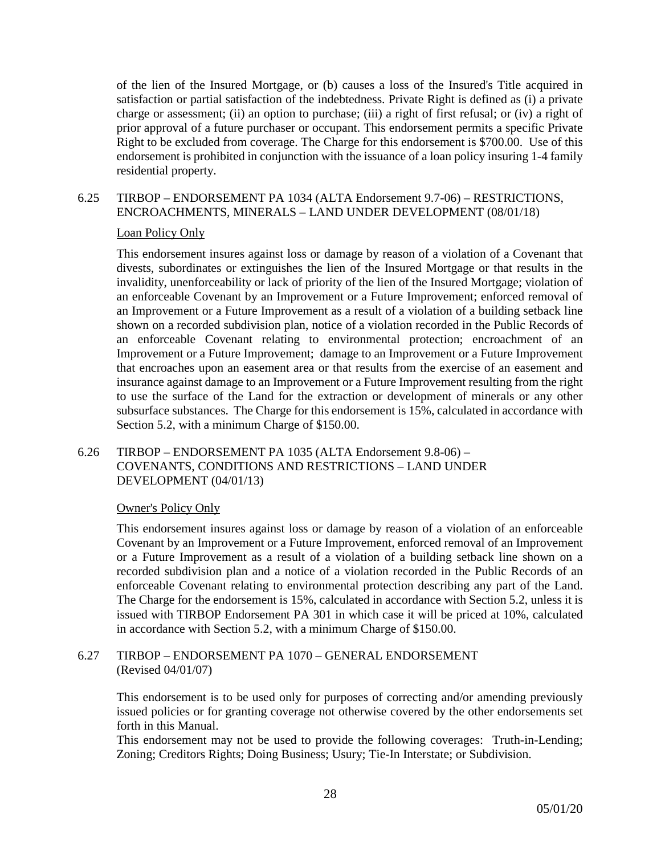of the lien of the Insured Mortgage, or (b) causes a loss of the Insured's Title acquired in satisfaction or partial satisfaction of the indebtedness. Private Right is defined as (i) a private charge or assessment; (ii) an option to purchase; (iii) a right of first refusal; or (iv) a right of prior approval of a future purchaser or occupant. This endorsement permits a specific Private Right to be excluded from coverage. The Charge for this endorsement is \$700.00. Use of this endorsement is prohibited in conjunction with the issuance of a loan policy insuring 1-4 family residential property.

## 6.25 TIRBOP – ENDORSEMENT PA 1034 (ALTA Endorsement 9.7-06) – RESTRICTIONS, ENCROACHMENTS, MINERALS – LAND UNDER DEVELOPMENT (08/01/18)

## Loan Policy Only

This endorsement insures against loss or damage by reason of a violation of a Covenant that divests, subordinates or extinguishes the lien of the Insured Mortgage or that results in the invalidity, unenforceability or lack of priority of the lien of the Insured Mortgage; violation of an enforceable Covenant by an Improvement or a Future Improvement; enforced removal of an Improvement or a Future Improvement as a result of a violation of a building setback line shown on a recorded subdivision plan, notice of a violation recorded in the Public Records of an enforceable Covenant relating to environmental protection; encroachment of an Improvement or a Future Improvement; damage to an Improvement or a Future Improvement that encroaches upon an easement area or that results from the exercise of an easement and insurance against damage to an Improvement or a Future Improvement resulting from the right to use the surface of the Land for the extraction or development of minerals or any other subsurface substances. The Charge for this endorsement is 15%, calculated in accordance with Section 5.2, with a minimum Charge of \$150.00.

## 6.26 TIRBOP – ENDORSEMENT PA 1035 (ALTA Endorsement 9.8-06) – COVENANTS, CONDITIONS AND RESTRICTIONS – LAND UNDER DEVELOPMENT (04/01/13)

## Owner's Policy Only

This endorsement insures against loss or damage by reason of a violation of an enforceable Covenant by an Improvement or a Future Improvement, enforced removal of an Improvement or a Future Improvement as a result of a violation of a building setback line shown on a recorded subdivision plan and a notice of a violation recorded in the Public Records of an enforceable Covenant relating to environmental protection describing any part of the Land. The Charge for the endorsement is 15%, calculated in accordance with Section 5.2, unless it is issued with TIRBOP Endorsement PA 301 in which case it will be priced at 10%, calculated in accordance with Section 5.2, with a minimum Charge of \$150.00.

## 6.27 TIRBOP – ENDORSEMENT PA 1070 – GENERAL ENDORSEMENT (Revised 04/01/07)

This endorsement is to be used only for purposes of correcting and/or amending previously issued policies or for granting coverage not otherwise covered by the other endorsements set forth in this Manual.

This endorsement may not be used to provide the following coverages: Truth-in-Lending; Zoning; Creditors Rights; Doing Business; Usury; Tie-In Interstate; or Subdivision.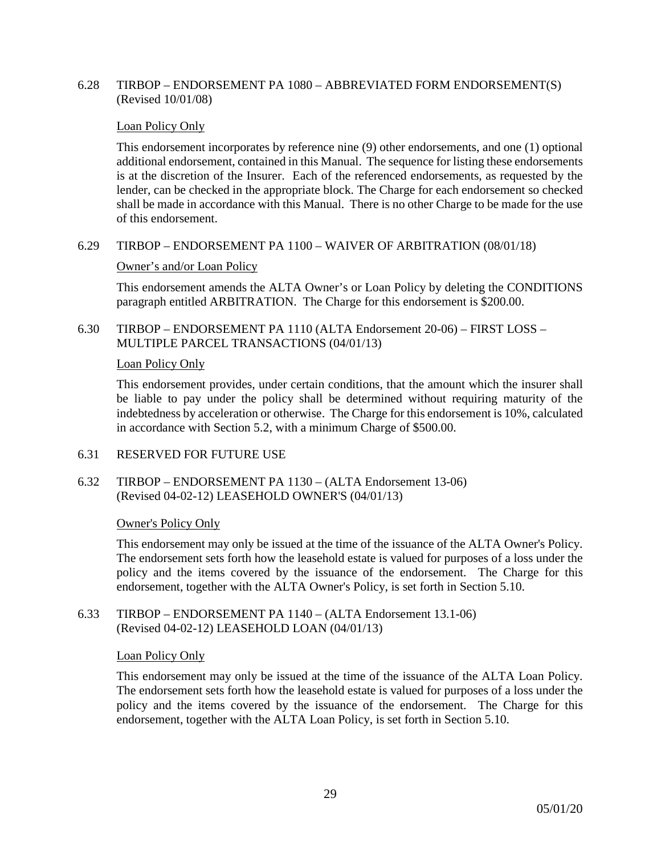### 6.28 TIRBOP – ENDORSEMENT PA 1080 – ABBREVIATED FORM ENDORSEMENT(S) (Revised 10/01/08)

#### Loan Policy Only

This endorsement incorporates by reference nine (9) other endorsements, and one (1) optional additional endorsement, contained in this Manual. The sequence for listing these endorsements is at the discretion of the Insurer. Each of the referenced endorsements, as requested by the lender, can be checked in the appropriate block. The Charge for each endorsement so checked shall be made in accordance with this Manual. There is no other Charge to be made for the use of this endorsement.

#### 6.29 TIRBOP – ENDORSEMENT PA 1100 – WAIVER OF ARBITRATION (08/01/18)

#### Owner's and/or Loan Policy

This endorsement amends the ALTA Owner's or Loan Policy by deleting the CONDITIONS paragraph entitled ARBITRATION. The Charge for this endorsement is \$200.00.

6.30 TIRBOP – ENDORSEMENT PA 1110 (ALTA Endorsement 20-06) – FIRST LOSS – MULTIPLE PARCEL TRANSACTIONS (04/01/13)

#### Loan Policy Only

This endorsement provides, under certain conditions, that the amount which the insurer shall be liable to pay under the policy shall be determined without requiring maturity of the indebtedness by acceleration or otherwise. The Charge for this endorsement is 10%, calculated in accordance with Section 5.2, with a minimum Charge of \$500.00.

#### 6.31 RESERVED FOR FUTURE USE

6.32 TIRBOP – ENDORSEMENT PA 1130 – (ALTA Endorsement 13-06) (Revised 04-02-12) LEASEHOLD OWNER'S (04/01/13)

#### Owner's Policy Only

This endorsement may only be issued at the time of the issuance of the ALTA Owner's Policy. The endorsement sets forth how the leasehold estate is valued for purposes of a loss under the policy and the items covered by the issuance of the endorsement. The Charge for this endorsement, together with the ALTA Owner's Policy, is set forth in Section 5.10.

6.33 TIRBOP – ENDORSEMENT PA 1140 – (ALTA Endorsement 13.1-06) (Revised 04-02-12) LEASEHOLD LOAN (04/01/13)

#### Loan Policy Only

This endorsement may only be issued at the time of the issuance of the ALTA Loan Policy. The endorsement sets forth how the leasehold estate is valued for purposes of a loss under the policy and the items covered by the issuance of the endorsement. The Charge for this endorsement, together with the ALTA Loan Policy, is set forth in Section 5.10.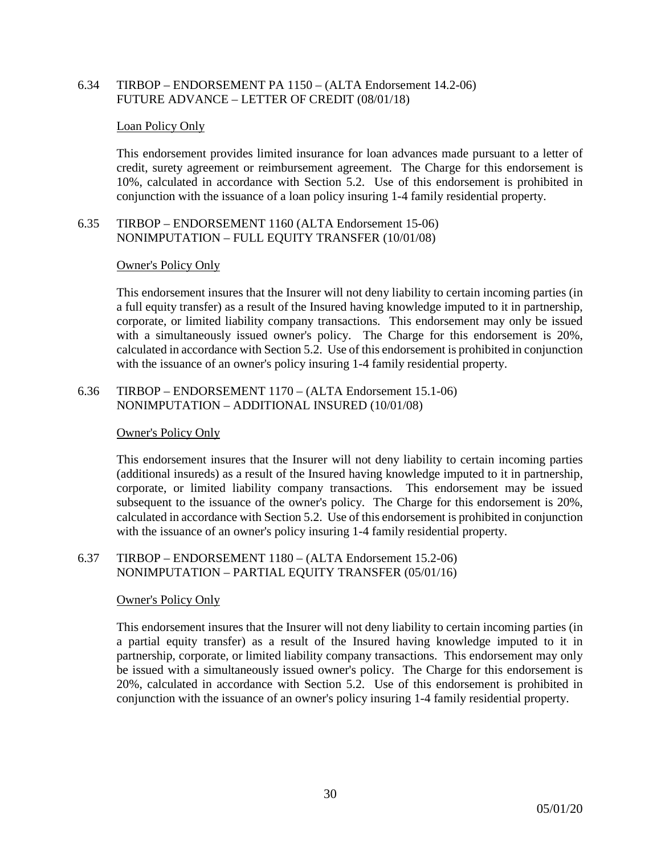## 6.34 TIRBOP – ENDORSEMENT PA 1150 – (ALTA Endorsement 14.2-06) FUTURE ADVANCE – LETTER OF CREDIT (08/01/18)

#### Loan Policy Only

This endorsement provides limited insurance for loan advances made pursuant to a letter of credit, surety agreement or reimbursement agreement. The Charge for this endorsement is 10%, calculated in accordance with Section 5.2. Use of this endorsement is prohibited in conjunction with the issuance of a loan policy insuring 1-4 family residential property.

## 6.35 TIRBOP – ENDORSEMENT 1160 (ALTA Endorsement 15-06) NONIMPUTATION – FULL EQUITY TRANSFER (10/01/08)

#### Owner's Policy Only

This endorsement insures that the Insurer will not deny liability to certain incoming parties (in a full equity transfer) as a result of the Insured having knowledge imputed to it in partnership, corporate, or limited liability company transactions. This endorsement may only be issued with a simultaneously issued owner's policy. The Charge for this endorsement is 20%, calculated in accordance with Section 5.2. Use of this endorsement is prohibited in conjunction with the issuance of an owner's policy insuring 1-4 family residential property.

6.36 TIRBOP – ENDORSEMENT 1170 – (ALTA Endorsement 15.1-06) NONIMPUTATION – ADDITIONAL INSURED (10/01/08)

#### Owner's Policy Only

This endorsement insures that the Insurer will not deny liability to certain incoming parties (additional insureds) as a result of the Insured having knowledge imputed to it in partnership, corporate, or limited liability company transactions. This endorsement may be issued subsequent to the issuance of the owner's policy. The Charge for this endorsement is 20%, calculated in accordance with Section 5.2. Use of this endorsement is prohibited in conjunction with the issuance of an owner's policy insuring 1-4 family residential property.

6.37 TIRBOP – ENDORSEMENT 1180 – (ALTA Endorsement 15.2-06) NONIMPUTATION – PARTIAL EQUITY TRANSFER (05/01/16)

#### Owner's Policy Only

This endorsement insures that the Insurer will not deny liability to certain incoming parties (in a partial equity transfer) as a result of the Insured having knowledge imputed to it in partnership, corporate, or limited liability company transactions. This endorsement may only be issued with a simultaneously issued owner's policy. The Charge for this endorsement is 20%, calculated in accordance with Section 5.2. Use of this endorsement is prohibited in conjunction with the issuance of an owner's policy insuring 1-4 family residential property.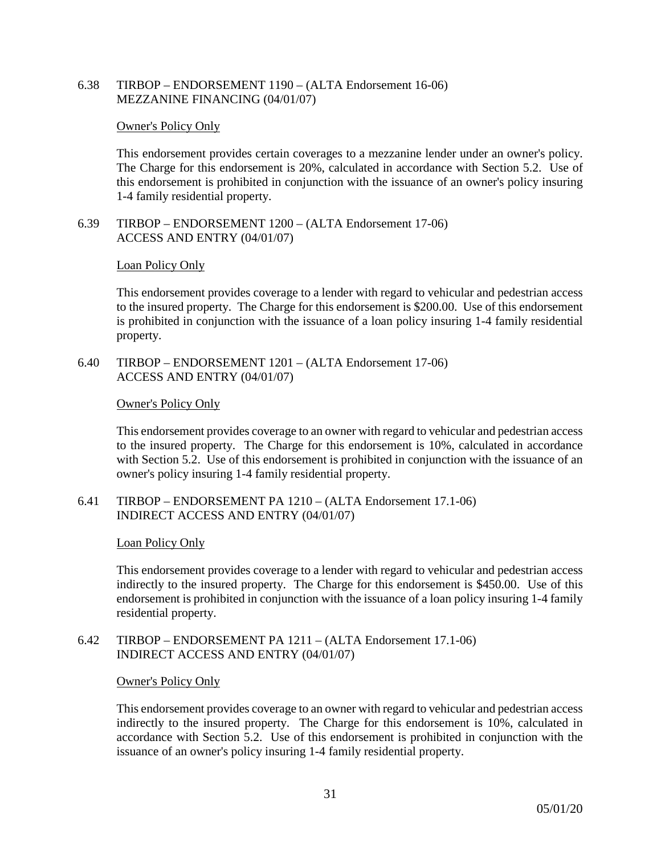6.38 TIRBOP – ENDORSEMENT 1190 – (ALTA Endorsement 16-06) MEZZANINE FINANCING (04/01/07)

#### Owner's Policy Only

This endorsement provides certain coverages to a mezzanine lender under an owner's policy. The Charge for this endorsement is 20%, calculated in accordance with Section 5.2. Use of this endorsement is prohibited in conjunction with the issuance of an owner's policy insuring 1-4 family residential property.

6.39 TIRBOP – ENDORSEMENT 1200 – (ALTA Endorsement 17-06) ACCESS AND ENTRY (04/01/07)

#### Loan Policy Only

This endorsement provides coverage to a lender with regard to vehicular and pedestrian access to the insured property. The Charge for this endorsement is \$200.00. Use of this endorsement is prohibited in conjunction with the issuance of a loan policy insuring 1-4 family residential property.

6.40 TIRBOP – ENDORSEMENT 1201 – (ALTA Endorsement 17-06) ACCESS AND ENTRY (04/01/07)

#### Owner's Policy Only

This endorsement provides coverage to an owner with regard to vehicular and pedestrian access to the insured property. The Charge for this endorsement is 10%, calculated in accordance with Section 5.2. Use of this endorsement is prohibited in conjunction with the issuance of an owner's policy insuring 1-4 family residential property.

6.41 TIRBOP – ENDORSEMENT PA 1210 – (ALTA Endorsement 17.1-06) INDIRECT ACCESS AND ENTRY (04/01/07)

#### Loan Policy Only

This endorsement provides coverage to a lender with regard to vehicular and pedestrian access indirectly to the insured property. The Charge for this endorsement is \$450.00. Use of this endorsement is prohibited in conjunction with the issuance of a loan policy insuring 1-4 family residential property.

6.42 TIRBOP – ENDORSEMENT PA 1211 – (ALTA Endorsement 17.1-06) INDIRECT ACCESS AND ENTRY (04/01/07)

#### Owner's Policy Only

This endorsement provides coverage to an owner with regard to vehicular and pedestrian access indirectly to the insured property. The Charge for this endorsement is 10%, calculated in accordance with Section 5.2. Use of this endorsement is prohibited in conjunction with the issuance of an owner's policy insuring 1-4 family residential property.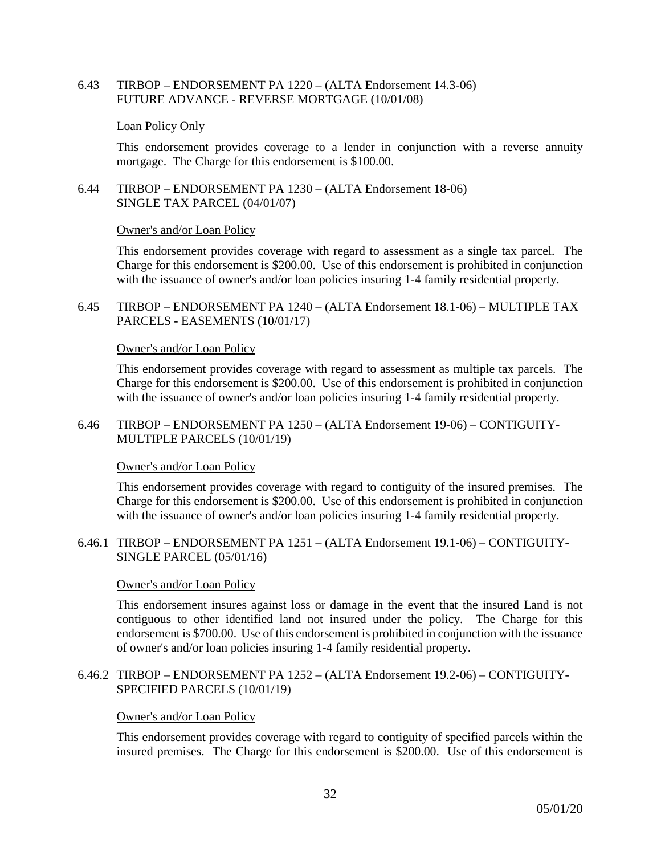6.43 TIRBOP – ENDORSEMENT PA 1220 – (ALTA Endorsement 14.3-06) FUTURE ADVANCE - REVERSE MORTGAGE (10/01/08)

#### Loan Policy Only

This endorsement provides coverage to a lender in conjunction with a reverse annuity mortgage. The Charge for this endorsement is \$100.00.

6.44 TIRBOP – ENDORSEMENT PA 1230 – (ALTA Endorsement 18-06) SINGLE TAX PARCEL (04/01/07)

#### Owner's and/or Loan Policy

This endorsement provides coverage with regard to assessment as a single tax parcel. The Charge for this endorsement is \$200.00. Use of this endorsement is prohibited in conjunction with the issuance of owner's and/or loan policies insuring 1-4 family residential property.

6.45 TIRBOP – ENDORSEMENT PA 1240 – (ALTA Endorsement 18.1-06) – MULTIPLE TAX PARCELS - EASEMENTS (10/01/17)

#### Owner's and/or Loan Policy

This endorsement provides coverage with regard to assessment as multiple tax parcels. The Charge for this endorsement is \$200.00. Use of this endorsement is prohibited in conjunction with the issuance of owner's and/or loan policies insuring 1-4 family residential property.

6.46 TIRBOP – ENDORSEMENT PA 1250 – (ALTA Endorsement 19-06) – CONTIGUITY-MULTIPLE PARCELS (10/01/19)

#### Owner's and/or Loan Policy

This endorsement provides coverage with regard to contiguity of the insured premises. The Charge for this endorsement is \$200.00. Use of this endorsement is prohibited in conjunction with the issuance of owner's and/or loan policies insuring 1-4 family residential property.

6.46.1 TIRBOP – ENDORSEMENT PA 1251 – (ALTA Endorsement 19.1-06) – CONTIGUITY-SINGLE PARCEL (05/01/16)

#### Owner's and/or Loan Policy

This endorsement insures against loss or damage in the event that the insured Land is not contiguous to other identified land not insured under the policy. The Charge for this endorsement is \$700.00. Use of this endorsement is prohibited in conjunction with the issuance of owner's and/or loan policies insuring 1-4 family residential property.

#### 6.46.2 TIRBOP – ENDORSEMENT PA 1252 – (ALTA Endorsement 19.2-06) – CONTIGUITY-SPECIFIED PARCELS (10/01/19)

#### Owner's and/or Loan Policy

This endorsement provides coverage with regard to contiguity of specified parcels within the insured premises. The Charge for this endorsement is \$200.00. Use of this endorsement is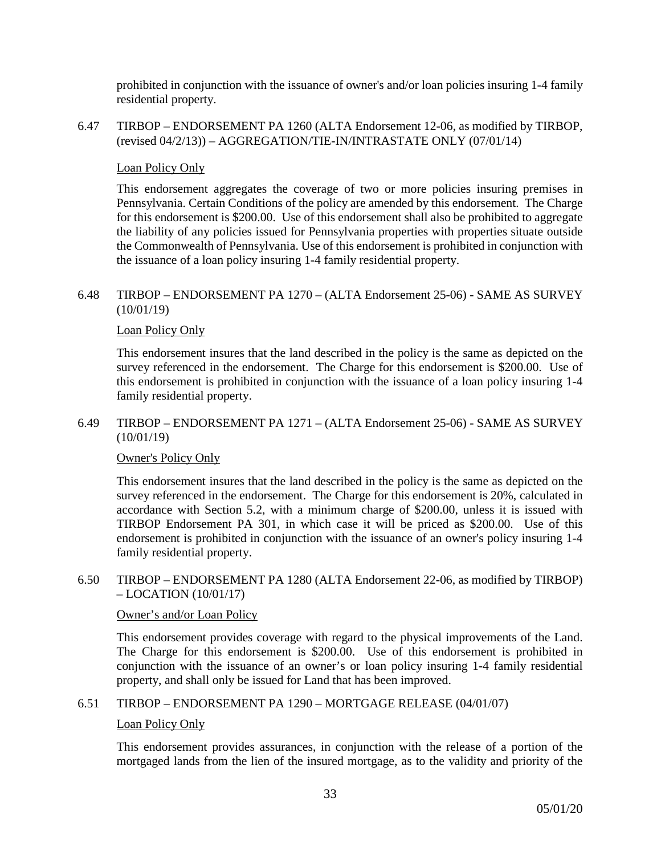prohibited in conjunction with the issuance of owner's and/or loan policies insuring 1-4 family residential property.

6.47 TIRBOP – ENDORSEMENT PA 1260 (ALTA Endorsement 12-06, as modified by TIRBOP, (revised 04/2/13)) – AGGREGATION/TIE-IN/INTRASTATE ONLY (07/01/14)

## Loan Policy Only

This endorsement aggregates the coverage of two or more policies insuring premises in Pennsylvania. Certain Conditions of the policy are amended by this endorsement. The Charge for this endorsement is \$200.00. Use of this endorsement shall also be prohibited to aggregate the liability of any policies issued for Pennsylvania properties with properties situate outside the Commonwealth of Pennsylvania. Use of this endorsement is prohibited in conjunction with the issuance of a loan policy insuring 1-4 family residential property.

## 6.48 TIRBOP – ENDORSEMENT PA 1270 – (ALTA Endorsement 25-06) - SAME AS SURVEY (10/01/19)

## Loan Policy Only

This endorsement insures that the land described in the policy is the same as depicted on the survey referenced in the endorsement. The Charge for this endorsement is \$200.00. Use of this endorsement is prohibited in conjunction with the issuance of a loan policy insuring 1-4 family residential property.

#### 6.49 TIRBOP – ENDORSEMENT PA 1271 – (ALTA Endorsement 25-06) - SAME AS SURVEY (10/01/19)

#### Owner's Policy Only

This endorsement insures that the land described in the policy is the same as depicted on the survey referenced in the endorsement. The Charge for this endorsement is 20%, calculated in accordance with Section 5.2, with a minimum charge of \$200.00, unless it is issued with TIRBOP Endorsement PA 301, in which case it will be priced as \$200.00. Use of this endorsement is prohibited in conjunction with the issuance of an owner's policy insuring 1-4 family residential property.

## 6.50 TIRBOP – ENDORSEMENT PA 1280 (ALTA Endorsement 22-06, as modified by TIRBOP) – LOCATION (10/01/17)

## Owner's and/or Loan Policy

This endorsement provides coverage with regard to the physical improvements of the Land. The Charge for this endorsement is \$200.00. Use of this endorsement is prohibited in conjunction with the issuance of an owner's or loan policy insuring 1-4 family residential property, and shall only be issued for Land that has been improved.

6.51 TIRBOP – ENDORSEMENT PA 1290 – MORTGAGE RELEASE (04/01/07)

#### Loan Policy Only

This endorsement provides assurances, in conjunction with the release of a portion of the mortgaged lands from the lien of the insured mortgage, as to the validity and priority of the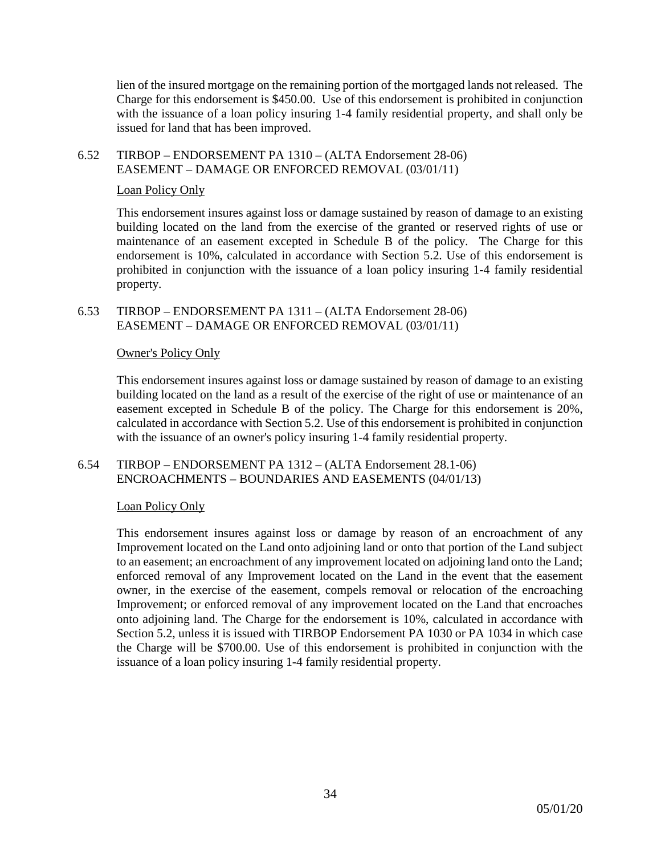lien of the insured mortgage on the remaining portion of the mortgaged lands not released. The Charge for this endorsement is \$450.00. Use of this endorsement is prohibited in conjunction with the issuance of a loan policy insuring 1-4 family residential property, and shall only be issued for land that has been improved.

## 6.52 TIRBOP – ENDORSEMENT PA 1310 – (ALTA Endorsement 28-06) EASEMENT – DAMAGE OR ENFORCED REMOVAL (03/01/11)

## Loan Policy Only

This endorsement insures against loss or damage sustained by reason of damage to an existing building located on the land from the exercise of the granted or reserved rights of use or maintenance of an easement excepted in Schedule B of the policy. The Charge for this endorsement is 10%, calculated in accordance with Section 5.2. Use of this endorsement is prohibited in conjunction with the issuance of a loan policy insuring 1-4 family residential property.

#### 6.53 TIRBOP – ENDORSEMENT PA 1311 – (ALTA Endorsement 28-06) EASEMENT – DAMAGE OR ENFORCED REMOVAL (03/01/11)

## Owner's Policy Only

This endorsement insures against loss or damage sustained by reason of damage to an existing building located on the land as a result of the exercise of the right of use or maintenance of an easement excepted in Schedule B of the policy. The Charge for this endorsement is 20%, calculated in accordance with Section 5.2. Use of this endorsement is prohibited in conjunction with the issuance of an owner's policy insuring 1-4 family residential property.

## 6.54 TIRBOP – ENDORSEMENT PA 1312 – (ALTA Endorsement 28.1-06) ENCROACHMENTS – BOUNDARIES AND EASEMENTS (04/01/13)

#### Loan Policy Only

This endorsement insures against loss or damage by reason of an encroachment of any Improvement located on the Land onto adjoining land or onto that portion of the Land subject to an easement; an encroachment of any improvement located on adjoining land onto the Land; enforced removal of any Improvement located on the Land in the event that the easement owner, in the exercise of the easement, compels removal or relocation of the encroaching Improvement; or enforced removal of any improvement located on the Land that encroaches onto adjoining land. The Charge for the endorsement is 10%, calculated in accordance with Section 5.2, unless it is issued with TIRBOP Endorsement PA 1030 or PA 1034 in which case the Charge will be \$700.00. Use of this endorsement is prohibited in conjunction with the issuance of a loan policy insuring 1-4 family residential property.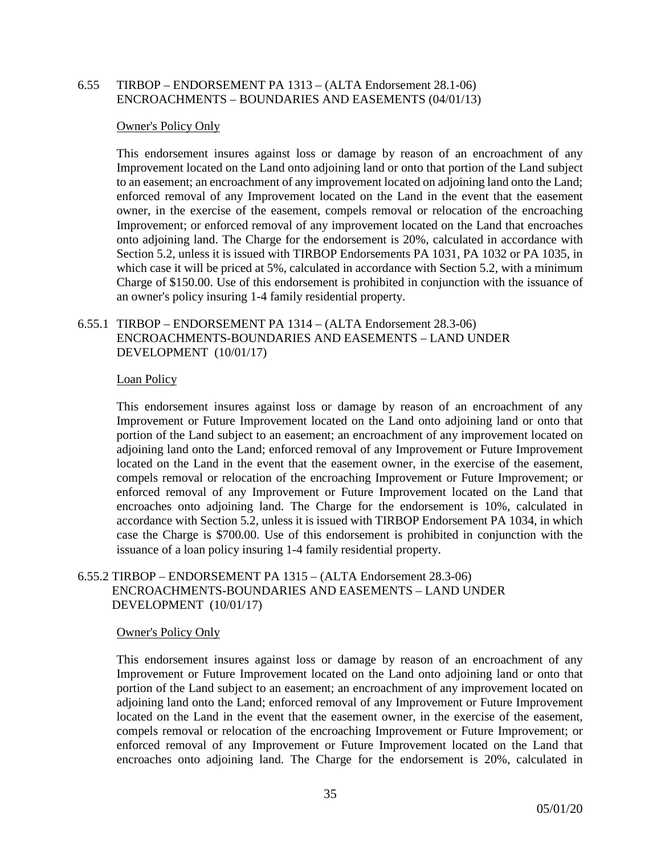#### 6.55 TIRBOP – ENDORSEMENT PA 1313 – (ALTA Endorsement 28.1-06) ENCROACHMENTS – BOUNDARIES AND EASEMENTS (04/01/13)

#### Owner's Policy Only

This endorsement insures against loss or damage by reason of an encroachment of any Improvement located on the Land onto adjoining land or onto that portion of the Land subject to an easement; an encroachment of any improvement located on adjoining land onto the Land; enforced removal of any Improvement located on the Land in the event that the easement owner, in the exercise of the easement, compels removal or relocation of the encroaching Improvement; or enforced removal of any improvement located on the Land that encroaches onto adjoining land. The Charge for the endorsement is 20%, calculated in accordance with Section 5.2, unless it is issued with TIRBOP Endorsements PA 1031, PA 1032 or PA 1035, in which case it will be priced at 5%, calculated in accordance with Section 5.2, with a minimum Charge of \$150.00. Use of this endorsement is prohibited in conjunction with the issuance of an owner's policy insuring 1-4 family residential property.

## 6.55.1 TIRBOP – ENDORSEMENT PA 1314 – (ALTA Endorsement 28.3-06) ENCROACHMENTS-BOUNDARIES AND EASEMENTS – LAND UNDER DEVELOPMENT (10/01/17)

#### Loan Policy

This endorsement insures against loss or damage by reason of an encroachment of any Improvement or Future Improvement located on the Land onto adjoining land or onto that portion of the Land subject to an easement; an encroachment of any improvement located on adjoining land onto the Land; enforced removal of any Improvement or Future Improvement located on the Land in the event that the easement owner, in the exercise of the easement, compels removal or relocation of the encroaching Improvement or Future Improvement; or enforced removal of any Improvement or Future Improvement located on the Land that encroaches onto adjoining land. The Charge for the endorsement is 10%, calculated in accordance with Section 5.2, unless it is issued with TIRBOP Endorsement PA 1034, in which case the Charge is \$700.00. Use of this endorsement is prohibited in conjunction with the issuance of a loan policy insuring 1-4 family residential property.

## 6.55.2 TIRBOP – ENDORSEMENT PA 1315 – (ALTA Endorsement 28.3-06) ENCROACHMENTS-BOUNDARIES AND EASEMENTS – LAND UNDER DEVELOPMENT (10/01/17)

#### Owner's Policy Only

This endorsement insures against loss or damage by reason of an encroachment of any Improvement or Future Improvement located on the Land onto adjoining land or onto that portion of the Land subject to an easement; an encroachment of any improvement located on adjoining land onto the Land; enforced removal of any Improvement or Future Improvement located on the Land in the event that the easement owner, in the exercise of the easement, compels removal or relocation of the encroaching Improvement or Future Improvement; or enforced removal of any Improvement or Future Improvement located on the Land that encroaches onto adjoining land. The Charge for the endorsement is 20%, calculated in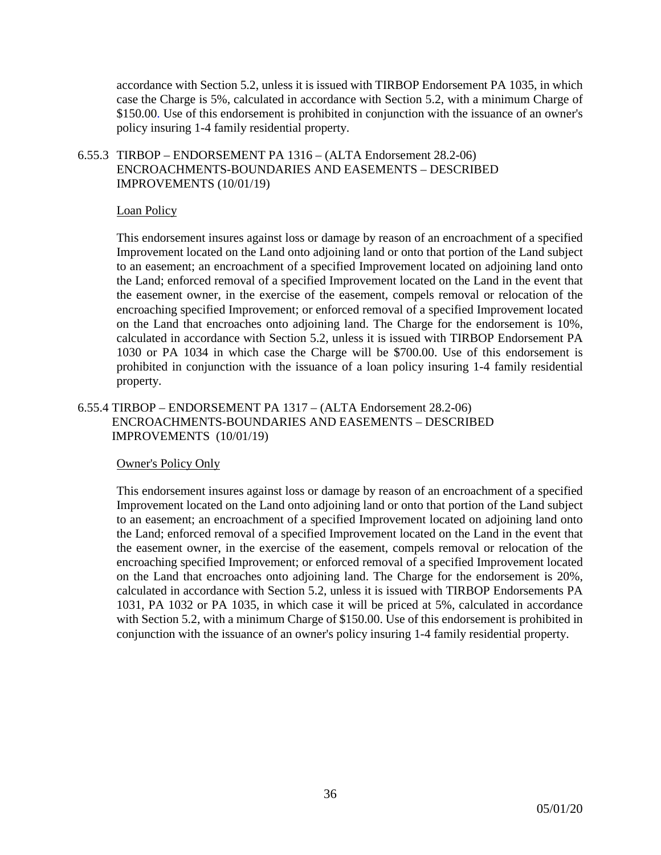accordance with Section 5.2, unless it is issued with TIRBOP Endorsement PA 1035, in which case the Charge is 5%, calculated in accordance with Section 5.2, with a minimum Charge of \$150.00. Use of this endorsement is prohibited in conjunction with the issuance of an owner's policy insuring 1-4 family residential property.

## 6.55.3 TIRBOP – ENDORSEMENT PA 1316 – (ALTA Endorsement 28.2-06) ENCROACHMENTS-BOUNDARIES AND EASEMENTS – DESCRIBED IMPROVEMENTS (10/01/19)

## Loan Policy

This endorsement insures against loss or damage by reason of an encroachment of a specified Improvement located on the Land onto adjoining land or onto that portion of the Land subject to an easement; an encroachment of a specified Improvement located on adjoining land onto the Land; enforced removal of a specified Improvement located on the Land in the event that the easement owner, in the exercise of the easement, compels removal or relocation of the encroaching specified Improvement; or enforced removal of a specified Improvement located on the Land that encroaches onto adjoining land. The Charge for the endorsement is 10%, calculated in accordance with Section 5.2, unless it is issued with TIRBOP Endorsement PA 1030 or PA 1034 in which case the Charge will be \$700.00. Use of this endorsement is prohibited in conjunction with the issuance of a loan policy insuring 1-4 family residential property.

## 6.55.4 TIRBOP – ENDORSEMENT PA 1317 – (ALTA Endorsement 28.2-06) ENCROACHMENTS-BOUNDARIES AND EASEMENTS – DESCRIBED IMPROVEMENTS (10/01/19)

## Owner's Policy Only

This endorsement insures against loss or damage by reason of an encroachment of a specified Improvement located on the Land onto adjoining land or onto that portion of the Land subject to an easement; an encroachment of a specified Improvement located on adjoining land onto the Land; enforced removal of a specified Improvement located on the Land in the event that the easement owner, in the exercise of the easement, compels removal or relocation of the encroaching specified Improvement; or enforced removal of a specified Improvement located on the Land that encroaches onto adjoining land. The Charge for the endorsement is 20%, calculated in accordance with Section 5.2, unless it is issued with TIRBOP Endorsements PA 1031, PA 1032 or PA 1035, in which case it will be priced at 5%, calculated in accordance with Section 5.2, with a minimum Charge of \$150.00. Use of this endorsement is prohibited in conjunction with the issuance of an owner's policy insuring 1-4 family residential property.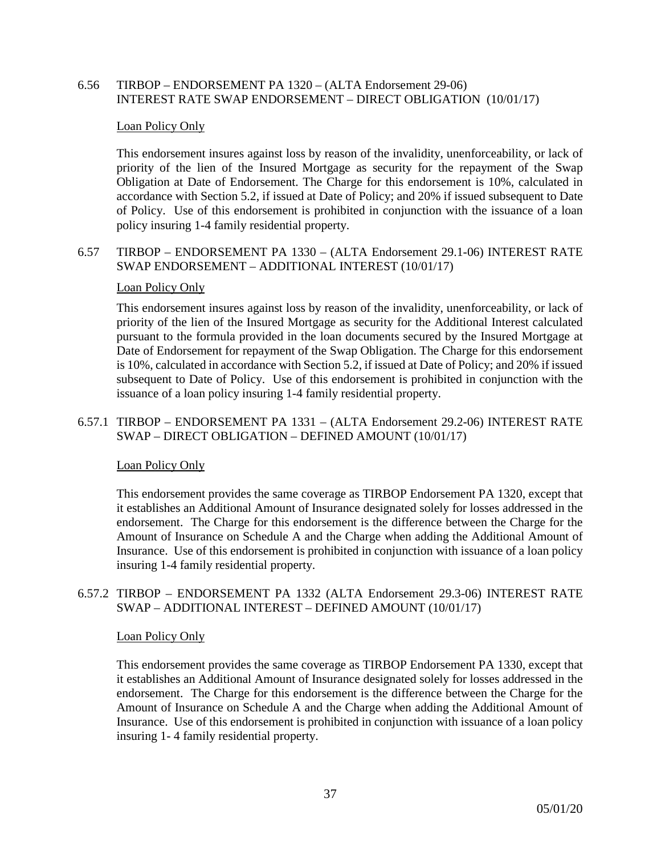## 6.56 TIRBOP – ENDORSEMENT PA 1320 – (ALTA Endorsement 29-06) INTEREST RATE SWAP ENDORSEMENT – DIRECT OBLIGATION (10/01/17)

#### Loan Policy Only

This endorsement insures against loss by reason of the invalidity, unenforceability, or lack of priority of the lien of the Insured Mortgage as security for the repayment of the Swap Obligation at Date of Endorsement. The Charge for this endorsement is 10%, calculated in accordance with Section 5.2, if issued at Date of Policy; and 20% if issued subsequent to Date of Policy. Use of this endorsement is prohibited in conjunction with the issuance of a loan policy insuring 1-4 family residential property.

6.57 TIRBOP – ENDORSEMENT PA 1330 – (ALTA Endorsement 29.1-06) INTEREST RATE SWAP ENDORSEMENT – ADDITIONAL INTEREST (10/01/17)

#### Loan Policy Only

This endorsement insures against loss by reason of the invalidity, unenforceability, or lack of priority of the lien of the Insured Mortgage as security for the Additional Interest calculated pursuant to the formula provided in the loan documents secured by the Insured Mortgage at Date of Endorsement for repayment of the Swap Obligation. The Charge for this endorsement is 10%, calculated in accordance with Section 5.2, if issued at Date of Policy; and 20% if issued subsequent to Date of Policy. Use of this endorsement is prohibited in conjunction with the issuance of a loan policy insuring 1-4 family residential property.

## 6.57.1 TIRBOP – ENDORSEMENT PA 1331 – (ALTA Endorsement 29.2-06) INTEREST RATE SWAP – DIRECT OBLIGATION – DEFINED AMOUNT (10/01/17)

#### Loan Policy Only

This endorsement provides the same coverage as TIRBOP Endorsement PA 1320, except that it establishes an Additional Amount of Insurance designated solely for losses addressed in the endorsement. The Charge for this endorsement is the difference between the Charge for the Amount of Insurance on Schedule A and the Charge when adding the Additional Amount of Insurance. Use of this endorsement is prohibited in conjunction with issuance of a loan policy insuring 1-4 family residential property.

## 6.57.2 TIRBOP – ENDORSEMENT PA 1332 (ALTA Endorsement 29.3-06) INTEREST RATE SWAP – ADDITIONAL INTEREST – DEFINED AMOUNT (10/01/17)

#### Loan Policy Only

This endorsement provides the same coverage as TIRBOP Endorsement PA 1330, except that it establishes an Additional Amount of Insurance designated solely for losses addressed in the endorsement. The Charge for this endorsement is the difference between the Charge for the Amount of Insurance on Schedule A and the Charge when adding the Additional Amount of Insurance. Use of this endorsement is prohibited in conjunction with issuance of a loan policy insuring 1- 4 family residential property.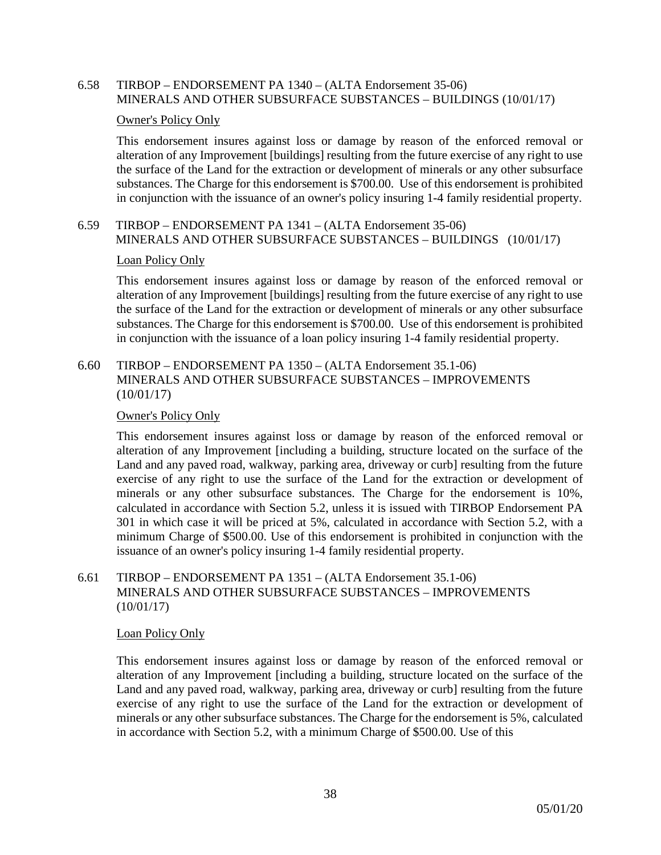## 6.58 TIRBOP – ENDORSEMENT PA 1340 – (ALTA Endorsement 35-06) MINERALS AND OTHER SUBSURFACE SUBSTANCES – BUILDINGS (10/01/17)

#### Owner's Policy Only

This endorsement insures against loss or damage by reason of the enforced removal or alteration of any Improvement [buildings] resulting from the future exercise of any right to use the surface of the Land for the extraction or development of minerals or any other subsurface substances. The Charge for this endorsement is \$700.00. Use of this endorsement is prohibited in conjunction with the issuance of an owner's policy insuring 1-4 family residential property.

## 6.59 TIRBOP – ENDORSEMENT PA 1341 – (ALTA Endorsement 35-06) MINERALS AND OTHER SUBSURFACE SUBSTANCES – BUILDINGS (10/01/17)

#### Loan Policy Only

This endorsement insures against loss or damage by reason of the enforced removal or alteration of any Improvement [buildings] resulting from the future exercise of any right to use the surface of the Land for the extraction or development of minerals or any other subsurface substances. The Charge for this endorsement is \$700.00. Use of this endorsement is prohibited in conjunction with the issuance of a loan policy insuring 1-4 family residential property.

## 6.60 TIRBOP – ENDORSEMENT PA 1350 – (ALTA Endorsement 35.1-06) MINERALS AND OTHER SUBSURFACE SUBSTANCES – IMPROVEMENTS (10/01/17)

#### Owner's Policy Only

This endorsement insures against loss or damage by reason of the enforced removal or alteration of any Improvement [including a building, structure located on the surface of the Land and any paved road, walkway, parking area, driveway or curb] resulting from the future exercise of any right to use the surface of the Land for the extraction or development of minerals or any other subsurface substances. The Charge for the endorsement is 10%, calculated in accordance with Section 5.2, unless it is issued with TIRBOP Endorsement PA 301 in which case it will be priced at 5%, calculated in accordance with Section 5.2, with a minimum Charge of \$500.00. Use of this endorsement is prohibited in conjunction with the issuance of an owner's policy insuring 1-4 family residential property.

## 6.61 TIRBOP – ENDORSEMENT PA 1351 – (ALTA Endorsement 35.1-06) MINERALS AND OTHER SUBSURFACE SUBSTANCES – IMPROVEMENTS (10/01/17)

#### Loan Policy Only

This endorsement insures against loss or damage by reason of the enforced removal or alteration of any Improvement [including a building, structure located on the surface of the Land and any paved road, walkway, parking area, driveway or curb] resulting from the future exercise of any right to use the surface of the Land for the extraction or development of minerals or any other subsurface substances. The Charge for the endorsement is 5%, calculated in accordance with Section 5.2, with a minimum Charge of \$500.00. Use of this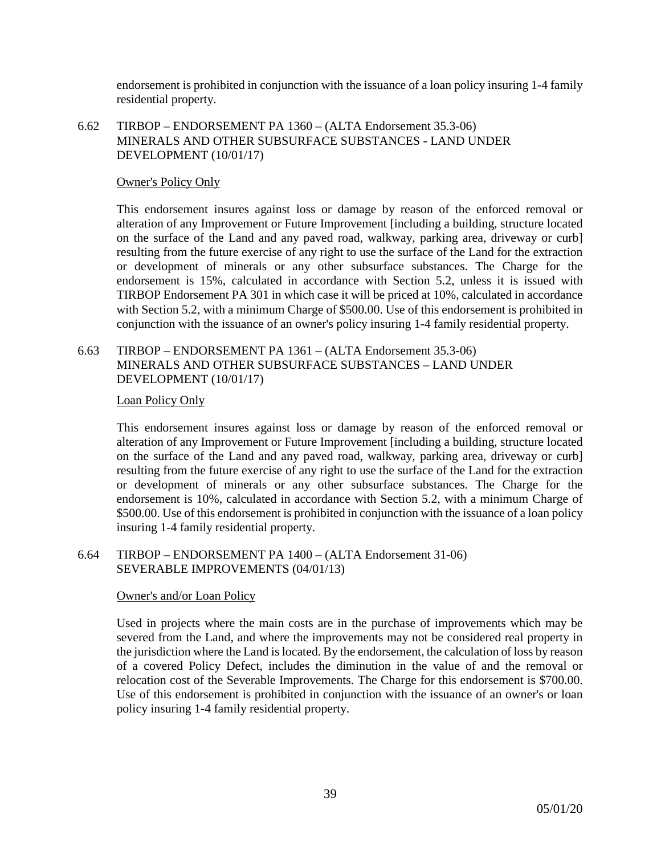endorsement is prohibited in conjunction with the issuance of a loan policy insuring 1-4 family residential property.

6.62 TIRBOP – ENDORSEMENT PA 1360 – (ALTA Endorsement 35.3-06) MINERALS AND OTHER SUBSURFACE SUBSTANCES - LAND UNDER DEVELOPMENT (10/01/17)

## Owner's Policy Only

This endorsement insures against loss or damage by reason of the enforced removal or alteration of any Improvement or Future Improvement [including a building, structure located on the surface of the Land and any paved road, walkway, parking area, driveway or curb] resulting from the future exercise of any right to use the surface of the Land for the extraction or development of minerals or any other subsurface substances. The Charge for the endorsement is 15%, calculated in accordance with Section 5.2, unless it is issued with TIRBOP Endorsement PA 301 in which case it will be priced at 10%, calculated in accordance with Section 5.2, with a minimum Charge of \$500.00. Use of this endorsement is prohibited in conjunction with the issuance of an owner's policy insuring 1-4 family residential property.

## 6.63 TIRBOP – ENDORSEMENT PA 1361 – (ALTA Endorsement 35.3-06) MINERALS AND OTHER SUBSURFACE SUBSTANCES – LAND UNDER DEVELOPMENT (10/01/17)

#### Loan Policy Only

This endorsement insures against loss or damage by reason of the enforced removal or alteration of any Improvement or Future Improvement [including a building, structure located on the surface of the Land and any paved road, walkway, parking area, driveway or curb] resulting from the future exercise of any right to use the surface of the Land for the extraction or development of minerals or any other subsurface substances. The Charge for the endorsement is 10%, calculated in accordance with Section 5.2, with a minimum Charge of \$500.00. Use of this endorsement is prohibited in conjunction with the issuance of a loan policy insuring 1-4 family residential property.

6.64 TIRBOP – ENDORSEMENT PA 1400 – (ALTA Endorsement 31-06) SEVERABLE IMPROVEMENTS (04/01/13)

#### Owner's and/or Loan Policy

Used in projects where the main costs are in the purchase of improvements which may be severed from the Land, and where the improvements may not be considered real property in the jurisdiction where the Land is located. By the endorsement, the calculation of loss by reason of a covered Policy Defect, includes the diminution in the value of and the removal or relocation cost of the Severable Improvements. The Charge for this endorsement is \$700.00. Use of this endorsement is prohibited in conjunction with the issuance of an owner's or loan policy insuring 1-4 family residential property.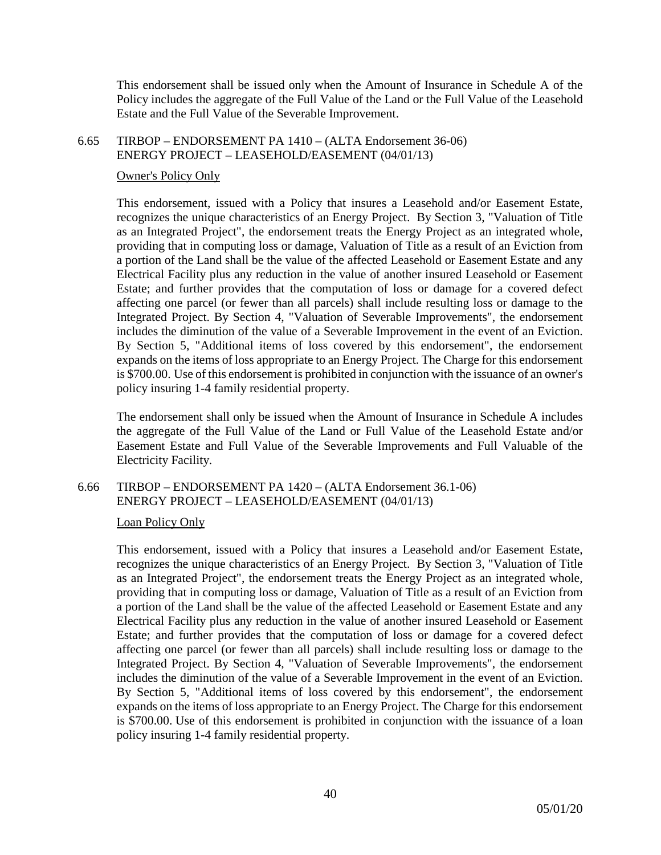This endorsement shall be issued only when the Amount of Insurance in Schedule A of the Policy includes the aggregate of the Full Value of the Land or the Full Value of the Leasehold Estate and the Full Value of the Severable Improvement.

#### 6.65 TIRBOP – ENDORSEMENT PA 1410 – (ALTA Endorsement 36-06) ENERGY PROJECT – LEASEHOLD/EASEMENT (04/01/13)

## Owner's Policy Only

This endorsement, issued with a Policy that insures a Leasehold and/or Easement Estate, recognizes the unique characteristics of an Energy Project. By Section 3, "Valuation of Title as an Integrated Project", the endorsement treats the Energy Project as an integrated whole, providing that in computing loss or damage, Valuation of Title as a result of an Eviction from a portion of the Land shall be the value of the affected Leasehold or Easement Estate and any Electrical Facility plus any reduction in the value of another insured Leasehold or Easement Estate; and further provides that the computation of loss or damage for a covered defect affecting one parcel (or fewer than all parcels) shall include resulting loss or damage to the Integrated Project. By Section 4, "Valuation of Severable Improvements", the endorsement includes the diminution of the value of a Severable Improvement in the event of an Eviction. By Section 5, "Additional items of loss covered by this endorsement", the endorsement expands on the items of loss appropriate to an Energy Project. The Charge for this endorsement is \$700.00. Use of this endorsement is prohibited in conjunction with the issuance of an owner's policy insuring 1-4 family residential property.

The endorsement shall only be issued when the Amount of Insurance in Schedule A includes the aggregate of the Full Value of the Land or Full Value of the Leasehold Estate and/or Easement Estate and Full Value of the Severable Improvements and Full Valuable of the Electricity Facility.

## 6.66 TIRBOP – ENDORSEMENT PA 1420 – (ALTA Endorsement 36.1-06) ENERGY PROJECT – LEASEHOLD/EASEMENT (04/01/13)

## Loan Policy Only

This endorsement, issued with a Policy that insures a Leasehold and/or Easement Estate, recognizes the unique characteristics of an Energy Project. By Section 3, "Valuation of Title as an Integrated Project", the endorsement treats the Energy Project as an integrated whole, providing that in computing loss or damage, Valuation of Title as a result of an Eviction from a portion of the Land shall be the value of the affected Leasehold or Easement Estate and any Electrical Facility plus any reduction in the value of another insured Leasehold or Easement Estate; and further provides that the computation of loss or damage for a covered defect affecting one parcel (or fewer than all parcels) shall include resulting loss or damage to the Integrated Project. By Section 4, "Valuation of Severable Improvements", the endorsement includes the diminution of the value of a Severable Improvement in the event of an Eviction. By Section 5, "Additional items of loss covered by this endorsement", the endorsement expands on the items of loss appropriate to an Energy Project. The Charge for this endorsement is \$700.00. Use of this endorsement is prohibited in conjunction with the issuance of a loan policy insuring 1-4 family residential property.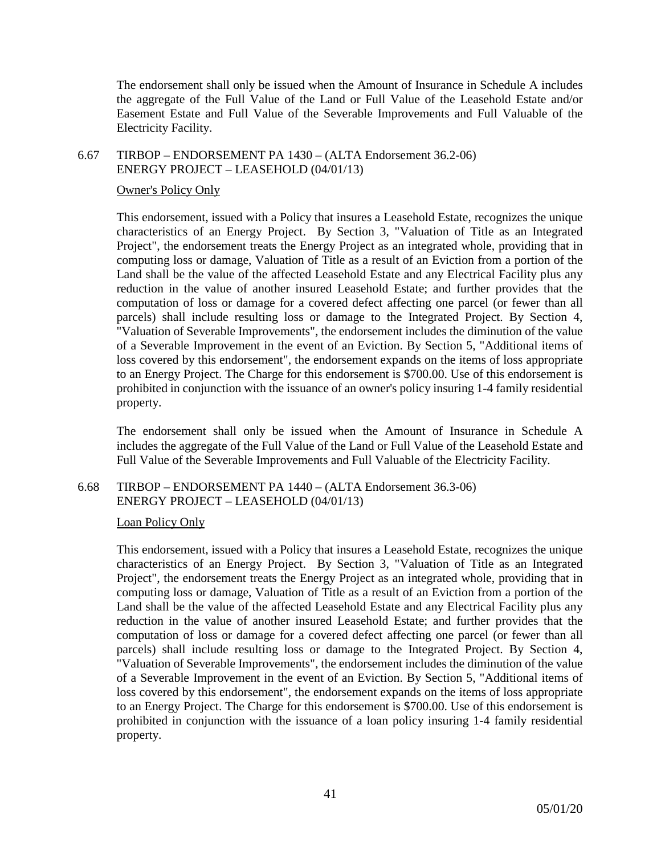The endorsement shall only be issued when the Amount of Insurance in Schedule A includes the aggregate of the Full Value of the Land or Full Value of the Leasehold Estate and/or Easement Estate and Full Value of the Severable Improvements and Full Valuable of the Electricity Facility.

## 6.67 TIRBOP – ENDORSEMENT PA 1430 – (ALTA Endorsement 36.2-06) ENERGY PROJECT – LEASEHOLD (04/01/13)

## Owner's Policy Only

This endorsement, issued with a Policy that insures a Leasehold Estate, recognizes the unique characteristics of an Energy Project. By Section 3, "Valuation of Title as an Integrated Project", the endorsement treats the Energy Project as an integrated whole, providing that in computing loss or damage, Valuation of Title as a result of an Eviction from a portion of the Land shall be the value of the affected Leasehold Estate and any Electrical Facility plus any reduction in the value of another insured Leasehold Estate; and further provides that the computation of loss or damage for a covered defect affecting one parcel (or fewer than all parcels) shall include resulting loss or damage to the Integrated Project. By Section 4, "Valuation of Severable Improvements", the endorsement includes the diminution of the value of a Severable Improvement in the event of an Eviction. By Section 5, "Additional items of loss covered by this endorsement", the endorsement expands on the items of loss appropriate to an Energy Project. The Charge for this endorsement is \$700.00. Use of this endorsement is prohibited in conjunction with the issuance of an owner's policy insuring 1-4 family residential property.

The endorsement shall only be issued when the Amount of Insurance in Schedule A includes the aggregate of the Full Value of the Land or Full Value of the Leasehold Estate and Full Value of the Severable Improvements and Full Valuable of the Electricity Facility.

## 6.68 TIRBOP – ENDORSEMENT PA 1440 – (ALTA Endorsement 36.3-06) ENERGY PROJECT – LEASEHOLD (04/01/13)

#### Loan Policy Only

This endorsement, issued with a Policy that insures a Leasehold Estate, recognizes the unique characteristics of an Energy Project. By Section 3, "Valuation of Title as an Integrated Project", the endorsement treats the Energy Project as an integrated whole, providing that in computing loss or damage, Valuation of Title as a result of an Eviction from a portion of the Land shall be the value of the affected Leasehold Estate and any Electrical Facility plus any reduction in the value of another insured Leasehold Estate; and further provides that the computation of loss or damage for a covered defect affecting one parcel (or fewer than all parcels) shall include resulting loss or damage to the Integrated Project. By Section 4, "Valuation of Severable Improvements", the endorsement includes the diminution of the value of a Severable Improvement in the event of an Eviction. By Section 5, "Additional items of loss covered by this endorsement", the endorsement expands on the items of loss appropriate to an Energy Project. The Charge for this endorsement is \$700.00. Use of this endorsement is prohibited in conjunction with the issuance of a loan policy insuring 1-4 family residential property.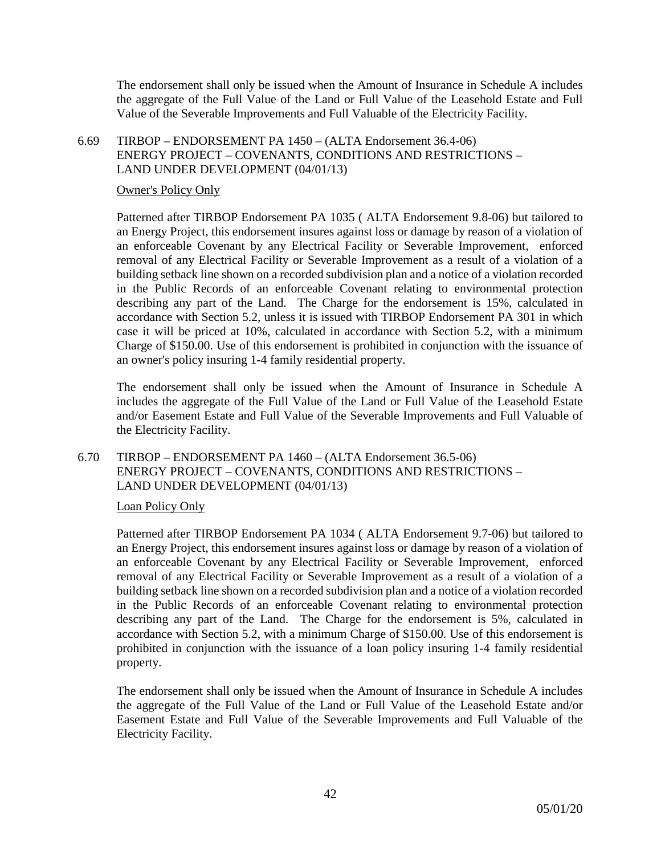The endorsement shall only be issued when the Amount of Insurance in Schedule A includes the aggregate of the Full Value of the Land or Full Value of the Leasehold Estate and Full Value of the Severable Improvements and Full Valuable of the Electricity Facility.

## 6.69 TIRBOP – ENDORSEMENT PA 1450 – (ALTA Endorsement 36.4-06) ENERGY PROJECT – COVENANTS, CONDITIONS AND RESTRICTIONS – LAND UNDER DEVELOPMENT (04/01/13)

#### Owner's Policy Only

Patterned after TIRBOP Endorsement PA 1035 ( ALTA Endorsement 9.8-06) but tailored to an Energy Project, this endorsement insures against loss or damage by reason of a violation of an enforceable Covenant by any Electrical Facility or Severable Improvement, enforced removal of any Electrical Facility or Severable Improvement as a result of a violation of a building setback line shown on a recorded subdivision plan and a notice of a violation recorded in the Public Records of an enforceable Covenant relating to environmental protection describing any part of the Land. The Charge for the endorsement is 15%, calculated in accordance with Section 5.2, unless it is issued with TIRBOP Endorsement PA 301 in which case it will be priced at 10%, calculated in accordance with Section 5.2, with a minimum Charge of \$150.00. Use of this endorsement is prohibited in conjunction with the issuance of an owner's policy insuring 1-4 family residential property.

The endorsement shall only be issued when the Amount of Insurance in Schedule A includes the aggregate of the Full Value of the Land or Full Value of the Leasehold Estate and/or Easement Estate and Full Value of the Severable Improvements and Full Valuable of the Electricity Facility.

6.70 TIRBOP – ENDORSEMENT PA 1460 – (ALTA Endorsement 36.5-06) ENERGY PROJECT – COVENANTS, CONDITIONS AND RESTRICTIONS – LAND UNDER DEVELOPMENT (04/01/13)

## Loan Policy Only

Patterned after TIRBOP Endorsement PA 1034 ( ALTA Endorsement 9.7-06) but tailored to an Energy Project, this endorsement insures against loss or damage by reason of a violation of an enforceable Covenant by any Electrical Facility or Severable Improvement, enforced removal of any Electrical Facility or Severable Improvement as a result of a violation of a building setback line shown on a recorded subdivision plan and a notice of a violation recorded in the Public Records of an enforceable Covenant relating to environmental protection describing any part of the Land. The Charge for the endorsement is 5%, calculated in accordance with Section 5.2, with a minimum Charge of \$150.00. Use of this endorsement is prohibited in conjunction with the issuance of a loan policy insuring 1-4 family residential property.

The endorsement shall only be issued when the Amount of Insurance in Schedule A includes the aggregate of the Full Value of the Land or Full Value of the Leasehold Estate and/or Easement Estate and Full Value of the Severable Improvements and Full Valuable of the Electricity Facility.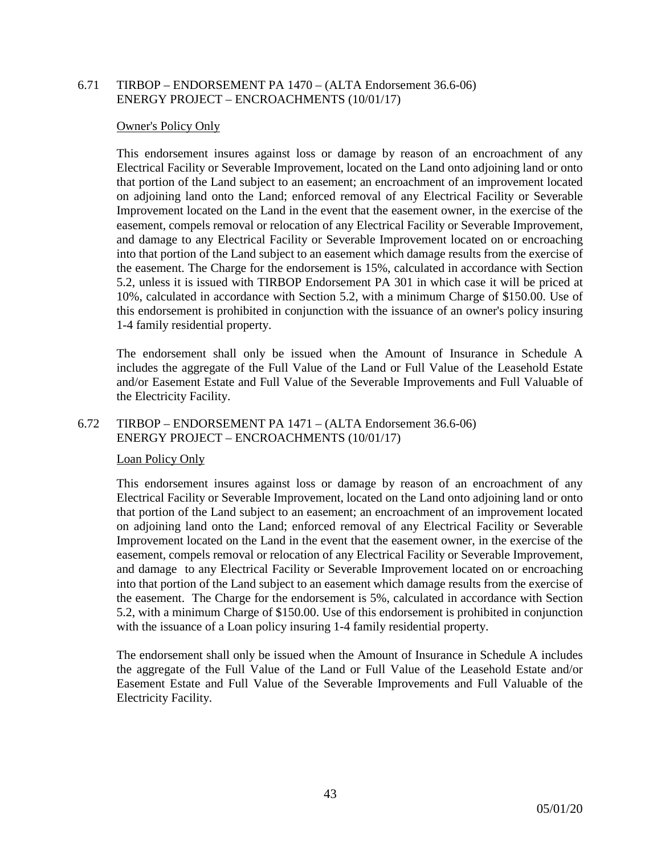## 6.71 TIRBOP – ENDORSEMENT PA 1470 – (ALTA Endorsement 36.6-06) ENERGY PROJECT – ENCROACHMENTS (10/01/17)

#### Owner's Policy Only

This endorsement insures against loss or damage by reason of an encroachment of any Electrical Facility or Severable Improvement, located on the Land onto adjoining land or onto that portion of the Land subject to an easement; an encroachment of an improvement located on adjoining land onto the Land; enforced removal of any Electrical Facility or Severable Improvement located on the Land in the event that the easement owner, in the exercise of the easement, compels removal or relocation of any Electrical Facility or Severable Improvement, and damage to any Electrical Facility or Severable Improvement located on or encroaching into that portion of the Land subject to an easement which damage results from the exercise of the easement. The Charge for the endorsement is 15%, calculated in accordance with Section 5.2, unless it is issued with TIRBOP Endorsement PA 301 in which case it will be priced at 10%, calculated in accordance with Section 5.2, with a minimum Charge of \$150.00. Use of this endorsement is prohibited in conjunction with the issuance of an owner's policy insuring 1-4 family residential property.

The endorsement shall only be issued when the Amount of Insurance in Schedule A includes the aggregate of the Full Value of the Land or Full Value of the Leasehold Estate and/or Easement Estate and Full Value of the Severable Improvements and Full Valuable of the Electricity Facility.

### 6.72 TIRBOP – ENDORSEMENT PA 1471 – (ALTA Endorsement 36.6-06) ENERGY PROJECT – ENCROACHMENTS (10/01/17)

#### Loan Policy Only

This endorsement insures against loss or damage by reason of an encroachment of any Electrical Facility or Severable Improvement, located on the Land onto adjoining land or onto that portion of the Land subject to an easement; an encroachment of an improvement located on adjoining land onto the Land; enforced removal of any Electrical Facility or Severable Improvement located on the Land in the event that the easement owner, in the exercise of the easement, compels removal or relocation of any Electrical Facility or Severable Improvement, and damage to any Electrical Facility or Severable Improvement located on or encroaching into that portion of the Land subject to an easement which damage results from the exercise of the easement. The Charge for the endorsement is 5%, calculated in accordance with Section 5.2, with a minimum Charge of \$150.00. Use of this endorsement is prohibited in conjunction with the issuance of a Loan policy insuring 1-4 family residential property.

The endorsement shall only be issued when the Amount of Insurance in Schedule A includes the aggregate of the Full Value of the Land or Full Value of the Leasehold Estate and/or Easement Estate and Full Value of the Severable Improvements and Full Valuable of the Electricity Facility.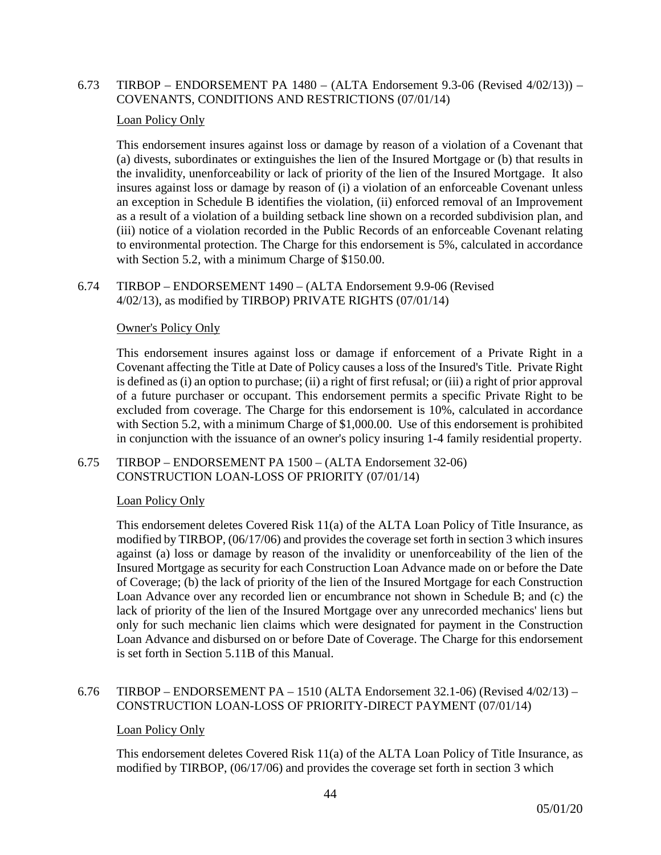## 6.73 TIRBOP – ENDORSEMENT PA 1480 – (ALTA Endorsement 9.3-06 (Revised 4/02/13)) – COVENANTS, CONDITIONS AND RESTRICTIONS (07/01/14)

## Loan Policy Only

This endorsement insures against loss or damage by reason of a violation of a Covenant that (a) divests, subordinates or extinguishes the lien of the Insured Mortgage or (b) that results in the invalidity, unenforceability or lack of priority of the lien of the Insured Mortgage. It also insures against loss or damage by reason of (i) a violation of an enforceable Covenant unless an exception in Schedule B identifies the violation, (ii) enforced removal of an Improvement as a result of a violation of a building setback line shown on a recorded subdivision plan, and (iii) notice of a violation recorded in the Public Records of an enforceable Covenant relating to environmental protection. The Charge for this endorsement is 5%, calculated in accordance with Section 5.2, with a minimum Charge of \$150.00.

#### 6.74 TIRBOP – ENDORSEMENT 1490 – (ALTA Endorsement 9.9-06 (Revised 4/02/13), as modified by TIRBOP) PRIVATE RIGHTS (07/01/14)

## Owner's Policy Only

This endorsement insures against loss or damage if enforcement of a Private Right in a Covenant affecting the Title at Date of Policy causes a loss of the Insured's Title. Private Right is defined as (i) an option to purchase; (ii) a right of first refusal; or (iii) a right of prior approval of a future purchaser or occupant. This endorsement permits a specific Private Right to be excluded from coverage. The Charge for this endorsement is 10%, calculated in accordance with Section 5.2, with a minimum Charge of \$1,000.00. Use of this endorsement is prohibited in conjunction with the issuance of an owner's policy insuring 1-4 family residential property.

## 6.75 TIRBOP – ENDORSEMENT PA 1500 – (ALTA Endorsement 32-06) CONSTRUCTION LOAN-LOSS OF PRIORITY (07/01/14)

## Loan Policy Only

This endorsement deletes Covered Risk 11(a) of the ALTA Loan Policy of Title Insurance, as modified by TIRBOP, (06/17/06) and provides the coverage set forth in section 3 which insures against (a) loss or damage by reason of the invalidity or unenforceability of the lien of the Insured Mortgage as security for each Construction Loan Advance made on or before the Date of Coverage; (b) the lack of priority of the lien of the Insured Mortgage for each Construction Loan Advance over any recorded lien or encumbrance not shown in Schedule B; and (c) the lack of priority of the lien of the Insured Mortgage over any unrecorded mechanics' liens but only for such mechanic lien claims which were designated for payment in the Construction Loan Advance and disbursed on or before Date of Coverage. The Charge for this endorsement is set forth in Section 5.11B of this Manual.

## 6.76 TIRBOP – ENDORSEMENT PA – 1510 (ALTA Endorsement 32.1-06) (Revised 4/02/13) – CONSTRUCTION LOAN-LOSS OF PRIORITY-DIRECT PAYMENT (07/01/14)

#### Loan Policy Only

This endorsement deletes Covered Risk 11(a) of the ALTA Loan Policy of Title Insurance, as modified by TIRBOP, (06/17/06) and provides the coverage set forth in section 3 which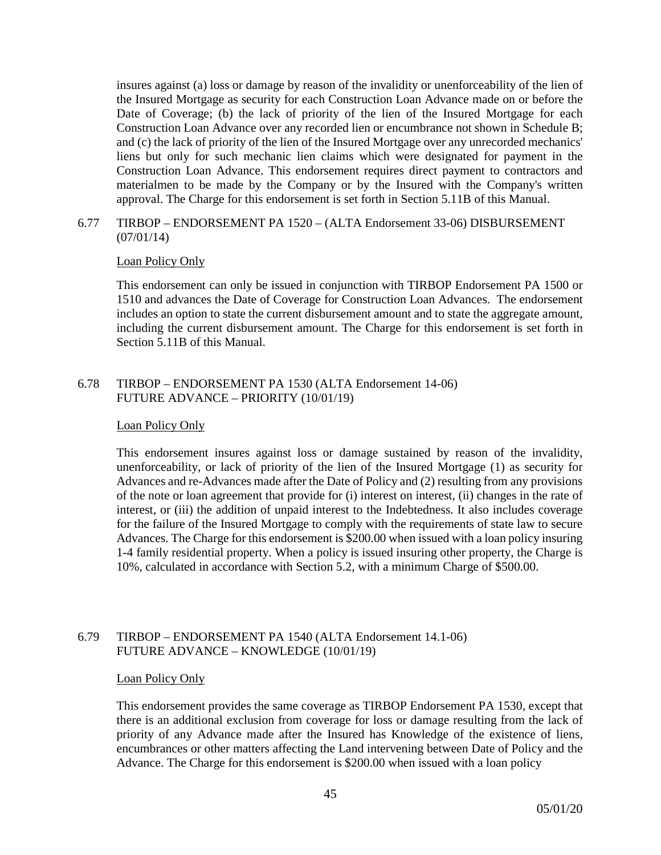insures against (a) loss or damage by reason of the invalidity or unenforceability of the lien of the Insured Mortgage as security for each Construction Loan Advance made on or before the Date of Coverage; (b) the lack of priority of the lien of the Insured Mortgage for each Construction Loan Advance over any recorded lien or encumbrance not shown in Schedule B; and (c) the lack of priority of the lien of the Insured Mortgage over any unrecorded mechanics' liens but only for such mechanic lien claims which were designated for payment in the Construction Loan Advance. This endorsement requires direct payment to contractors and materialmen to be made by the Company or by the Insured with the Company's written approval. The Charge for this endorsement is set forth in Section 5.11B of this Manual.

## 6.77 TIRBOP – ENDORSEMENT PA 1520 – (ALTA Endorsement 33-06) DISBURSEMENT (07/01/14)

## Loan Policy Only

This endorsement can only be issued in conjunction with TIRBOP Endorsement PA 1500 or 1510 and advances the Date of Coverage for Construction Loan Advances. The endorsement includes an option to state the current disbursement amount and to state the aggregate amount, including the current disbursement amount. The Charge for this endorsement is set forth in Section 5.11B of this Manual.

## 6.78 TIRBOP – ENDORSEMENT PA 1530 (ALTA Endorsement 14-06) FUTURE ADVANCE – PRIORITY (10/01/19)

## Loan Policy Only

This endorsement insures against loss or damage sustained by reason of the invalidity, unenforceability, or lack of priority of the lien of the Insured Mortgage (1) as security for Advances and re-Advances made after the Date of Policy and (2) resulting from any provisions of the note or loan agreement that provide for (i) interest on interest, (ii) changes in the rate of interest, or (iii) the addition of unpaid interest to the Indebtedness. It also includes coverage for the failure of the Insured Mortgage to comply with the requirements of state law to secure Advances. The Charge for this endorsement is \$200.00 when issued with a loan policy insuring 1-4 family residential property. When a policy is issued insuring other property, the Charge is 10%, calculated in accordance with Section 5.2, with a minimum Charge of \$500.00.

## 6.79 TIRBOP – ENDORSEMENT PA 1540 (ALTA Endorsement 14.1-06) FUTURE ADVANCE – KNOWLEDGE (10/01/19)

#### Loan Policy Only

This endorsement provides the same coverage as TIRBOP Endorsement PA 1530, except that there is an additional exclusion from coverage for loss or damage resulting from the lack of priority of any Advance made after the Insured has Knowledge of the existence of liens, encumbrances or other matters affecting the Land intervening between Date of Policy and the Advance. The Charge for this endorsement is \$200.00 when issued with a loan policy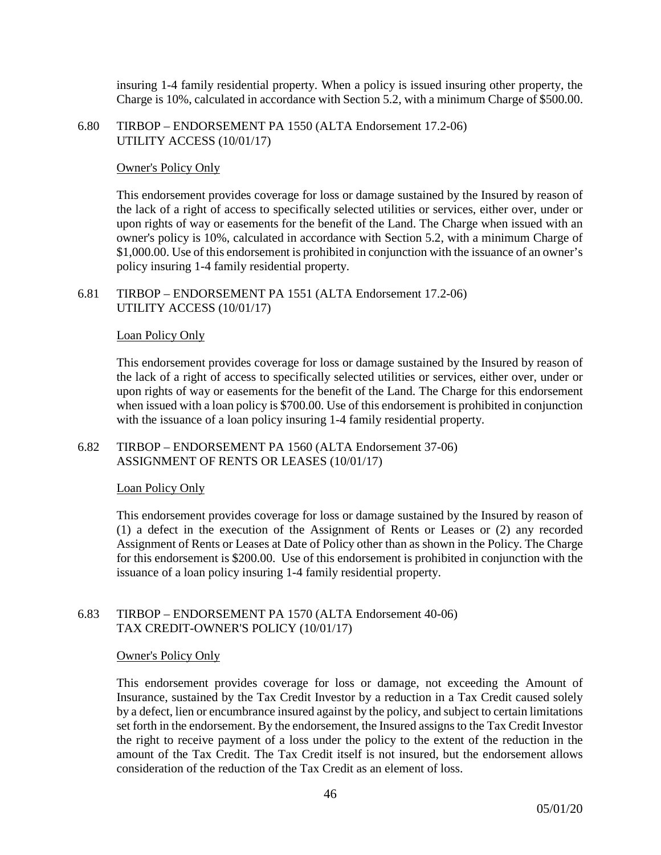insuring 1-4 family residential property. When a policy is issued insuring other property, the Charge is 10%, calculated in accordance with Section 5.2, with a minimum Charge of \$500.00.

6.80 TIRBOP – ENDORSEMENT PA 1550 (ALTA Endorsement 17.2-06) UTILITY ACCESS (10/01/17)

#### Owner's Policy Only

This endorsement provides coverage for loss or damage sustained by the Insured by reason of the lack of a right of access to specifically selected utilities or services, either over, under or upon rights of way or easements for the benefit of the Land. The Charge when issued with an owner's policy is 10%, calculated in accordance with Section 5.2, with a minimum Charge of \$1,000.00. Use of this endorsement is prohibited in conjunction with the issuance of an owner's policy insuring 1-4 family residential property.

6.81 TIRBOP – ENDORSEMENT PA 1551 (ALTA Endorsement 17.2-06) UTILITY ACCESS (10/01/17)

## Loan Policy Only

This endorsement provides coverage for loss or damage sustained by the Insured by reason of the lack of a right of access to specifically selected utilities or services, either over, under or upon rights of way or easements for the benefit of the Land. The Charge for this endorsement when issued with a loan policy is \$700.00. Use of this endorsement is prohibited in conjunction with the issuance of a loan policy insuring 1-4 family residential property.

6.82 TIRBOP – ENDORSEMENT PA 1560 (ALTA Endorsement 37-06) ASSIGNMENT OF RENTS OR LEASES (10/01/17)

#### Loan Policy Only

This endorsement provides coverage for loss or damage sustained by the Insured by reason of (1) a defect in the execution of the Assignment of Rents or Leases or (2) any recorded Assignment of Rents or Leases at Date of Policy other than as shown in the Policy. The Charge for this endorsement is \$200.00. Use of this endorsement is prohibited in conjunction with the issuance of a loan policy insuring 1-4 family residential property.

## 6.83 TIRBOP – ENDORSEMENT PA 1570 (ALTA Endorsement 40-06) TAX CREDIT-OWNER'S POLICY (10/01/17)

#### Owner's Policy Only

This endorsement provides coverage for loss or damage, not exceeding the Amount of Insurance, sustained by the Tax Credit Investor by a reduction in a Tax Credit caused solely by a defect, lien or encumbrance insured against by the policy, and subject to certain limitations set forth in the endorsement. By the endorsement, the Insured assigns to the Tax Credit Investor the right to receive payment of a loss under the policy to the extent of the reduction in the amount of the Tax Credit. The Tax Credit itself is not insured, but the endorsement allows consideration of the reduction of the Tax Credit as an element of loss.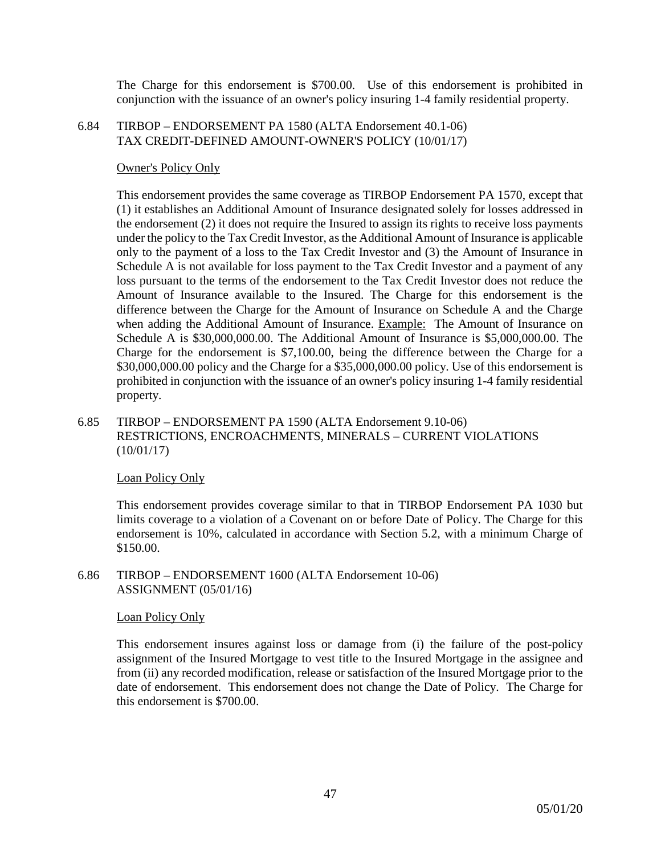The Charge for this endorsement is \$700.00. Use of this endorsement is prohibited in conjunction with the issuance of an owner's policy insuring 1-4 family residential property.

#### 6.84 TIRBOP – ENDORSEMENT PA 1580 (ALTA Endorsement 40.1-06) TAX CREDIT-DEFINED AMOUNT-OWNER'S POLICY (10/01/17)

## Owner's Policy Only

This endorsement provides the same coverage as TIRBOP Endorsement PA 1570, except that (1) it establishes an Additional Amount of Insurance designated solely for losses addressed in the endorsement (2) it does not require the Insured to assign its rights to receive loss payments under the policy to the Tax Credit Investor, as the Additional Amount of Insurance is applicable only to the payment of a loss to the Tax Credit Investor and (3) the Amount of Insurance in Schedule A is not available for loss payment to the Tax Credit Investor and a payment of any loss pursuant to the terms of the endorsement to the Tax Credit Investor does not reduce the Amount of Insurance available to the Insured. The Charge for this endorsement is the difference between the Charge for the Amount of Insurance on Schedule A and the Charge when adding the Additional Amount of Insurance. Example: The Amount of Insurance on Schedule A is \$30,000,000.00. The Additional Amount of Insurance is \$5,000,000.00. The Charge for the endorsement is \$7,100.00, being the difference between the Charge for a \$30,000,000.00 policy and the Charge for a \$35,000,000.00 policy. Use of this endorsement is prohibited in conjunction with the issuance of an owner's policy insuring 1-4 family residential property.

## 6.85 TIRBOP – ENDORSEMENT PA 1590 (ALTA Endorsement 9.10-06) RESTRICTIONS, ENCROACHMENTS, MINERALS – CURRENT VIOLATIONS (10/01/17)

#### Loan Policy Only

This endorsement provides coverage similar to that in TIRBOP Endorsement PA 1030 but limits coverage to a violation of a Covenant on or before Date of Policy. The Charge for this endorsement is 10%, calculated in accordance with Section 5.2, with a minimum Charge of \$150.00.

#### 6.86 TIRBOP – ENDORSEMENT 1600 (ALTA Endorsement 10-06) ASSIGNMENT (05/01/16)

## Loan Policy Only

This endorsement insures against loss or damage from (i) the failure of the post-policy assignment of the Insured Mortgage to vest title to the Insured Mortgage in the assignee and from (ii) any recorded modification, release or satisfaction of the Insured Mortgage prior to the date of endorsement. This endorsement does not change the Date of Policy. The Charge for this endorsement is \$700.00.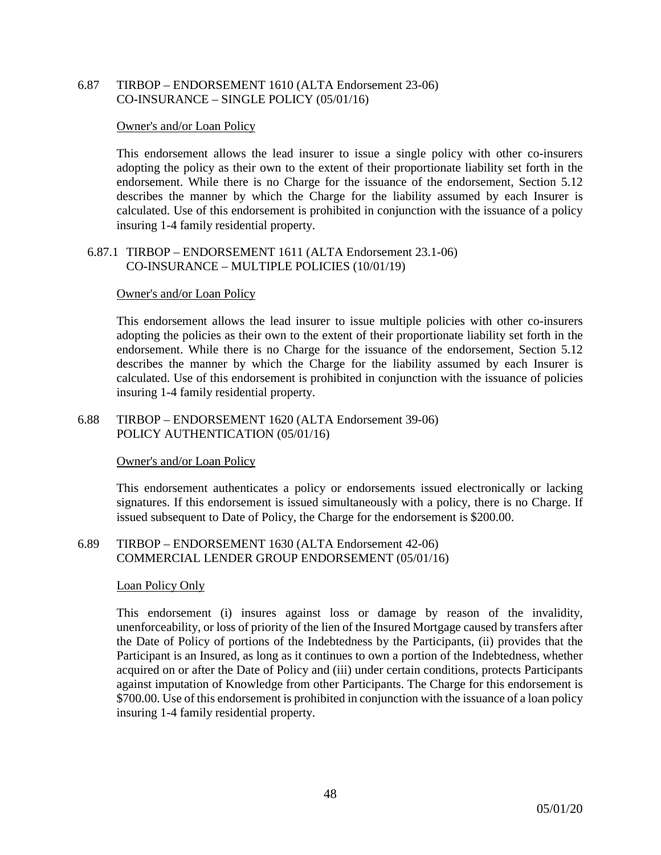## 6.87 TIRBOP – ENDORSEMENT 1610 (ALTA Endorsement 23-06) CO-INSURANCE – SINGLE POLICY (05/01/16)

#### Owner's and/or Loan Policy

This endorsement allows the lead insurer to issue a single policy with other co-insurers adopting the policy as their own to the extent of their proportionate liability set forth in the endorsement. While there is no Charge for the issuance of the endorsement, Section 5.12 describes the manner by which the Charge for the liability assumed by each Insurer is calculated. Use of this endorsement is prohibited in conjunction with the issuance of a policy insuring 1-4 family residential property.

#### 6.87.1 TIRBOP – ENDORSEMENT 1611 (ALTA Endorsement 23.1-06) CO-INSURANCE – MULTIPLE POLICIES (10/01/19)

#### Owner's and/or Loan Policy

This endorsement allows the lead insurer to issue multiple policies with other co-insurers adopting the policies as their own to the extent of their proportionate liability set forth in the endorsement. While there is no Charge for the issuance of the endorsement, Section 5.12 describes the manner by which the Charge for the liability assumed by each Insurer is calculated. Use of this endorsement is prohibited in conjunction with the issuance of policies insuring 1-4 family residential property.

## 6.88 TIRBOP – ENDORSEMENT 1620 (ALTA Endorsement 39-06) POLICY AUTHENTICATION (05/01/16)

#### Owner's and/or Loan Policy

This endorsement authenticates a policy or endorsements issued electronically or lacking signatures. If this endorsement is issued simultaneously with a policy, there is no Charge. If issued subsequent to Date of Policy, the Charge for the endorsement is \$200.00.

## 6.89 TIRBOP – ENDORSEMENT 1630 (ALTA Endorsement 42-06) COMMERCIAL LENDER GROUP ENDORSEMENT (05/01/16)

#### Loan Policy Only

This endorsement (i) insures against loss or damage by reason of the invalidity, unenforceability, or loss of priority of the lien of the Insured Mortgage caused by transfers after the Date of Policy of portions of the Indebtedness by the Participants, (ii) provides that the Participant is an Insured, as long as it continues to own a portion of the Indebtedness, whether acquired on or after the Date of Policy and (iii) under certain conditions, protects Participants against imputation of Knowledge from other Participants. The Charge for this endorsement is \$700.00. Use of this endorsement is prohibited in conjunction with the issuance of a loan policy insuring 1-4 family residential property.